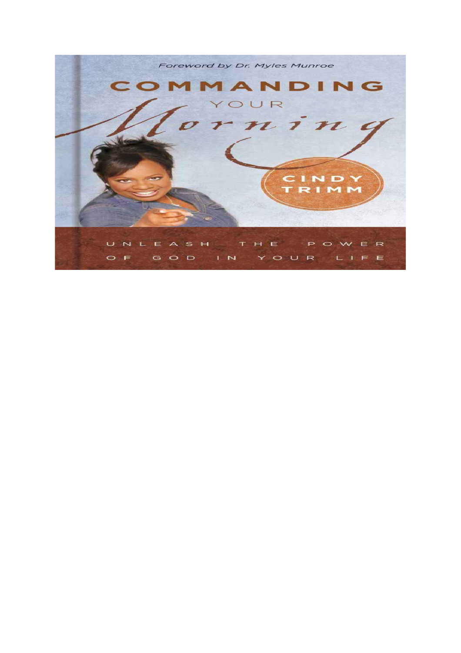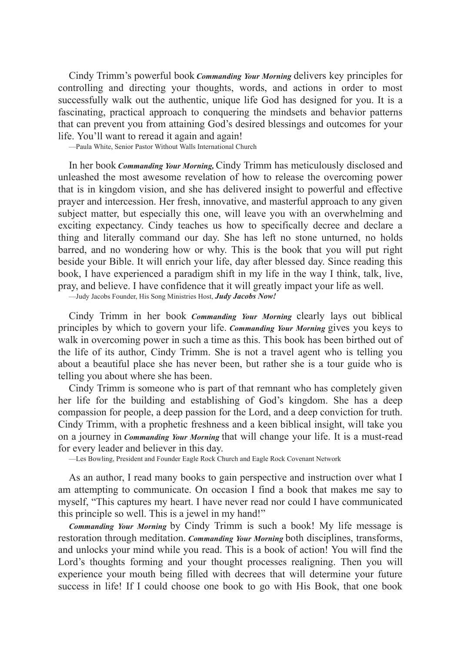Cindy Trimm's powerful book *Commanding Your Morning* delivers key principles for controlling and directing your thoughts, words, and actions in order to most successfully walk out the authentic, unique life God has designed for you. It is a fascinating, practical approach to conquering the mindsets and behavior patterns that can prevent you from attaining God's desired blessings and outcomes for your life. You'll want to reread it again and again!

—Paula White, Senior Pastor Without Walls International Church

In her book *Commanding Your Morning,* Cindy Trimm has meticulously disclosed and unleashed the most awesome revelation of how to release the overcoming power that is in kingdom vision, and she has delivered insight to powerful and effective prayer and intercession. Her fresh, innovative, and masterful approach to any given subject matter, but especially this one, will leave you with an overwhelming and exciting expectancy. Cindy teaches us how to specifically decree and declare a thing and literally command our day. She has left no stone unturned, no holds barred, and no wondering how or why. This is the book that you will put right beside your Bible. It will enrich your life, day after blessed day. Since reading this book, I have experienced a paradigm shift in my life in the way I think, talk, live, pray, and believe. I have confidence that it will greatly impact your life as well.

—Judy Jacobs Founder, His Song Ministries Host, *Judy Jacobs Now!*

Cindy Trimm in her book *Commanding Your Morning* clearly lays out biblical principles by which to govern your life. *Commanding Your Morning* gives you keys to walk in overcoming power in such a time as this. This book has been birthed out of the life of its author, Cindy Trimm. She is not a travel agent who is telling you about a beautiful place she has never been, but rather she is a tour guide who is telling you about where she has been.

Cindy Trimm is someone who is part of that remnant who has completely given her life for the building and establishing of God's kingdom. She has a deep compassion for people, a deep passion for the Lord, and a deep conviction for truth. Cindy Trimm, with a prophetic freshness and a keen biblical insight, will take you on a journey in *Commanding Your Morning* that will change your life. It is a must-read for every leader and believer in this day.

—Les Bowling, President and Founder Eagle Rock Church and Eagle Rock Covenant Network

As an author, I read many books to gain perspective and instruction over what I am attempting to communicate. On occasion I find a book that makes me say to myself, "This captures my heart. I have never read nor could I have communicated this principle so well. This is a jewel in my hand!"

*Commanding Your Morning* by Cindy Trimm is such a book! My life message is restoration through meditation. *Commanding Your Morning* both disciplines, transforms, and unlocks your mind while you read. This is a book of action! You will find the Lord's thoughts forming and your thought processes realigning. Then you will experience your mouth being filled with decrees that will determine your future success in life! If I could choose one book to go with His Book, that one book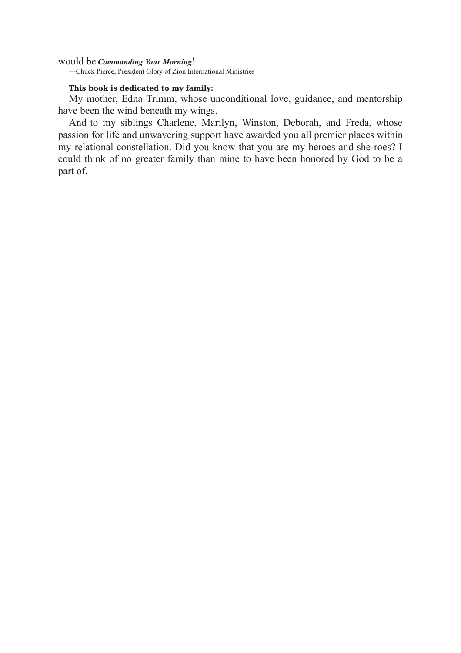#### would be *Commanding Your Morning*!

—Chuck Pierce, President Glory of Zion International Ministries

### **This book is dedicated to my family:**

My mother, Edna Trimm, whose unconditional love, guidance, and mentorship have been the wind beneath my wings.

And to my siblings Charlene, Marilyn, Winston, Deborah, and Freda, whose passion for life and unwavering support have awarded you all premier places within my relational constellation. Did you know that you are my heroes and she-roes? I could think of no greater family than mine to have been honored by God to be a part of.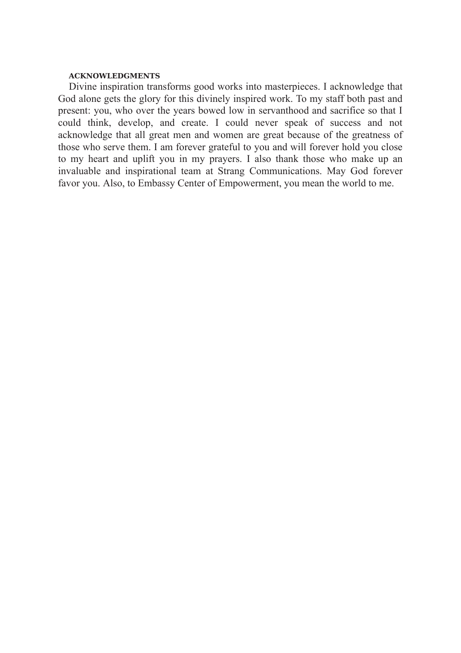# **ACKNOWLEDGMENTS**

Divine inspiration transforms good works into masterpieces. I acknowledge that God alone gets the glory for this divinely inspired work. To my staff both past and present: you, who over the years bowed low in servanthood and sacrifice so that I could think, develop, and create. I could never speak of success and not acknowledge that all great men and women are great because of the greatness of those who serve them. I am forever grateful to you and will forever hold you close to my heart and uplift you in my prayers. I also thank those who make up an invaluable and inspirational team at Strang Communications. May God forever favor you. Also, to Embassy Center of Empowerment, you mean the world to me.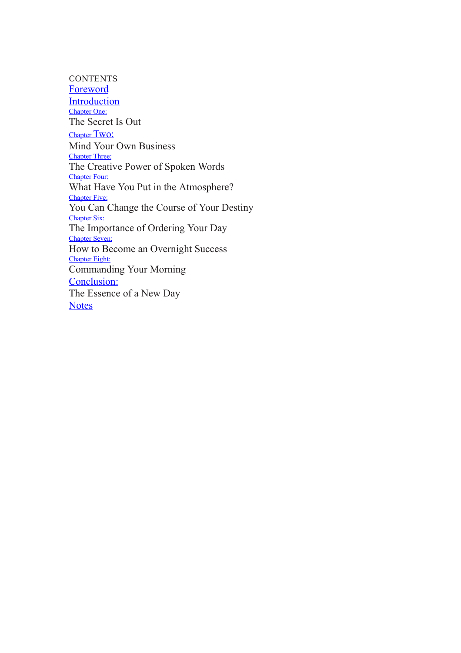**CONTENTS Foreword** Introduction Chapter One: The Secret Is Out Chapter Two: Mind Your Own Business Chapter Three: The Creative Power of Spoken Words Chapter Four: What Have You Put in the Atmosphere? Chapter Five: You Can Change the Course of Your Destiny Chapter Six: The Importance of Ordering Your Day Chapter Seven: How to Become an Overnight Success Chapter Eight: Commanding Your Morning Conclusion: The Essence of a New Day **Notes**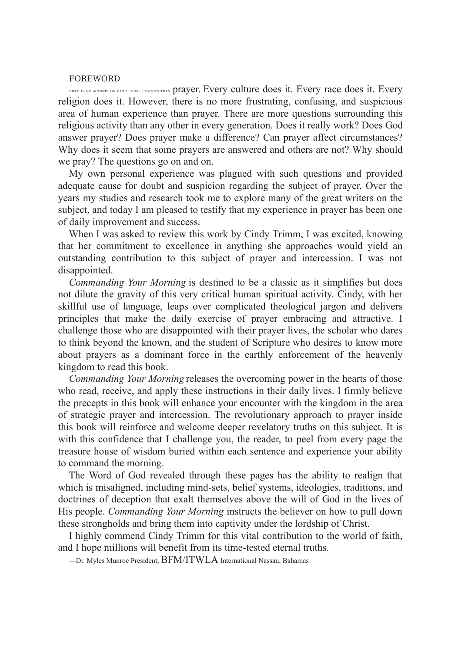#### FOREWORD

THERE IS NO ACTIVITY ON EARTH MORE COMMON THAN **prayer.** Every culture does it. Every race does it. Every religion does it. However, there is no more frustrating, confusing, and suspicious area of human experience than prayer. There are more questions surrounding this religious activity than any other in every generation. Does it really work? Does God answer prayer? Does prayer make a difference? Can prayer affect circumstances? Why does it seem that some prayers are answered and others are not? Why should we pray? The questions go on and on.

My own personal experience was plagued with such questions and provided adequate cause for doubt and suspicion regarding the subject of prayer. Over the years my studies and research took me to explore many of the great writers on the subject, and today I am pleased to testify that my experience in prayer has been one of daily improvement and success.

When I was asked to review this work by Cindy Trimm, I was excited, knowing that her commitment to excellence in anything she approaches would yield an outstanding contribution to this subject of prayer and intercession. I was not disappointed.

*Commanding Your Morning* is destined to be a classic as it simplifies but does not dilute the gravity of this very critical human spiritual activity. Cindy, with her skillful use of language, leaps over complicated theological jargon and delivers principles that make the daily exercise of prayer embracing and attractive. I challenge those who are disappointed with their prayer lives, the scholar who dares to think beyond the known, and the student of Scripture who desires to know more about prayers as a dominant force in the earthly enforcement of the heavenly kingdom to read this book.

*Commanding Your Morning* releases the overcoming power in the hearts of those who read, receive, and apply these instructions in their daily lives. I firmly believe the precepts in this book will enhance your encounter with the kingdom in the area of strategic prayer and intercession. The revolutionary approach to prayer inside this book will reinforce and welcome deeper revelatory truths on this subject. It is with this confidence that I challenge you, the reader, to peel from every page the treasure house of wisdom buried within each sentence and experience your ability to command the morning.

The Word of God revealed through these pages has the ability to realign that which is misaligned, including mind-sets, belief systems, ideologies, traditions, and doctrines of deception that exalt themselves above the will of God in the lives of His people. *Commanding Your Morning* instructs the believer on how to pull down these strongholds and bring them into captivity under the lordship of Christ.

I highly commend Cindy Trimm for this vital contribution to the world of faith, and I hope millions will benefit from its time-tested eternal truths.

—Dr. Myles Munroe President, BFM/ITWLA International Nassau, Bahamas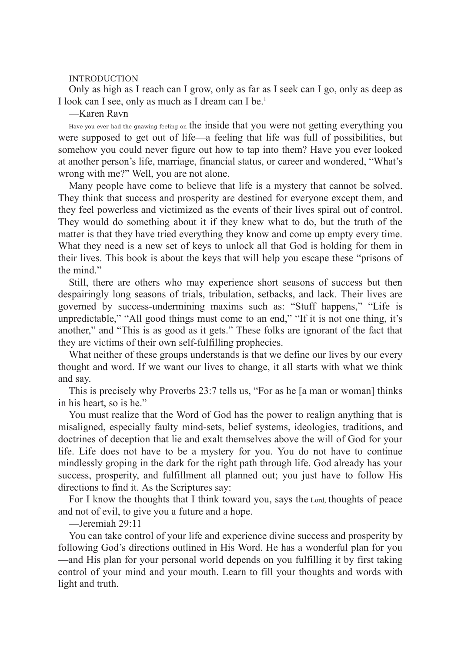#### INTRODUCTION

Only as high as I reach can I grow, only as far as I seek can I go, only as deep as I look can I see, only as much as I dream can I be. 1

—Karen Ravn

Have you ever had the gnawing feeling on the inside that you were not getting everything you were supposed to get out of life—a feeling that life was full of possibilities, but somehow you could never figure out how to tap into them? Have you ever looked at another person's life, marriage, financial status, or career and wondered, "What's wrong with me?" Well, you are not alone.

Many people have come to believe that life is a mystery that cannot be solved. They think that success and prosperity are destined for everyone except them, and they feel powerless and victimized as the events of their lives spiral out of control. They would do something about it if they knew what to do, but the truth of the matter is that they have tried everything they know and come up empty every time. What they need is a new set of keys to unlock all that God is holding for them in their lives. This book is about the keys that will help you escape these "prisons of the mind."

Still, there are others who may experience short seasons of success but then despairingly long seasons of trials, tribulation, setbacks, and lack. Their lives are governed by success-undermining maxims such as: "Stuff happens," "Life is unpredictable," "All good things must come to an end," "If it is not one thing, it's another," and "This is as good as it gets." These folks are ignorant of the fact that they are victims of their own self-fulfilling prophecies.

What neither of these groups understands is that we define our lives by our every thought and word. If we want our lives to change, it all starts with what we think and say.

This is precisely why Proverbs 23:7 tells us, "For as he [a man or woman] thinks in his heart, so is he."

You must realize that the Word of God has the power to realign anything that is misaligned, especially faulty mind-sets, belief systems, ideologies, traditions, and doctrines of deception that lie and exalt themselves above the will of God for your life. Life does not have to be a mystery for you. You do not have to continue mindlessly groping in the dark for the right path through life. God already has your success, prosperity, and fulfillment all planned out; you just have to follow His directions to find it. As the Scriptures say:

For I know the thoughts that I think toward you, says the Lord, thoughts of peace and not of evil, to give you a future and a hope.

—Jeremiah 29:11

You can take control of your life and experience divine success and prosperity by following God's directions outlined in His Word. He has a wonderful plan for you —and His plan for your personal world depends on you fulfilling it by first taking control of your mind and your mouth. Learn to fill your thoughts and words with light and truth.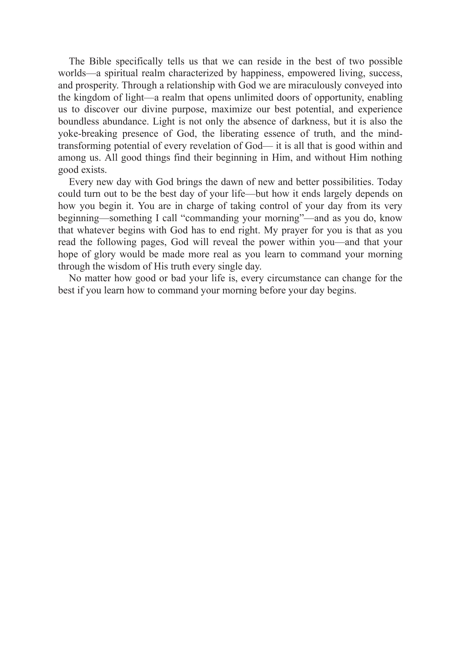The Bible specifically tells us that we can reside in the best of two possible worlds—a spiritual realm characterized by happiness, empowered living, success, and prosperity. Through a relationship with God we are miraculously conveyed into the kingdom of light—a realm that opens unlimited doors of opportunity, enabling us to discover our divine purpose, maximize our best potential, and experience boundless abundance. Light is not only the absence of darkness, but it is also the yoke-breaking presence of God, the liberating essence of truth, and the mindtransforming potential of every revelation of God— it is all that is good within and among us. All good things find their beginning in Him, and without Him nothing good exists.

Every new day with God brings the dawn of new and better possibilities. Today could turn out to be the best day of your life—but how it ends largely depends on how you begin it. You are in charge of taking control of your day from its very beginning—something I call "commanding your morning"—and as you do, know that whatever begins with God has to end right. My prayer for you is that as you read the following pages, God will reveal the power within you—and that your hope of glory would be made more real as you learn to command your morning through the wisdom of His truth every single day.

No matter how good or bad your life is, every circumstance can change for the best if you learn how to command your morning before your day begins.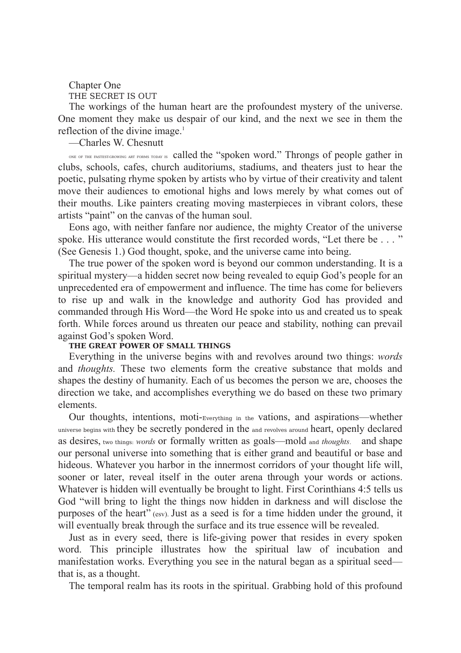# Chapter One THE SECRET IS OUT

The workings of the human heart are the profoundest mystery of the universe. One moment they make us despair of our kind, and the next we see in them the reflection of the divine image. 1

# —Charles W. Chesnutt

ONE OF THE FASTEST-GROWING ART FORMS TODAY IS called the "spoken word." Throngs of people gather in clubs, schools, cafes, church auditoriums, stadiums, and theaters just to hear the poetic, pulsating rhyme spoken by artists who by virtue of their creativity and talent move their audiences to emotional highs and lows merely by what comes out of their mouths. Like painters creating moving masterpieces in vibrant colors, these artists "paint" on the canvas of the human soul.

Eons ago, with neither fanfare nor audience, the mighty Creator of the universe spoke. His utterance would constitute the first recorded words, "Let there be . . . " (See Genesis 1.) God thought, spoke, and the universe came into being.

The true power of the spoken word is beyond our common understanding. It is a spiritual mystery—a hidden secret now being revealed to equip God's people for an unprecedented era of empowerment and influence. The time has come for believers to rise up and walk in the knowledge and authority God has provided and commanded through His Word—the Word He spoke into us and created us to speak forth. While forces around us threaten our peace and stability, nothing can prevail against God's spoken Word.

# **THE GREAT POWER OF SMALL THINGS**

Everything in the universe begins with and revolves around two things: *words* and *thoughts.* These two elements form the creative substance that molds and shapes the destiny of humanity. Each of us becomes the person we are, chooses the direction we take, and accomplishes everything we do based on these two primary elements.

Our thoughts, intentions, moti-Everything in the vations, and aspirations—whether universe begins with they be secretly pondered in the and revolves around heart, openly declared as desires, two things: *words* or formally written as goals—mold and *thoughts*. and shape our personal universe into something that is either grand and beautiful or base and hideous. Whatever you harbor in the innermost corridors of your thought life will, sooner or later, reveal itself in the outer arena through your words or actions. Whatever is hidden will eventually be brought to light. First Corinthians 4:5 tells us God "will bring to light the things now hidden in darkness and will disclose the purposes of the heart" (esv). Just as a seed is for a time hidden under the ground, it will eventually break through the surface and its true essence will be revealed.

Just as in every seed, there is life-giving power that resides in every spoken word. This principle illustrates how the spiritual law of incubation and manifestation works. Everything you see in the natural began as a spiritual seed that is, as a thought.

The temporal realm has its roots in the spiritual. Grabbing hold of this profound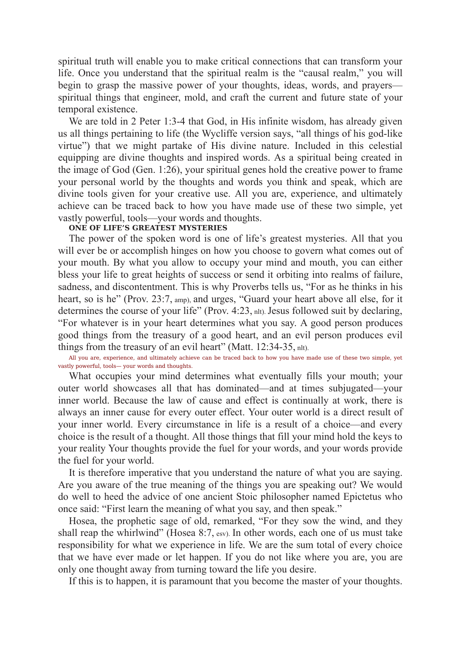spiritual truth will enable you to make critical connections that can transform your life. Once you understand that the spiritual realm is the "causal realm," you will begin to grasp the massive power of your thoughts, ideas, words, and prayers spiritual things that engineer, mold, and craft the current and future state of your temporal existence.

We are told in 2 Peter 1:3-4 that God, in His infinite wisdom, has already given us all things pertaining to life (the Wycliffe version says, "all things of his god-like virtue") that we might partake of His divine nature. Included in this celestial equipping are divine thoughts and inspired words. As a spiritual being created in the image of God (Gen. 1:26), your spiritual genes hold the creative power to frame your personal world by the thoughts and words you think and speak, which are divine tools given for your creative use. All you are, experience, and ultimately achieve can be traced back to how you have made use of these two simple, yet vastly powerful, tools—your words and thoughts.

# **ONE OF LIFE'S GREATEST MYSTERIES**

The power of the spoken word is one of life's greatest mysteries. All that you will ever be or accomplish hinges on how you choose to govern what comes out of your mouth. By what you allow to occupy your mind and mouth, you can either bless your life to great heights of success or send it orbiting into realms of failure, sadness, and discontentment. This is why Proverbs tells us, "For as he thinks in his heart, so is he" (Prov. 23:7, amp), and urges, "Guard your heart above all else, for it determines the course of your life" (Prov.  $4:23$ , nt). Jesus followed suit by declaring, "For whatever is in your heart determines what you say. A good person produces good things from the treasury of a good heart, and an evil person produces evil things from the treasury of an evil heart" (Matt. 12:34-35, nlt).

All you are, experience, and ultimately achieve can be traced back to how you have made use of these two simple, yet vastly powerful, tools— your words and thoughts.

What occupies your mind determines what eventually fills your mouth; your outer world showcases all that has dominated—and at times subjugated—your inner world. Because the law of cause and effect is continually at work, there is always an inner cause for every outer effect. Your outer world is a direct result of your inner world. Every circumstance in life is a result of a choice—and every choice is the result of a thought. All those things that fill your mind hold the keys to your reality Your thoughts provide the fuel for your words, and your words provide the fuel for your world.

It is therefore imperative that you understand the nature of what you are saying. Are you aware of the true meaning of the things you are speaking out? We would do well to heed the advice of one ancient Stoic philosopher named Epictetus who once said: "First learn the meaning of what you say, and then speak."

Hosea, the prophetic sage of old, remarked, "For they sow the wind, and they shall reap the whirlwind" (Hosea 8:7, esv). In other words, each one of us must take responsibility for what we experience in life. We are the sum total of every choice that we have ever made or let happen. If you do not like where you are, you are only one thought away from turning toward the life you desire.

If this is to happen, it is paramount that you become the master of your thoughts.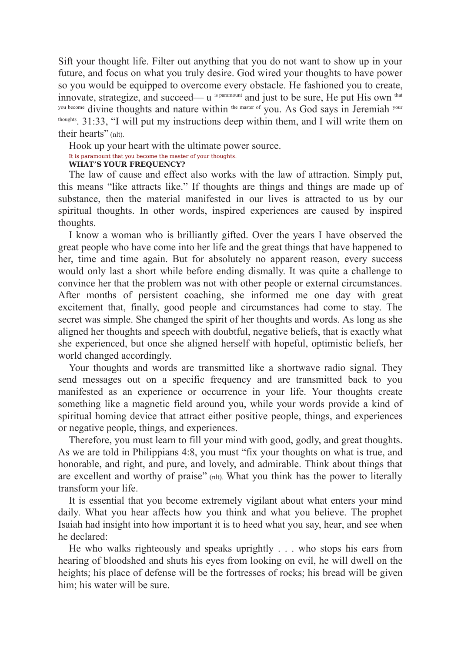Sift your thought life. Filter out anything that you do not want to show up in your future, and focus on what you truly desire. God wired your thoughts to have power so you would be equipped to overcome every obstacle. He fashioned you to create, innovate, strategize, and succeed—  $u$  is paramount and just to be sure, He put His own that <sup>you become</sup> divine thoughts and nature within <sup>the master of</sup> you. As God says in Jeremiah <sup>your</sup> thoughts . 31:33, "I will put my instructions deep within them, and I will write them on their hearts" (nlt).

Hook up your heart with the ultimate power source. It is paramount that you become the master of your thoughts. **WHAT'S YOUR FREQUENCY?**

The law of cause and effect also works with the law of attraction. Simply put, this means "like attracts like." If thoughts are things and things are made up of substance, then the material manifested in our lives is attracted to us by our spiritual thoughts. In other words, inspired experiences are caused by inspired thoughts.

I know a woman who is brilliantly gifted. Over the years I have observed the great people who have come into her life and the great things that have happened to her, time and time again. But for absolutely no apparent reason, every success would only last a short while before ending dismally. It was quite a challenge to convince her that the problem was not with other people or external circumstances. After months of persistent coaching, she informed me one day with great excitement that, finally, good people and circumstances had come to stay. The secret was simple. She changed the spirit of her thoughts and words. As long as she aligned her thoughts and speech with doubtful, negative beliefs, that is exactly what she experienced, but once she aligned herself with hopeful, optimistic beliefs, her world changed accordingly.

Your thoughts and words are transmitted like a shortwave radio signal. They send messages out on a specific frequency and are transmitted back to you manifested as an experience or occurrence in your life. Your thoughts create something like a magnetic field around you, while your words provide a kind of spiritual homing device that attract either positive people, things, and experiences or negative people, things, and experiences.

Therefore, you must learn to fill your mind with good, godly, and great thoughts. As we are told in Philippians 4:8, you must "fix your thoughts on what is true, and honorable, and right, and pure, and lovely, and admirable. Think about things that are excellent and worthy of praise" (nlt). What you think has the power to literally transform your life.

It is essential that you become extremely vigilant about what enters your mind daily. What you hear affects how you think and what you believe. The prophet Isaiah had insight into how important it is to heed what you say, hear, and see when he declared:

He who walks righteously and speaks uprightly . . . who stops his ears from hearing of bloodshed and shuts his eyes from looking on evil, he will dwell on the heights; his place of defense will be the fortresses of rocks; his bread will be given him; his water will be sure.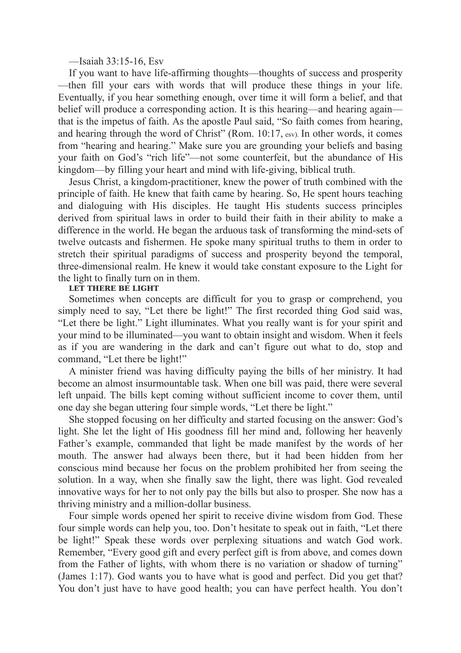—Isaiah 33:15-16, Esv

If you want to have life-affirming thoughts—thoughts of success and prosperity —then fill your ears with words that will produce these things in your life. Eventually, if you hear something enough, over time it will form a belief, and that belief will produce a corresponding action. It is this hearing—and hearing again that is the impetus of faith. As the apostle Paul said, "So faith comes from hearing, and hearing through the word of Christ" (Rom. 10:17, esv). In other words, it comes from "hearing and hearing." Make sure you are grounding your beliefs and basing your faith on God's "rich life"—not some counterfeit, but the abundance of His kingdom—by filling your heart and mind with life-giving, biblical truth.

Jesus Christ, a kingdom-practitioner, knew the power of truth combined with the principle of faith. He knew that faith came by hearing. So, He spent hours teaching and dialoguing with His disciples. He taught His students success principles derived from spiritual laws in order to build their faith in their ability to make a difference in the world. He began the arduous task of transforming the mind-sets of twelve outcasts and fishermen. He spoke many spiritual truths to them in order to stretch their spiritual paradigms of success and prosperity beyond the temporal, three-dimensional realm. He knew it would take constant exposure to the Light for the light to finally turn on in them.

### **LET THERE BE LIGHT**

Sometimes when concepts are difficult for you to grasp or comprehend, you simply need to say, "Let there be light!" The first recorded thing God said was, "Let there be light." Light illuminates. What you really want is for your spirit and your mind to be illuminated—you want to obtain insight and wisdom. When it feels as if you are wandering in the dark and can't figure out what to do, stop and command, "Let there be light!"

A minister friend was having difficulty paying the bills of her ministry. It had become an almost insurmountable task. When one bill was paid, there were several left unpaid. The bills kept coming without sufficient income to cover them, until one day she began uttering four simple words, "Let there be light."

She stopped focusing on her difficulty and started focusing on the answer: God's light. She let the light of His goodness fill her mind and, following her heavenly Father's example, commanded that light be made manifest by the words of her mouth. The answer had always been there, but it had been hidden from her conscious mind because her focus on the problem prohibited her from seeing the solution. In a way, when she finally saw the light, there was light. God revealed innovative ways for her to not only pay the bills but also to prosper. She now has a thriving ministry and a million-dollar business.

Four simple words opened her spirit to receive divine wisdom from God. These four simple words can help you, too. Don't hesitate to speak out in faith, "Let there be light!" Speak these words over perplexing situations and watch God work. Remember, "Every good gift and every perfect gift is from above, and comes down from the Father of lights, with whom there is no variation or shadow of turning" (James 1:17). God wants you to have what is good and perfect. Did you get that? You don't just have to have good health; you can have perfect health. You don't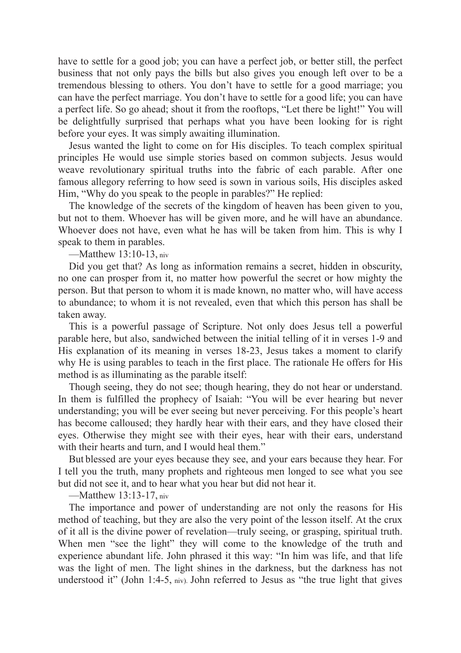have to settle for a good job; you can have a perfect job, or better still, the perfect business that not only pays the bills but also gives you enough left over to be a tremendous blessing to others. You don't have to settle for a good marriage; you can have the perfect marriage. You don't have to settle for a good life; you can have a perfect life. So go ahead; shout it from the rooftops, "Let there be light!" You will be delightfully surprised that perhaps what you have been looking for is right before your eyes. It was simply awaiting illumination.

Jesus wanted the light to come on for His disciples. To teach complex spiritual principles He would use simple stories based on common subjects. Jesus would weave revolutionary spiritual truths into the fabric of each parable. After one famous allegory referring to how seed is sown in various soils, His disciples asked Him, "Why do you speak to the people in parables?" He replied:

The knowledge of the secrets of the kingdom of heaven has been given to you, but not to them. Whoever has will be given more, and he will have an abundance. Whoever does not have, even what he has will be taken from him. This is why I speak to them in parables.

—Matthew 13:10-13, niv

Did you get that? As long as information remains a secret, hidden in obscurity, no one can prosper from it, no matter how powerful the secret or how mighty the person. But that person to whom it is made known, no matter who, will have access to abundance; to whom it is not revealed, even that which this person has shall be taken away.

This is a powerful passage of Scripture. Not only does Jesus tell a powerful parable here, but also, sandwiched between the initial telling of it in verses 1-9 and His explanation of its meaning in verses 18-23, Jesus takes a moment to clarify why He is using parables to teach in the first place. The rationale He offers for His method is as illuminating as the parable itself:

Though seeing, they do not see; though hearing, they do not hear or understand. In them is fulfilled the prophecy of Isaiah: "You will be ever hearing but never understanding; you will be ever seeing but never perceiving. For this people's heart has become calloused; they hardly hear with their ears, and they have closed their eyes. Otherwise they might see with their eyes, hear with their ears, understand with their hearts and turn, and I would heal them."

But blessed are your eyes because they see, and your ears because they hear. For I tell you the truth, many prophets and righteous men longed to see what you see but did not see it, and to hear what you hear but did not hear it.

—Matthew 13:13-17, niv

The importance and power of understanding are not only the reasons for His method of teaching, but they are also the very point of the lesson itself. At the crux of it all is the divine power of revelation—truly seeing, or grasping, spiritual truth. When men "see the light" they will come to the knowledge of the truth and experience abundant life. John phrased it this way: "In him was life, and that life was the light of men. The light shines in the darkness, but the darkness has not understood it" (John 1:4-5, niv). John referred to Jesus as "the true light that gives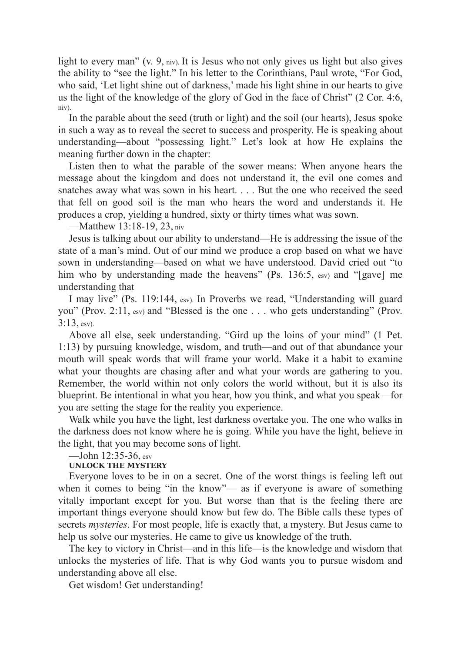light to every man" (v. 9, niv). It is Jesus who not only gives us light but also gives the ability to "see the light." In his letter to the Corinthians, Paul wrote, "For God, who said, 'Let light shine out of darkness,' made his light shine in our hearts to give us the light of the knowledge of the glory of God in the face of Christ" (2 Cor. 4:6, niv).

In the parable about the seed (truth or light) and the soil (our hearts), Jesus spoke in such a way as to reveal the secret to success and prosperity. He is speaking about understanding—about "possessing light." Let's look at how He explains the meaning further down in the chapter:

Listen then to what the parable of the sower means: When anyone hears the message about the kingdom and does not understand it, the evil one comes and snatches away what was sown in his heart. . . . But the one who received the seed that fell on good soil is the man who hears the word and understands it. He produces a crop, yielding a hundred, sixty or thirty times what was sown.

—Matthew 13:18-19, 23, niv

Jesus is talking about our ability to understand—He is addressing the issue of the state of a man's mind. Out of our mind we produce a crop based on what we have sown in understanding—based on what we have understood. David cried out "to him who by understanding made the heavens" (Ps. 136:5, esv) and "[gave] me understanding that

I may live" (Ps. 119:144, esv). In Proverbs we read, "Understanding will guard you" (Prov. 2:11, esv) and "Blessed is the one . . . who gets understanding" (Prov. 3:13, esv).

Above all else, seek understanding. "Gird up the loins of your mind" (1 Pet. 1:13) by pursuing knowledge, wisdom, and truth—and out of that abundance your mouth will speak words that will frame your world. Make it a habit to examine what your thoughts are chasing after and what your words are gathering to you. Remember, the world within not only colors the world without, but it is also its blueprint. Be intentional in what you hear, how you think, and what you speak—for you are setting the stage for the reality you experience.

Walk while you have the light, lest darkness overtake you. The one who walks in the darkness does not know where he is going. While you have the light, believe in the light, that you may become sons of light.

—John 12:35-36, esv

### **UNLOCK THE MYSTERY**

Everyone loves to be in on a secret. One of the worst things is feeling left out when it comes to being "in the know"— as if everyone is aware of something vitally important except for you. But worse than that is the feeling there are important things everyone should know but few do. The Bible calls these types of secrets *mysteries*. For most people, life is exactly that, a mystery. But Jesus came to help us solve our mysteries. He came to give us knowledge of the truth.

The key to victory in Christ—and in this life—is the knowledge and wisdom that unlocks the mysteries of life. That is why God wants you to pursue wisdom and understanding above all else.

Get wisdom! Get understanding!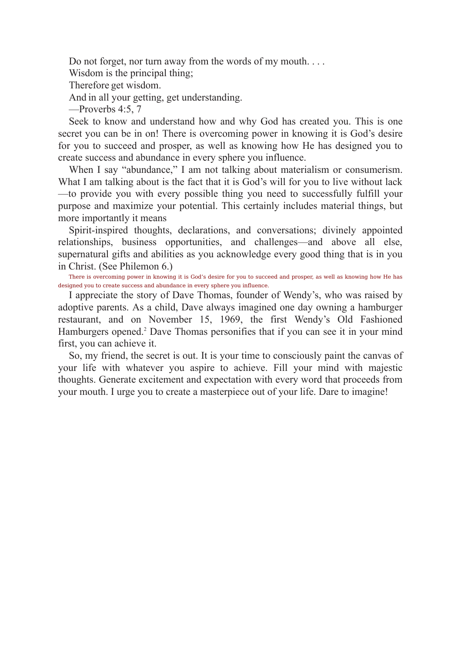Do not forget, nor turn away from the words of my mouth....

Wisdom is the principal thing;

Therefore get wisdom.

And in all your getting, get understanding.

—Proverbs 4:5, 7

Seek to know and understand how and why God has created you. This is one secret you can be in on! There is overcoming power in knowing it is God's desire for you to succeed and prosper, as well as knowing how He has designed you to create success and abundance in every sphere you influence.

When I say "abundance," I am not talking about materialism or consumerism. What I am talking about is the fact that it is God's will for you to live without lack —to provide you with every possible thing you need to successfully fulfill your purpose and maximize your potential. This certainly includes material things, but more importantly it means

Spirit-inspired thoughts, declarations, and conversations; divinely appointed relationships, business opportunities, and challenges—and above all else, supernatural gifts and abilities as you acknowledge every good thing that is in you in Christ. (See Philemon 6.)

There is overcoming power in knowing it is God's desire for you to succeed and prosper, as well as knowing how He has designed you to create success and abundance in every sphere you influence.

I appreciate the story of Dave Thomas, founder of Wendy's, who was raised by adoptive parents. As a child, Dave always imagined one day owning a hamburger restaurant, and on November 15, 1969, the first Wendy's Old Fashioned Hamburgers opened. <sup>2</sup> Dave Thomas personifies that if you can see it in your mind first, you can achieve it.

So, my friend, the secret is out. It is your time to consciously paint the canvas of your life with whatever you aspire to achieve. Fill your mind with majestic thoughts. Generate excitement and expectation with every word that proceeds from your mouth. I urge you to create a masterpiece out of your life. Dare to imagine!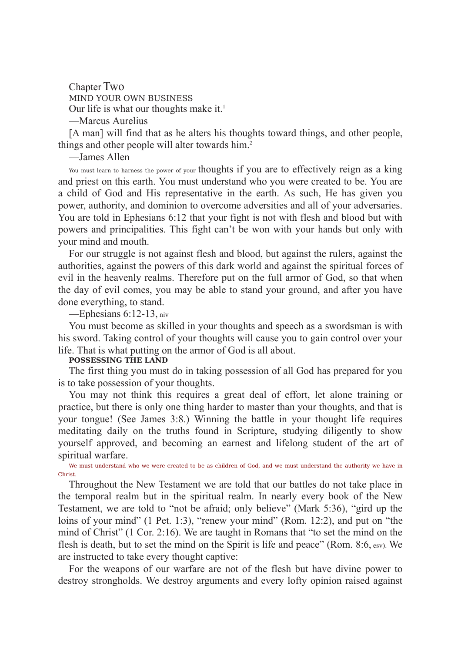Chapter Two MIND YOUR OWN BUSINESS Our life is what our thoughts make it.<sup>1</sup> —Marcus Aurelius

[A man] will find that as he alters his thoughts toward things, and other people, things and other people will alter towards him. 2

—James Allen

You must learn to harness the power of your thoughts if you are to effectively reign as a king and priest on this earth. You must understand who you were created to be. You are a child of God and His representative in the earth. As such, He has given you power, authority, and dominion to overcome adversities and all of your adversaries. You are told in Ephesians 6:12 that your fight is not with flesh and blood but with powers and principalities. This fight can't be won with your hands but only with your mind and mouth.

For our struggle is not against flesh and blood, but against the rulers, against the authorities, against the powers of this dark world and against the spiritual forces of evil in the heavenly realms. Therefore put on the full armor of God, so that when the day of evil comes, you may be able to stand your ground, and after you have done everything, to stand.

—Ephesians 6:12-13, niv

You must become as skilled in your thoughts and speech as a swordsman is with his sword. Taking control of your thoughts will cause you to gain control over your life. That is what putting on the armor of God is all about.

### **POSSESSING THE LAND**

The first thing you must do in taking possession of all God has prepared for you is to take possession of your thoughts.

You may not think this requires a great deal of effort, let alone training or practice, but there is only one thing harder to master than your thoughts, and that is your tongue! (See James 3:8.) Winning the battle in your thought life requires meditating daily on the truths found in Scripture, studying diligently to show yourself approved, and becoming an earnest and lifelong student of the art of spiritual warfare.

We must understand who we were created to be as children of God, and we must understand the authority we have in Christ.

Throughout the New Testament we are told that our battles do not take place in the temporal realm but in the spiritual realm. In nearly every book of the New Testament, we are told to "not be afraid; only believe" (Mark 5:36), "gird up the loins of your mind" (1 Pet. 1:3), "renew your mind" (Rom. 12:2), and put on "the mind of Christ" (1 Cor. 2:16). We are taught in Romans that "to set the mind on the flesh is death, but to set the mind on the Spirit is life and peace" (Rom. 8:6, esv). We are instructed to take every thought captive:

For the weapons of our warfare are not of the flesh but have divine power to destroy strongholds. We destroy arguments and every lofty opinion raised against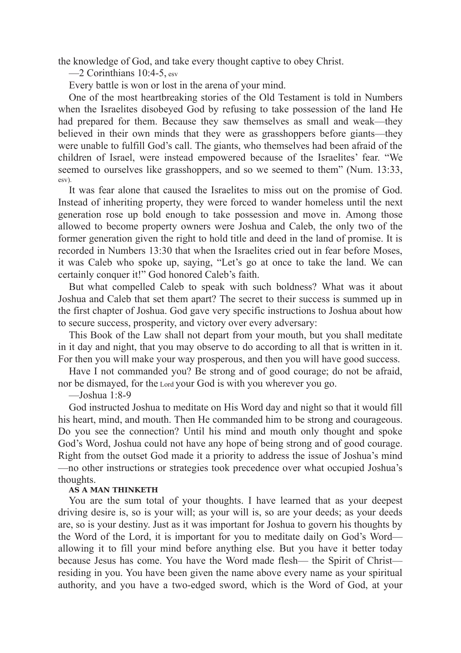the knowledge of God, and take every thought captive to obey Christ.

—2 Corinthians 10:4-5, esv

Every battle is won or lost in the arena of your mind.

One of the most heartbreaking stories of the Old Testament is told in Numbers when the Israelites disobeyed God by refusing to take possession of the land He had prepared for them. Because they saw themselves as small and weak—they believed in their own minds that they were as grasshoppers before giants—they were unable to fulfill God's call. The giants, who themselves had been afraid of the children of Israel, were instead empowered because of the Israelites' fear. "We seemed to ourselves like grasshoppers, and so we seemed to them" (Num. 13:33, esv).

It was fear alone that caused the Israelites to miss out on the promise of God. Instead of inheriting property, they were forced to wander homeless until the next generation rose up bold enough to take possession and move in. Among those allowed to become property owners were Joshua and Caleb, the only two of the former generation given the right to hold title and deed in the land of promise. It is recorded in Numbers 13:30 that when the Israelites cried out in fear before Moses, it was Caleb who spoke up, saying, "Let's go at once to take the land. We can certainly conquer it!" God honored Caleb's faith.

But what compelled Caleb to speak with such boldness? What was it about Joshua and Caleb that set them apart? The secret to their success is summed up in the first chapter of Joshua. God gave very specific instructions to Joshua about how to secure success, prosperity, and victory over every adversary:

This Book of the Law shall not depart from your mouth, but you shall meditate in it day and night, that you may observe to do according to all that is written in it. For then you will make your way prosperous, and then you will have good success.

Have I not commanded you? Be strong and of good courage; do not be afraid, nor be dismayed, for the Lord your God is with you wherever you go.

—Joshua 1:8-9

God instructed Joshua to meditate on His Word day and night so that it would fill his heart, mind, and mouth. Then He commanded him to be strong and courageous. Do you see the connection? Until his mind and mouth only thought and spoke God's Word, Joshua could not have any hope of being strong and of good courage. Right from the outset God made it a priority to address the issue of Joshua's mind —no other instructions or strategies took precedence over what occupied Joshua's thoughts.

### **AS A MAN THINKETH**

You are the sum total of your thoughts. I have learned that as your deepest driving desire is, so is your will; as your will is, so are your deeds; as your deeds are, so is your destiny. Just as it was important for Joshua to govern his thoughts by the Word of the Lord, it is important for you to meditate daily on God's Word allowing it to fill your mind before anything else. But you have it better today because Jesus has come. You have the Word made flesh— the Spirit of Christ residing in you. You have been given the name above every name as your spiritual authority, and you have a two-edged sword, which is the Word of God, at your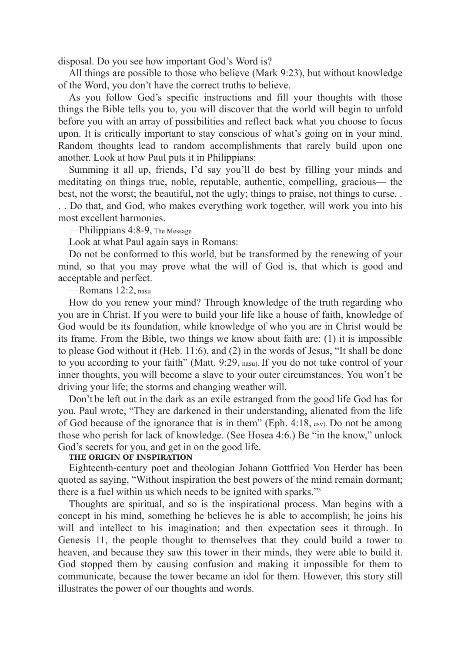disposal. Do you see how important God's Word is?

All things are possible to those who believe (Mark 9:23), but without knowledge of the Word, you don't have the correct truths to believe.

As you follow God's specific instructions and fill your thoughts with those things the Bible tells you to, you will discover that the world will begin to unfold before you with an array of possibilities and reflect back what you choose to focus upon. It is critically important to stay conscious of what's going on in your mind. Random thoughts lead to random accomplishments that rarely build upon one another. Look at how Paul puts it in Philippians:

Summing it all up, friends, I'd say you'll do best by filling your minds and meditating on things true, noble, reputable, authentic, compelling, gracious— the best, not the worst; the beautiful, not the ugly; things to praise, not things to curse. . . . Do that, and God, who makes everything work together, will work you into his most excellent harmonies.

—Philippians 4:8-9, The Message

Look at what Paul again says in Romans:

Do not be conformed to this world, but be transformed by the renewing of your mind, so that you may prove what the will of God is, that which is good and acceptable and perfect.

—Romans 12:2, nasu

How do you renew your mind? Through knowledge of the truth regarding who you are in Christ. If you were to build your life like a house of faith, knowledge of God would be its foundation, while knowledge of who you are in Christ would be its frame. From the Bible, two things we know about faith are: (1) it is impossible to please God without it (Heb. 11:6), and (2) in the words of Jesus, "It shall be done to you according to your faith" (Matt. 9:29, nasu). If you do not take control of your inner thoughts, you will become a slave to your outer circumstances. You won't be driving your life; the storms and changing weather will.

Don't be left out in the dark as an exile estranged from the good life God has for you. Paul wrote, "They are darkened in their understanding, alienated from the life of God because of the ignorance that is in them" (Eph. 4:18, esv). Do not be among those who perish for lack of knowledge. (See Hosea 4:6.) Be "in the know," unlock God's secrets for you, and get in on the good life.

# **THE ORIGIN OF INSPIRATION**

Eighteenth-century poet and theologian Johann Gottfried Von Herder has been quoted as saying, "Without inspiration the best powers of the mind remain dormant; there is a fuel within us which needs to be ignited with sparks." 3

Thoughts are spiritual, and so is the inspirational process. Man begins with a concept in his mind, something he believes he is able to accomplish; he joins his will and intellect to his imagination; and then expectation sees it through. In Genesis 11, the people thought to themselves that they could build a tower to heaven, and because they saw this tower in their minds, they were able to build it. God stopped them by causing confusion and making it impossible for them to communicate, because the tower became an idol for them. However, this story still illustrates the power of our thoughts and words.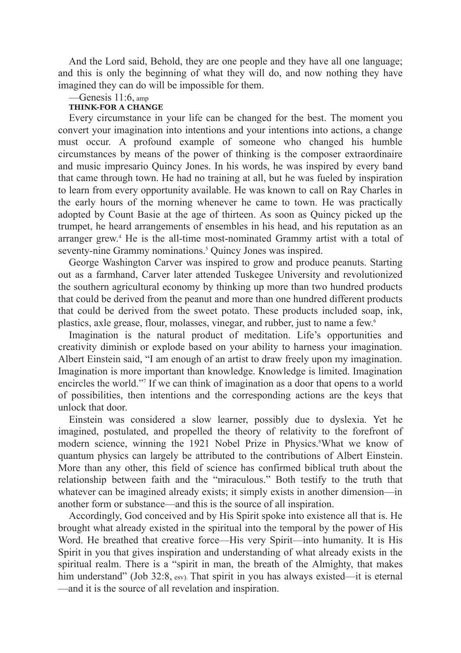And the Lord said, Behold, they are one people and they have all one language; and this is only the beginning of what they will do, and now nothing they have imagined they can do will be impossible for them.

# —Genesis 11:6, amp

# **THINK-FOR A CHANGE**

Every circumstance in your life can be changed for the best. The moment you convert your imagination into intentions and your intentions into actions, a change must occur. A profound example of someone who changed his humble circumstances by means of the power of thinking is the composer extraordinaire and music impresario Quincy Jones. In his words, he was inspired by every band that came through town. He had no training at all, but he was fueled by inspiration to learn from every opportunity available. He was known to call on Ray Charles in the early hours of the morning whenever he came to town. He was practically adopted by Count Basie at the age of thirteen. As soon as Quincy picked up the trumpet, he heard arrangements of ensembles in his head, and his reputation as an arranger grew. <sup>4</sup> He is the all-time most-nominated Grammy artist with a total of seventy-nine Grammy nominations. <sup>5</sup> Quincy Jones was inspired.

George Washington Carver was inspired to grow and produce peanuts. Starting out as a farmhand, Carver later attended Tuskegee University and revolutionized the southern agricultural economy by thinking up more than two hundred products that could be derived from the peanut and more than one hundred different products that could be derived from the sweet potato. These products included soap, ink, plastics, axle grease, flour, molasses, vinegar, and rubber, just to name a few. 6

Imagination is the natural product of meditation. Life's opportunities and creativity diminish or explode based on your ability to harness your imagination. Albert Einstein said, "I am enough of an artist to draw freely upon my imagination. Imagination is more important than knowledge. Knowledge is limited. Imagination encircles the world."<sup>7</sup> If we can think of imagination as a door that opens to a world of possibilities, then intentions and the corresponding actions are the keys that unlock that door.

Einstein was considered a slow learner, possibly due to dyslexia. Yet he imagined, postulated, and propelled the theory of relativity to the forefront of modern science, winning the 1921 Nobel Prize in Physics. <sup>8</sup>What we know of quantum physics can largely be attributed to the contributions of Albert Einstein. More than any other, this field of science has confirmed biblical truth about the relationship between faith and the "miraculous." Both testify to the truth that whatever can be imagined already exists; it simply exists in another dimension—in another form or substance—and this is the source of all inspiration.

Accordingly, God conceived and by His Spirit spoke into existence all that is. He brought what already existed in the spiritual into the temporal by the power of His Word. He breathed that creative force—His very Spirit—into humanity. It is His Spirit in you that gives inspiration and understanding of what already exists in the spiritual realm. There is a "spirit in man, the breath of the Almighty, that makes him understand" (Job 32:8, esv). That spirit in you has always existed—it is eternal —and it is the source of all revelation and inspiration.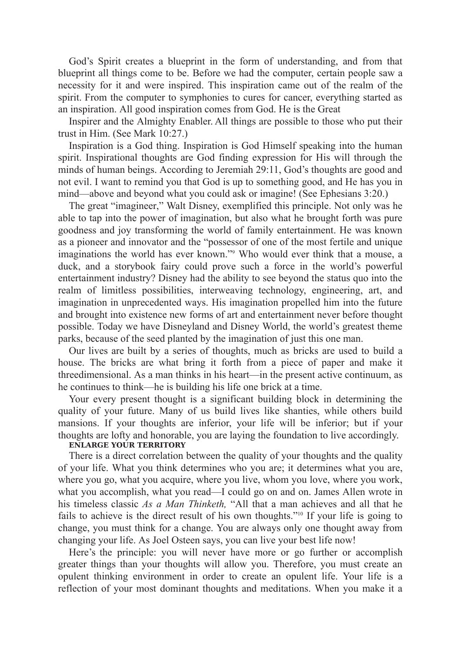God's Spirit creates a blueprint in the form of understanding, and from that blueprint all things come to be. Before we had the computer, certain people saw a necessity for it and were inspired. This inspiration came out of the realm of the spirit. From the computer to symphonies to cures for cancer, everything started as an inspiration. All good inspiration comes from God. He is the Great

Inspirer and the Almighty Enabler. All things are possible to those who put their trust in Him. (See Mark 10:27.)

Inspiration is a God thing. Inspiration is God Himself speaking into the human spirit. Inspirational thoughts are God finding expression for His will through the minds of human beings. According to Jeremiah 29:11, God's thoughts are good and not evil. I want to remind you that God is up to something good, and He has you in mind—above and beyond what you could ask or imagine! (See Ephesians 3:20.)

The great "imagineer," Walt Disney, exemplified this principle. Not only was he able to tap into the power of imagination, but also what he brought forth was pure goodness and joy transforming the world of family entertainment. He was known as a pioneer and innovator and the "possessor of one of the most fertile and unique imaginations the world has ever known." <sup>9</sup> Who would ever think that a mouse, a duck, and a storybook fairy could prove such a force in the world's powerful entertainment industry? Disney had the ability to see beyond the status quo into the realm of limitless possibilities, interweaving technology, engineering, art, and imagination in unprecedented ways. His imagination propelled him into the future and brought into existence new forms of art and entertainment never before thought possible. Today we have Disneyland and Disney World, the world's greatest theme parks, because of the seed planted by the imagination of just this one man.

Our lives are built by a series of thoughts, much as bricks are used to build a house. The bricks are what bring it forth from a piece of paper and make it threedimensional. As a man thinks in his heart—in the present active continuum, as he continues to think—he is building his life one brick at a time.

Your every present thought is a significant building block in determining the quality of your future. Many of us build lives like shanties, while others build mansions. If your thoughts are inferior, your life will be inferior; but if your thoughts are lofty and honorable, you are laying the foundation to live accordingly.

# **ENLARGE YOUR TERRITORY**

There is a direct correlation between the quality of your thoughts and the quality of your life. What you think determines who you are; it determines what you are, where you go, what you acquire, where you live, whom you love, where you work, what you accomplish, what you read—I could go on and on. James Allen wrote in his timeless classic *As a Man Thinketh,* "All that a man achieves and all that he fails to achieve is the direct result of his own thoughts."<sup>10</sup> If your life is going to change, you must think for a change. You are always only one thought away from changing your life. As Joel Osteen says, you can live your best life now!

Here's the principle: you will never have more or go further or accomplish greater things than your thoughts will allow you. Therefore, you must create an opulent thinking environment in order to create an opulent life. Your life is a reflection of your most dominant thoughts and meditations. When you make it a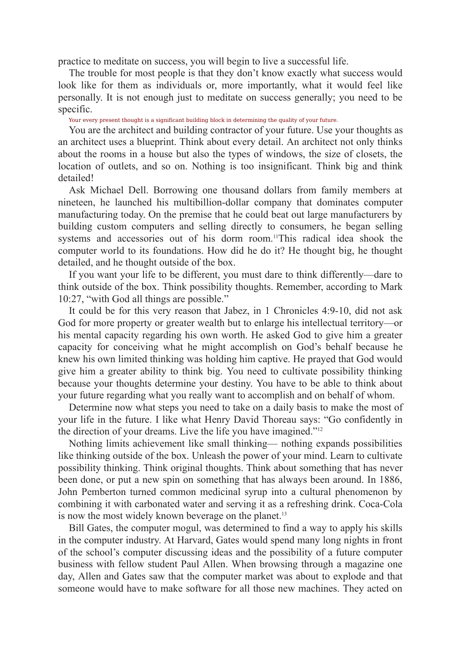practice to meditate on success, you will begin to live a successful life.

The trouble for most people is that they don't know exactly what success would look like for them as individuals or, more importantly, what it would feel like personally. It is not enough just to meditate on success generally; you need to be specific.

Your every present thought is a significant building block in determining the quality of your future.

You are the architect and building contractor of your future. Use your thoughts as an architect uses a blueprint. Think about every detail. An architect not only thinks about the rooms in a house but also the types of windows, the size of closets, the location of outlets, and so on. Nothing is too insignificant. Think big and think detailed!

Ask Michael Dell. Borrowing one thousand dollars from family members at nineteen, he launched his multibillion-dollar company that dominates computer manufacturing today. On the premise that he could beat out large manufacturers by building custom computers and selling directly to consumers, he began selling systems and accessories out of his dorm room.<sup>11</sup>This radical idea shook the computer world to its foundations. How did he do it? He thought big, he thought detailed, and he thought outside of the box.

If you want your life to be different, you must dare to think differently—dare to think outside of the box. Think possibility thoughts. Remember, according to Mark 10:27, "with God all things are possible."

It could be for this very reason that Jabez, in 1 Chronicles 4:9-10, did not ask God for more property or greater wealth but to enlarge his intellectual territory—or his mental capacity regarding his own worth. He asked God to give him a greater capacity for conceiving what he might accomplish on God's behalf because he knew his own limited thinking was holding him captive. He prayed that God would give him a greater ability to think big. You need to cultivate possibility thinking because your thoughts determine your destiny. You have to be able to think about your future regarding what you really want to accomplish and on behalf of whom.

Determine now what steps you need to take on a daily basis to make the most of your life in the future. I like what Henry David Thoreau says: "Go confidently in the direction of your dreams. Live the life you have imagined." 12

Nothing limits achievement like small thinking— nothing expands possibilities like thinking outside of the box. Unleash the power of your mind. Learn to cultivate possibility thinking. Think original thoughts. Think about something that has never been done, or put a new spin on something that has always been around. In 1886, John Pemberton turned common medicinal syrup into a cultural phenomenon by combining it with carbonated water and serving it as a refreshing drink. Coca-Cola is now the most widely known beverage on the planet. 13

Bill Gates, the computer mogul, was determined to find a way to apply his skills in the computer industry. At Harvard, Gates would spend many long nights in front of the school's computer discussing ideas and the possibility of a future computer business with fellow student Paul Allen. When browsing through a magazine one day, Allen and Gates saw that the computer market was about to explode and that someone would have to make software for all those new machines. They acted on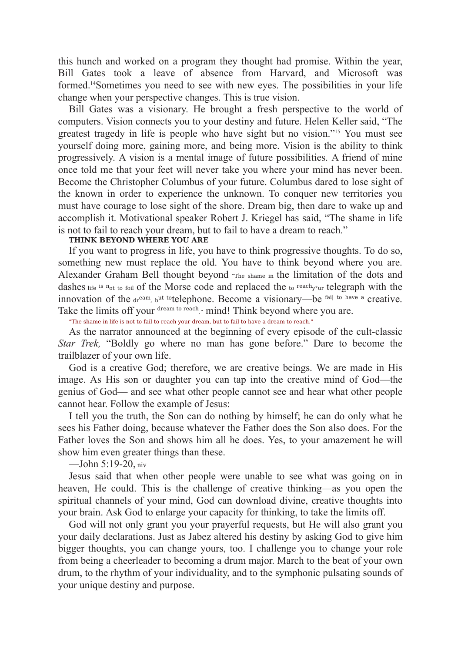this hunch and worked on a program they thought had promise. Within the year, Bill Gates took a leave of absence from Harvard, and Microsoft was formed. <sup>14</sup>Sometimes you need to see with new eyes. The possibilities in your life change when your perspective changes. This is true vision.

Bill Gates was a visionary. He brought a fresh perspective to the world of computers. Vision connects you to your destiny and future. Helen Keller said, "The greatest tragedy in life is people who have sight but no vision." <sup>15</sup> You must see yourself doing more, gaining more, and being more. Vision is the ability to think progressively. A vision is a mental image of future possibilities. A friend of mine once told me that your feet will never take you where your mind has never been. Become the Christopher Columbus of your future. Columbus dared to lose sight of the known in order to experience the unknown. To conquer new territories you must have courage to lose sight of the shore. Dream big, then dare to wake up and accomplish it. Motivational speaker Robert J. Kriegel has said, "The shame in life is not to fail to reach your dream, but to fail to have a dream to reach."

### **THINK BEYOND WHERE YOU ARE**

If you want to progress in life, you have to think progressive thoughts. To do so, something new must replace the old. You have to think beyond where you are. Alexander Graham Bell thought beyond "The shame in the limitation of the dots and dashes life is n<sub>ot to foil</sub> of the Morse code and replaced the to reachyour telegraph with the innovation of the dream, but totelephone. Become a visionary—be fail to have a creative. Take the limits off your dream to reach.<sup>"</sup> mind! Think beyond where you are.

"The shame in life is not to fail to reach your dream, but to fail to have a dream to reach."

As the narrator announced at the beginning of every episode of the cult-classic *Star Trek,* "Boldly go where no man has gone before." Dare to become the trailblazer of your own life.

God is a creative God; therefore, we are creative beings. We are made in His image. As His son or daughter you can tap into the creative mind of God—the genius of God— and see what other people cannot see and hear what other people cannot hear. Follow the example of Jesus:

I tell you the truth, the Son can do nothing by himself; he can do only what he sees his Father doing, because whatever the Father does the Son also does. For the Father loves the Son and shows him all he does. Yes, to your amazement he will show him even greater things than these.

—John 5:19-20, niv

Jesus said that when other people were unable to see what was going on in heaven, He could. This is the challenge of creative thinking—as you open the spiritual channels of your mind, God can download divine, creative thoughts into your brain. Ask God to enlarge your capacity for thinking, to take the limits off.

God will not only grant you your prayerful requests, but He will also grant you your daily declarations. Just as Jabez altered his destiny by asking God to give him bigger thoughts, you can change yours, too. I challenge you to change your role from being a cheerleader to becoming a drum major. March to the beat of your own drum, to the rhythm of your individuality, and to the symphonic pulsating sounds of your unique destiny and purpose.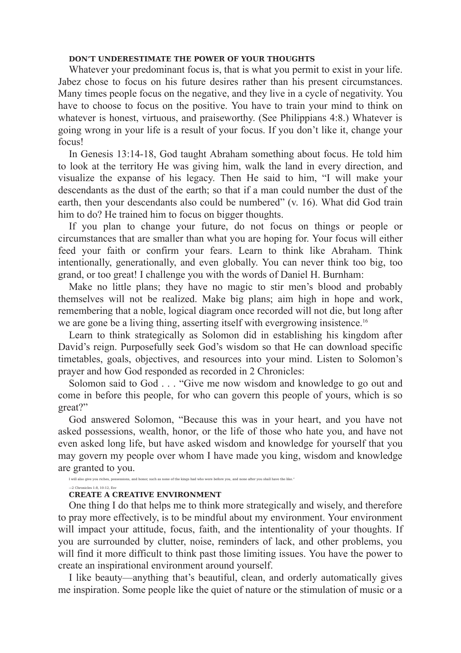### **DON'T UNDERESTIMATE THE POWER OF YOUR THOUGHTS**

Whatever your predominant focus is, that is what you permit to exist in your life. Jabez chose to focus on his future desires rather than his present circumstances. Many times people focus on the negative, and they live in a cycle of negativity. You have to choose to focus on the positive. You have to train your mind to think on whatever is honest, virtuous, and praiseworthy. (See Philippians 4:8.) Whatever is going wrong in your life is a result of your focus. If you don't like it, change your focus!

In Genesis 13:14-18, God taught Abraham something about focus. He told him to look at the territory He was giving him, walk the land in every direction, and visualize the expanse of his legacy. Then He said to him, "I will make your descendants as the dust of the earth; so that if a man could number the dust of the earth, then your descendants also could be numbered" (v. 16). What did God train him to do? He trained him to focus on bigger thoughts.

If you plan to change your future, do not focus on things or people or circumstances that are smaller than what you are hoping for. Your focus will either feed your faith or confirm your fears. Learn to think like Abraham. Think intentionally, generationally, and even globally. You can never think too big, too grand, or too great! I challenge you with the words of Daniel H. Burnham:

Make no little plans; they have no magic to stir men's blood and probably themselves will not be realized. Make big plans; aim high in hope and work, remembering that a noble, logical diagram once recorded will not die, but long after we are gone be a living thing, asserting itself with evergrowing insistence. 16

Learn to think strategically as Solomon did in establishing his kingdom after David's reign. Purposefully seek God's wisdom so that He can download specific timetables, goals, objectives, and resources into your mind. Listen to Solomon's prayer and how God responded as recorded in 2 Chronicles:

Solomon said to God . . . "Give me now wisdom and knowledge to go out and come in before this people, for who can govern this people of yours, which is so great?"

God answered Solomon, "Because this was in your heart, and you have not asked possessions, wealth, honor, or the life of those who hate you, and have not even asked long life, but have asked wisdom and knowledge for yourself that you may govern my people over whom I have made you king, wisdom and knowledge are granted to you.

I will also give you riches, possessions, and honor, such as none of the kings had who were before you, and none after you shall have the like."

### **CREATE A CREATIVE ENVIRONMENT**

—2 Chronicles 1:8, 10-12, Esv

One thing I do that helps me to think more strategically and wisely, and therefore to pray more effectively, is to be mindful about my environment. Your environment will impact your attitude, focus, faith, and the intentionality of your thoughts. If you are surrounded by clutter, noise, reminders of lack, and other problems, you will find it more difficult to think past those limiting issues. You have the power to create an inspirational environment around yourself.

I like beauty—anything that's beautiful, clean, and orderly automatically gives me inspiration. Some people like the quiet of nature or the stimulation of music or a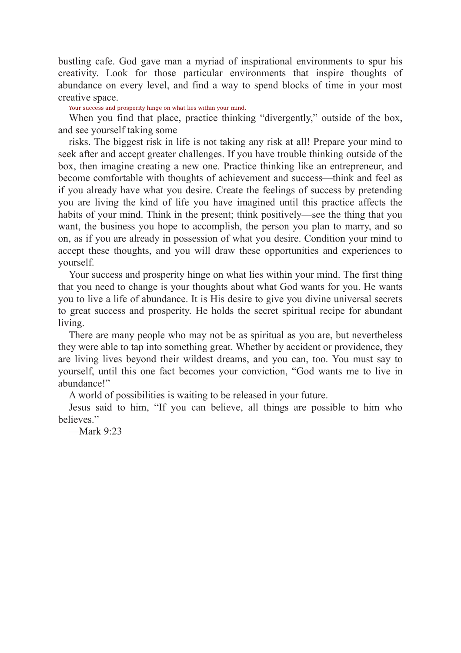bustling cafe. God gave man a myriad of inspirational environments to spur his creativity. Look for those particular environments that inspire thoughts of abundance on every level, and find a way to spend blocks of time in your most creative space.

Your success and prosperity hinge on what lies within your mind.

When you find that place, practice thinking "divergently," outside of the box, and see yourself taking some

risks. The biggest risk in life is not taking any risk at all! Prepare your mind to seek after and accept greater challenges. If you have trouble thinking outside of the box, then imagine creating a new one. Practice thinking like an entrepreneur, and become comfortable with thoughts of achievement and success—think and feel as if you already have what you desire. Create the feelings of success by pretending you are living the kind of life you have imagined until this practice affects the habits of your mind. Think in the present; think positively—see the thing that you want, the business you hope to accomplish, the person you plan to marry, and so on, as if you are already in possession of what you desire. Condition your mind to accept these thoughts, and you will draw these opportunities and experiences to yourself.

Your success and prosperity hinge on what lies within your mind. The first thing that you need to change is your thoughts about what God wants for you. He wants you to live a life of abundance. It is His desire to give you divine universal secrets to great success and prosperity. He holds the secret spiritual recipe for abundant living.

There are many people who may not be as spiritual as you are, but nevertheless they were able to tap into something great. Whether by accident or providence, they are living lives beyond their wildest dreams, and you can, too. You must say to yourself, until this one fact becomes your conviction, "God wants me to live in abundance!"

A world of possibilities is waiting to be released in your future.

Jesus said to him, "If you can believe, all things are possible to him who believes."

—Mark 9:23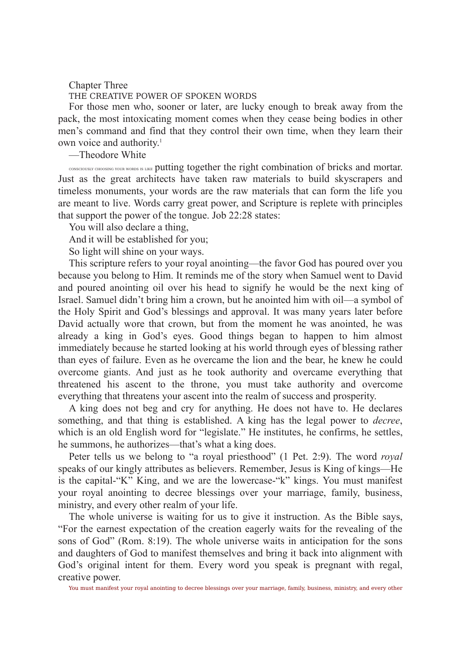# Chapter Three THE CREATIVE POWER OF SPOKEN WORDS

For those men who, sooner or later, are lucky enough to break away from the pack, the most intoxicating moment comes when they cease being bodies in other men's command and find that they control their own time, when they learn their own voice and authority. 1

## —Theodore White

CONSCIOUSLY CHOOSING YOUR WORDS IS LIKE putting together the right combination of bricks and mortar. Just as the great architects have taken raw materials to build skyscrapers and timeless monuments, your words are the raw materials that can form the life you are meant to live. Words carry great power, and Scripture is replete with principles that support the power of the tongue. Job 22:28 states:

You will also declare a thing,

And it will be established for you;

So light will shine on your ways.

This scripture refers to your royal anointing—the favor God has poured over you because you belong to Him. It reminds me of the story when Samuel went to David and poured anointing oil over his head to signify he would be the next king of Israel. Samuel didn't bring him a crown, but he anointed him with oil—a symbol of the Holy Spirit and God's blessings and approval. It was many years later before David actually wore that crown, but from the moment he was anointed, he was already a king in God's eyes. Good things began to happen to him almost immediately because he started looking at his world through eyes of blessing rather than eyes of failure. Even as he overcame the lion and the bear, he knew he could overcome giants. And just as he took authority and overcame everything that threatened his ascent to the throne, you must take authority and overcome everything that threatens your ascent into the realm of success and prosperity.

A king does not beg and cry for anything. He does not have to. He declares something, and that thing is established. A king has the legal power to *decree*, which is an old English word for "legislate." He institutes, he confirms, he settles, he summons, he authorizes—that's what a king does.

Peter tells us we belong to "a royal priesthood" (1 Pet. 2:9). The word *royal* speaks of our kingly attributes as believers. Remember, Jesus is King of kings—He is the capital-"K" King, and we are the lowercase-"k" kings. You must manifest your royal anointing to decree blessings over your marriage, family, business, ministry, and every other realm of your life.

The whole universe is waiting for us to give it instruction. As the Bible says, "For the earnest expectation of the creation eagerly waits for the revealing of the sons of God" (Rom. 8:19). The whole universe waits in anticipation for the sons and daughters of God to manifest themselves and bring it back into alignment with God's original intent for them. Every word you speak is pregnant with regal, creative power.

You must manifest your royal anointing to decree blessings over your marriage, family, business, ministry, and every other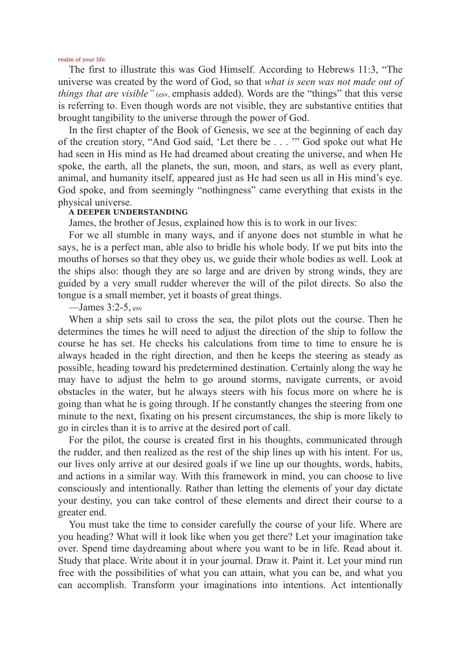#### realm of your life.

The first to illustrate this was God Himself. According to Hebrews 11:3, "The universe was created by the word of God, so that *what is seen was not made out of things that are visible*" (esv, emphasis added). Words are the "things" that this verse is referring to. Even though words are not visible, they are substantive entities that brought tangibility to the universe through the power of God.

In the first chapter of the Book of Genesis, we see at the beginning of each day of the creation story, "And God said, 'Let there be . . . '" God spoke out what He had seen in His mind as He had dreamed about creating the universe, and when He spoke, the earth, all the planets, the sun, moon, and stars, as well as every plant, animal, and humanity itself, appeared just as He had seen us all in His mind's eye. God spoke, and from seemingly "nothingness" came everything that exists in the physical universe.

### **A DEEPER UNDERSTANDING**

James, the brother of Jesus, explained how this is to work in our lives:

For we all stumble in many ways, and if anyone does not stumble in what he says, he is a perfect man, able also to bridle his whole body. If we put bits into the mouths of horses so that they obey us, we guide their whole bodies as well. Look at the ships also: though they are so large and are driven by strong winds, they are guided by a very small rudder wherever the will of the pilot directs. So also the tongue is a small member, yet it boasts of great things.

—James 3:2-5, esv

When a ship sets sail to cross the sea, the pilot plots out the course. Then he determines the times he will need to adjust the direction of the ship to follow the course he has set. He checks his calculations from time to time to ensure he is always headed in the right direction, and then he keeps the steering as steady as possible, heading toward his predetermined destination. Certainly along the way he may have to adjust the helm to go around storms, navigate currents, or avoid obstacles in the water, but he always steers with his focus more on where he is going than what he is going through. If he constantly changes the steering from one minute to the next, fixating on his present circumstances, the ship is more likely to go in circles than it is to arrive at the desired port of call.

For the pilot, the course is created first in his thoughts, communicated through the rudder, and then realized as the rest of the ship lines up with his intent. For us, our lives only arrive at our desired goals if we line up our thoughts, words, habits, and actions in a similar way. With this framework in mind, you can choose to live consciously and intentionally. Rather than letting the elements of your day dictate your destiny, you can take control of these elements and direct their course to a greater end.

You must take the time to consider carefully the course of your life. Where are you heading? What will it look like when you get there? Let your imagination take over. Spend time daydreaming about where you want to be in life. Read about it. Study that place. Write about it in your journal. Draw it. Paint it. Let your mind run free with the possibilities of what you can attain, what you can be, and what you can accomplish. Transform your imaginations into intentions. Act intentionally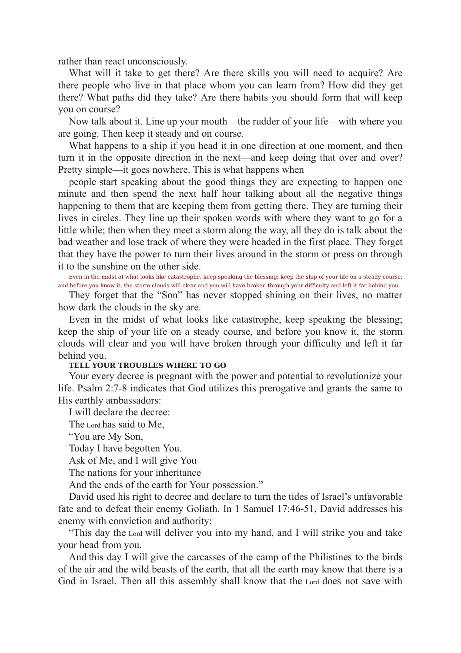rather than react unconsciously.

What will it take to get there? Are there skills you will need to acquire? Are there people who live in that place whom you can learn from? How did they get there? What paths did they take? Are there habits you should form that will keep you on course?

Now talk about it. Line up your mouth—the rudder of your life—with where you are going. Then keep it steady and on course.

What happens to a ship if you head it in one direction at one moment, and then turn it in the opposite direction in the next—and keep doing that over and over? Pretty simple—it goes nowhere. This is what happens when

people start speaking about the good things they are expecting to happen one minute and then spend the next half hour talking about all the negative things happening to them that are keeping them from getting there. They are turning their lives in circles. They line up their spoken words with where they want to go for a little while; then when they meet a storm along the way, all they do is talk about the bad weather and lose track of where they were headed in the first place. They forget that they have the power to turn their lives around in the storm or press on through it to the sunshine on the other side.

Even in the midst of what looks like catastrophe, keep speaking the blessing; keep the ship of your life on a steady course, and before you know it, the storm clouds will clear and you will have broken through your difficulty and left it far behind you.

They forget that the "Son" has never stopped shining on their lives, no matter how dark the clouds in the sky are.

Even in the midst of what looks like catastrophe, keep speaking the blessing; keep the ship of your life on a steady course, and before you know it, the storm clouds will clear and you will have broken through your difficulty and left it far behind you.

### **TELL YOUR TROUBLES WHERE TO GO**

Your every decree is pregnant with the power and potential to revolutionize your life. Psalm 2:7-8 indicates that God utilizes this prerogative and grants the same to His earthly ambassadors:

I will declare the decree:

The Lord has said to Me,

"You are My Son,

Today I have begotten You.

Ask of Me, and I will give You

The nations for your inheritance

And the ends of the earth for Your possession."

David used his right to decree and declare to turn the tides of Israel's unfavorable fate and to defeat their enemy Goliath. In 1 Samuel 17:46-51, David addresses his enemy with conviction and authority:

"This day the Lord will deliver you into my hand, and I will strike you and take your head from you.

And this day I will give the carcasses of the camp of the Philistines to the birds of the air and the wild beasts of the earth, that all the earth may know that there is a God in Israel. Then all this assembly shall know that the Lord does not save with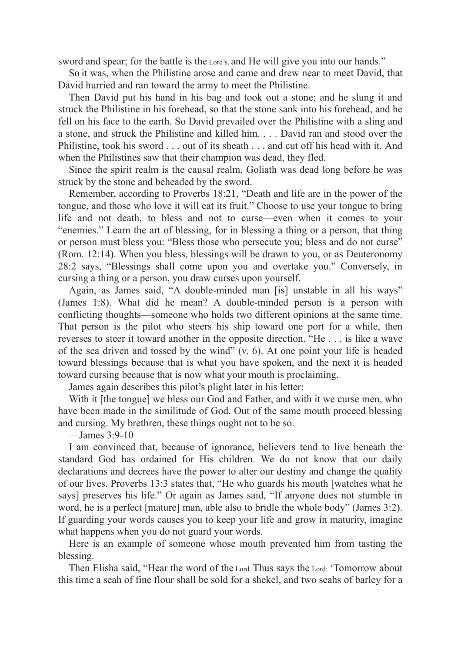sword and spear; for the battle is the Lord's, and He will give you into our hands."

So it was, when the Philistine arose and came and drew near to meet David, that David hurried and ran toward the army to meet the Philistine.

Then David put his hand in his bag and took out a stone; and he slung it and struck the Philistine in his forehead, so that the stone sank into his forehead, and he fell on his face to the earth. So David prevailed over the Philistine with a sling and a stone, and struck the Philistine and killed him. . . . David ran and stood over the Philistine, took his sword . . . out of its sheath . . . and cut off his head with it. And when the Philistines saw that their champion was dead, they fled.

Since the spirit realm is the causal realm, Goliath was dead long before he was struck by the stone and beheaded by the sword.

Remember, according to Proverbs 18:21, "Death and life are in the power of the tongue, and those who love it will eat its fruit." Choose to use your tongue to bring life and not death, to bless and not to curse—even when it comes to your "enemies." Learn the art of blessing, for in blessing a thing or a person, that thing or person must bless you: "Bless those who persecute you; bless and do not curse" (Rom. 12:14). When you bless, blessings will be drawn to you, or as Deuteronomy 28:2 says, "Blessings shall come upon you and overtake you." Conversely, in cursing a thing or a person, you draw curses upon yourself.

Again, as James said, "A double-minded man [is] unstable in all his ways" (James 1:8). What did he mean? A double-minded person is a person with conflicting thoughts—someone who holds two different opinions at the same time. That person is the pilot who steers his ship toward one port for a while, then reverses to steer it toward another in the opposite direction. "He . . . is like a wave of the sea driven and tossed by the wind" (v. 6). At one point your life is headed toward blessings because that is what you have spoken, and the next it is headed toward cursing because that is now what your mouth is proclaiming.

James again describes this pilot's plight later in his letter:

With it [the tongue] we bless our God and Father, and with it we curse men, who have been made in the similitude of God. Out of the same mouth proceed blessing and cursing. My brethren, these things ought not to be so.

—James 3:9-10

I am convinced that, because of ignorance, believers tend to live beneath the standard God has ordained for His children. We do not know that our daily declarations and decrees have the power to alter our destiny and change the quality of our lives. Proverbs 13:3 states that, "He who guards his mouth [watches what he says] preserves his life." Or again as James said, "If anyone does not stumble in word, he is a perfect [mature] man, able also to bridle the whole body" (James 3:2). If guarding your words causes you to keep your life and grow in maturity, imagine what happens when you do not guard your words.

Here is an example of someone whose mouth prevented him from tasting the blessing.

Then Elisha said, "Hear the word of the Lord. Thus says the Lord: 'Tomorrow about this time a seah of fine flour shall be sold for a shekel, and two seahs of barley for a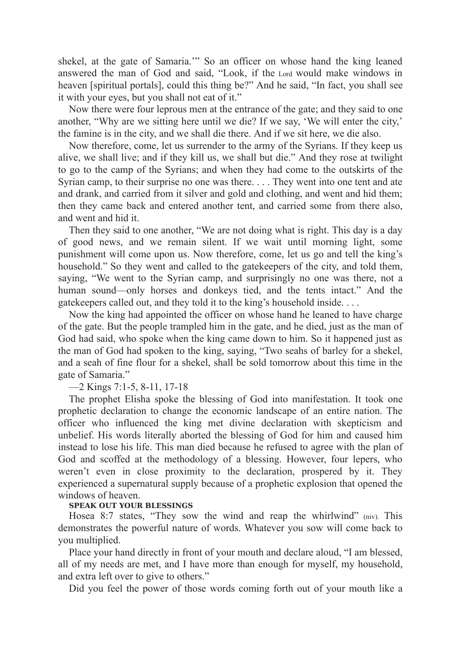shekel, at the gate of Samaria.'" So an officer on whose hand the king leaned answered the man of God and said, "Look, if the Lord would make windows in heaven [spiritual portals], could this thing be?" And he said, "In fact, you shall see it with your eyes, but you shall not eat of it."

Now there were four leprous men at the entrance of the gate; and they said to one another, "Why are we sitting here until we die? If we say, 'We will enter the city,' the famine is in the city, and we shall die there. And if we sit here, we die also.

Now therefore, come, let us surrender to the army of the Syrians. If they keep us alive, we shall live; and if they kill us, we shall but die." And they rose at twilight to go to the camp of the Syrians; and when they had come to the outskirts of the Syrian camp, to their surprise no one was there. . . . They went into one tent and ate and drank, and carried from it silver and gold and clothing, and went and hid them; then they came back and entered another tent, and carried some from there also, and went and hid it.

Then they said to one another, "We are not doing what is right. This day is a day of good news, and we remain silent. If we wait until morning light, some punishment will come upon us. Now therefore, come, let us go and tell the king's household." So they went and called to the gatekeepers of the city, and told them, saying, "We went to the Syrian camp, and surprisingly no one was there, not a human sound—only horses and donkeys tied, and the tents intact." And the gatekeepers called out, and they told it to the king's household inside. . . .

Now the king had appointed the officer on whose hand he leaned to have charge of the gate. But the people trampled him in the gate, and he died, just as the man of God had said, who spoke when the king came down to him. So it happened just as the man of God had spoken to the king, saying, "Two seahs of barley for a shekel, and a seah of fine flour for a shekel, shall be sold tomorrow about this time in the gate of Samaria."

—2 Kings 7:1-5, 8-11, 17-18

The prophet Elisha spoke the blessing of God into manifestation. It took one prophetic declaration to change the economic landscape of an entire nation. The officer who influenced the king met divine declaration with skepticism and unbelief. His words literally aborted the blessing of God for him and caused him instead to lose his life. This man died because he refused to agree with the plan of God and scoffed at the methodology of a blessing. However, four lepers, who weren't even in close proximity to the declaration, prospered by it. They experienced a supernatural supply because of a prophetic explosion that opened the windows of heaven.

### **SPEAK OUT YOUR BLESSINGS**

Hosea 8:7 states, "They sow the wind and reap the whirlwind" (niv). This demonstrates the powerful nature of words. Whatever you sow will come back to you multiplied.

Place your hand directly in front of your mouth and declare aloud, "I am blessed, all of my needs are met, and I have more than enough for myself, my household, and extra left over to give to others."

Did you feel the power of those words coming forth out of your mouth like a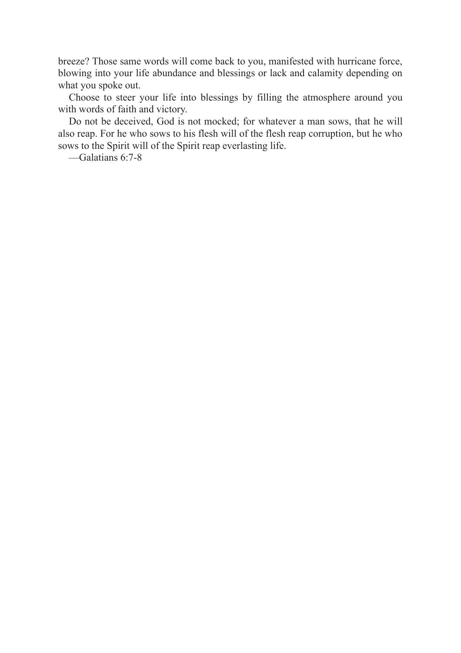breeze? Those same words will come back to you, manifested with hurricane force, blowing into your life abundance and blessings or lack and calamity depending on what you spoke out.

Choose to steer your life into blessings by filling the atmosphere around you with words of faith and victory.

Do not be deceived, God is not mocked; for whatever a man sows, that he will also reap. For he who sows to his flesh will of the flesh reap corruption, but he who sows to the Spirit will of the Spirit reap everlasting life.

—Galatians 6:7-8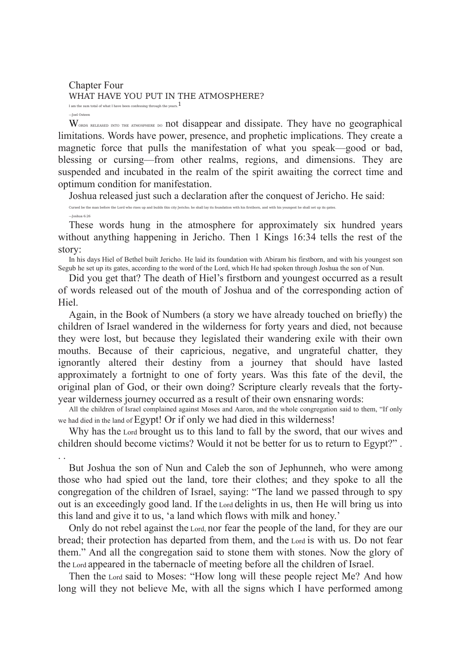Chapter Four WHAT HAVE YOU PUT IN THE ATMOSPHERE? I am the sum total of what I have been confessing through the years.  $1$ 

—Joel Osteen

—Joshua 6:26

W<sub>ORDS RELEASED INTO THE ATMOSPHERE DO</sub> not disappear and dissipate. They have no geographical limitations. Words have power, presence, and prophetic implications. They create a magnetic force that pulls the manifestation of what you speak—good or bad, blessing or cursing—from other realms, regions, and dimensions. They are suspended and incubated in the realm of the spirit awaiting the correct time and optimum condition for manifestation.

Joshua released just such a declaration after the conquest of Jericho. He said:

Cursed be the man before the Lord who rises up and builds this city Jericho; he shall lay its foundation with his firstborn, and with his youngest he shall set up its gates.

These words hung in the atmosphere for approximately six hundred years without anything happening in Jericho. Then 1 Kings 16:34 tells the rest of the story:

In his days Hiel of Bethel built Jericho. He laid its foundation with Abiram his firstborn, and with his youngest son Segub he set up its gates, according to the word of the Lord, which He had spoken through Joshua the son of Nun.

Did you get that? The death of Hiel's firstborn and youngest occurred as a result of words released out of the mouth of Joshua and of the corresponding action of Hiel.

Again, in the Book of Numbers (a story we have already touched on briefly) the children of Israel wandered in the wilderness for forty years and died, not because they were lost, but because they legislated their wandering exile with their own mouths. Because of their capricious, negative, and ungrateful chatter, they ignorantly altered their destiny from a journey that should have lasted approximately a fortnight to one of forty years. Was this fate of the devil, the original plan of God, or their own doing? Scripture clearly reveals that the fortyyear wilderness journey occurred as a result of their own ensnaring words:

All the children of Israel complained against Moses and Aaron, and the whole congregation said to them, "If only we had died in the land of Egypt! Or if only we had died in this wilderness!

Why has the Lord brought us to this land to fall by the sword, that our wives and children should become victims? Would it not be better for us to return to Egypt?" . . .

But Joshua the son of Nun and Caleb the son of Jephunneh, who were among those who had spied out the land, tore their clothes; and they spoke to all the congregation of the children of Israel, saying: "The land we passed through to spy out is an exceedingly good land. If the Lord delights in us, then He will bring us into this land and give it to us, 'a land which flows with milk and honey.'

Only do not rebel against the Lord, nor fear the people of the land, for they are our bread; their protection has departed from them, and the Lord is with us. Do not fear them." And all the congregation said to stone them with stones. Now the glory of the Lord appeared in the tabernacle of meeting before all the children of Israel.

Then the Lord said to Moses: "How long will these people reject Me? And how long will they not believe Me, with all the signs which I have performed among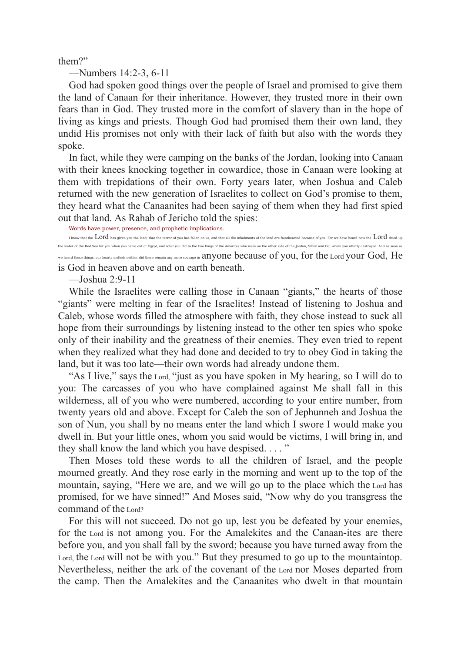them?"

—Numbers 14:2-3, 6-11

God had spoken good things over the people of Israel and promised to give them the land of Canaan for their inheritance. However, they trusted more in their own fears than in God. They trusted more in the comfort of slavery than in the hope of living as kings and priests. Though God had promised them their own land, they undid His promises not only with their lack of faith but also with the words they spoke.

In fact, while they were camping on the banks of the Jordan, looking into Canaan with their knees knocking together in cowardice, those in Canaan were looking at them with trepidations of their own. Forty years later, when Joshua and Caleb returned with the new generation of Israelites to collect on God's promise to them, they heard what the Canaanites had been saying of them when they had first spied out that land. As Rahab of Jericho told the spies:

Words have power, presence, and prophetic implications.

I know that the  $Lord$  has given you the land, that the terror of you has fallen on us, and that all the inhabitants of the land are fainthearted because of you. For we have heard how the  $Lord$  dried up the water of the Red Sea for you when you came out of Egypt, and what you did to the two kings of the Amorites who were on the other side of the Jordan, Sihon and Og, whom you utterly destroyed. And as soon as we heard these things, our hearts melted; neither did there remain any more courage in any One because of you, for the Lord your God, He is God in heaven above and on earth beneath.

—Joshua 2:9-11

While the Israelites were calling those in Canaan "giants," the hearts of those "giants" were melting in fear of the Israelites! Instead of listening to Joshua and Caleb, whose words filled the atmosphere with faith, they chose instead to suck all hope from their surroundings by listening instead to the other ten spies who spoke only of their inability and the greatness of their enemies. They even tried to repent when they realized what they had done and decided to try to obey God in taking the land, but it was too late—their own words had already undone them.

"As I live," says the Lord, "just as you have spoken in My hearing, so I will do to you: The carcasses of you who have complained against Me shall fall in this wilderness, all of you who were numbered, according to your entire number, from twenty years old and above. Except for Caleb the son of Jephunneh and Joshua the son of Nun, you shall by no means enter the land which I swore I would make you dwell in. But your little ones, whom you said would be victims, I will bring in, and they shall know the land which you have despised. . . . "

Then Moses told these words to all the children of Israel, and the people mourned greatly. And they rose early in the morning and went up to the top of the mountain, saying, "Here we are, and we will go up to the place which the Lord has promised, for we have sinned!" And Moses said, "Now why do you transgress the command of the Lord?

For this will not succeed. Do not go up, lest you be defeated by your enemies, for the Lord is not among you. For the Amalekites and the Canaan-ites are there before you, and you shall fall by the sword; because you have turned away from the Lord, the Lord will not be with you." But they presumed to go up to the mountaintop. Nevertheless, neither the ark of the covenant of the Lord nor Moses departed from the camp. Then the Amalekites and the Canaanites who dwelt in that mountain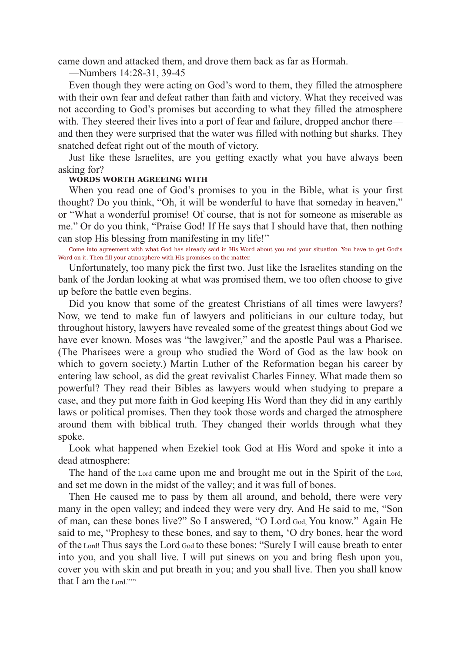came down and attacked them, and drove them back as far as Hormah.

—Numbers 14:28-31, 39-45

Even though they were acting on God's word to them, they filled the atmosphere with their own fear and defeat rather than faith and victory. What they received was not according to God's promises but according to what they filled the atmosphere with. They steered their lives into a port of fear and failure, dropped anchor there and then they were surprised that the water was filled with nothing but sharks. They snatched defeat right out of the mouth of victory.

Just like these Israelites, are you getting exactly what you have always been asking for?

## **WORDS WORTH AGREEING WITH**

When you read one of God's promises to you in the Bible, what is your first thought? Do you think, "Oh, it will be wonderful to have that someday in heaven," or "What a wonderful promise! Of course, that is not for someone as miserable as me." Or do you think, "Praise God! If He says that I should have that, then nothing can stop His blessing from manifesting in my life!"

Come into agreement with what God has already said in His Word about you and your situation. You have to get God's Word on it. Then fill your atmosphere with His promises on the matter.

Unfortunately, too many pick the first two. Just like the Israelites standing on the bank of the Jordan looking at what was promised them, we too often choose to give up before the battle even begins.

Did you know that some of the greatest Christians of all times were lawyers? Now, we tend to make fun of lawyers and politicians in our culture today, but throughout history, lawyers have revealed some of the greatest things about God we have ever known. Moses was "the lawgiver," and the apostle Paul was a Pharisee. (The Pharisees were a group who studied the Word of God as the law book on which to govern society.) Martin Luther of the Reformation began his career by entering law school, as did the great revivalist Charles Finney. What made them so powerful? They read their Bibles as lawyers would when studying to prepare a case, and they put more faith in God keeping His Word than they did in any earthly laws or political promises. Then they took those words and charged the atmosphere around them with biblical truth. They changed their worlds through what they spoke.

Look what happened when Ezekiel took God at His Word and spoke it into a dead atmosphere:

The hand of the Lord came upon me and brought me out in the Spirit of the Lord, and set me down in the midst of the valley; and it was full of bones.

Then He caused me to pass by them all around, and behold, there were very many in the open valley; and indeed they were very dry. And He said to me, "Son of man, can these bones live?" So I answered, "O Lord God, You know." Again He said to me, "Prophesy to these bones, and say to them, 'O dry bones, hear the word of the Lord! Thus says the Lord God to these bones: "Surely I will cause breath to enter into you, and you shall live. I will put sinews on you and bring flesh upon you, cover you with skin and put breath in you; and you shall live. Then you shall know that I am the Lord.""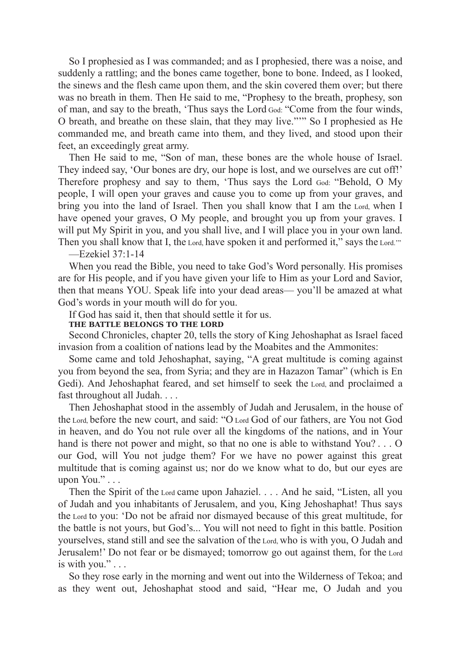So I prophesied as I was commanded; and as I prophesied, there was a noise, and suddenly a rattling; and the bones came together, bone to bone. Indeed, as I looked, the sinews and the flesh came upon them, and the skin covered them over; but there was no breath in them. Then He said to me, "Prophesy to the breath, prophesy, son of man, and say to the breath, 'Thus says the Lord God: "Come from the four winds, O breath, and breathe on these slain, that they may live."'" So I prophesied as He commanded me, and breath came into them, and they lived, and stood upon their feet, an exceedingly great army.

Then He said to me, "Son of man, these bones are the whole house of Israel. They indeed say, 'Our bones are dry, our hope is lost, and we ourselves are cut off!' Therefore prophesy and say to them, 'Thus says the Lord God: "Behold, O My people, I will open your graves and cause you to come up from your graves, and bring you into the land of Israel. Then you shall know that I am the Lord, when I have opened your graves, O My people, and brought you up from your graves. I will put My Spirit in you, and you shall live, and I will place you in your own land. Then you shall know that I, the Lord, have spoken it and performed it," says the Lord."

—Ezekiel 37:1-14

When you read the Bible, you need to take God's Word personally. His promises are for His people, and if you have given your life to Him as your Lord and Savior, then that means YOU. Speak life into your dead areas— you'll be amazed at what God's words in your mouth will do for you.

If God has said it, then that should settle it for us.

### **THE BATTLE BELONGS TO THE LORD**

Second Chronicles, chapter 20, tells the story of King Jehoshaphat as Israel faced invasion from a coalition of nations lead by the Moabites and the Ammonites:

Some came and told Jehoshaphat, saying, "A great multitude is coming against you from beyond the sea, from Syria; and they are in Hazazon Tamar" (which is En Gedi). And Jehoshaphat feared, and set himself to seek the Lord, and proclaimed a fast throughout all Judah. . . .

Then Jehoshaphat stood in the assembly of Judah and Jerusalem, in the house of the Lord, before the new court, and said: "O Lord God of our fathers, are You not God in heaven, and do You not rule over all the kingdoms of the nations, and in Your hand is there not power and might, so that no one is able to withstand You? . . . O our God, will You not judge them? For we have no power against this great multitude that is coming against us; nor do we know what to do, but our eyes are upon You." . . .

Then the Spirit of the Lord came upon Jahaziel. . . . And he said, "Listen, all you of Judah and you inhabitants of Jerusalem, and you, King Jehoshaphat! Thus says the Lord to you: 'Do not be afraid nor dismayed because of this great multitude, for the battle is not yours, but God's... You will not need to fight in this battle. Position yourselves, stand still and see the salvation of the Lord, who is with you, O Judah and Jerusalem!' Do not fear or be dismayed; tomorrow go out against them, for the Lord is with you." . . .

So they rose early in the morning and went out into the Wilderness of Tekoa; and as they went out, Jehoshaphat stood and said, "Hear me, O Judah and you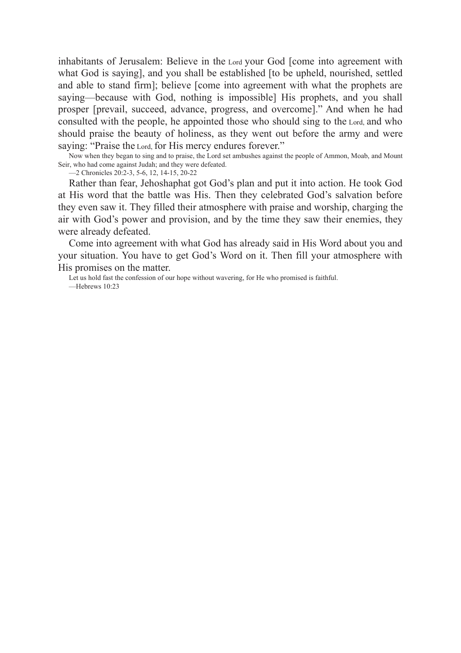inhabitants of Jerusalem: Believe in the Lord your God [come into agreement with what God is saying], and you shall be established [to be upheld, nourished, settled and able to stand firm]; believe [come into agreement with what the prophets are saying—because with God, nothing is impossible] His prophets, and you shall prosper [prevail, succeed, advance, progress, and overcome]." And when he had consulted with the people, he appointed those who should sing to the Lord, and who should praise the beauty of holiness, as they went out before the army and were saying: "Praise the Lord, for His mercy endures forever."

Now when they began to sing and to praise, the Lord set ambushes against the people of Ammon, Moab, and Mount Seir, who had come against Judah; and they were defeated.

—2 Chronicles 20:2-3, 5-6, 12, 14-15, 20-22

Rather than fear, Jehoshaphat got God's plan and put it into action. He took God at His word that the battle was His. Then they celebrated God's salvation before they even saw it. They filled their atmosphere with praise and worship, charging the air with God's power and provision, and by the time they saw their enemies, they were already defeated.

Come into agreement with what God has already said in His Word about you and your situation. You have to get God's Word on it. Then fill your atmosphere with His promises on the matter.

Let us hold fast the confession of our hope without wavering, for He who promised is faithful.

—Hebrews 10:23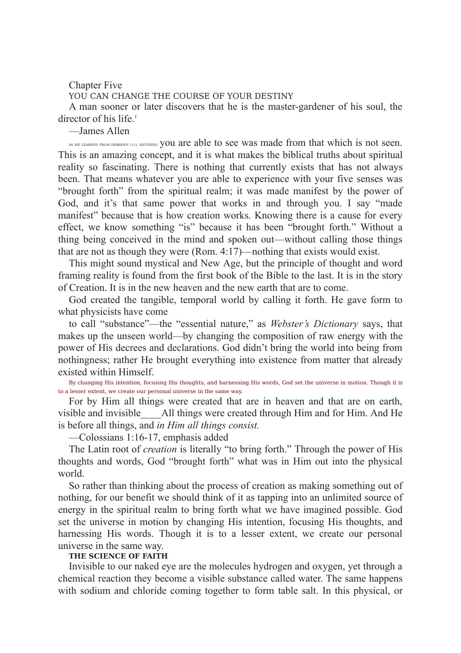# Chapter Five YOU CAN CHANGE THE COURSE OF YOUR DESTINY

A man sooner or later discovers that he is the master-gardener of his soul, the director of his life.<sup>1</sup>

—James Allen

AS WE LEARNED FROM HEBREWS 11:3, ANYTHING VOU are able to see was made from that which is not seen. This is an amazing concept, and it is what makes the biblical truths about spiritual reality so fascinating. There is nothing that currently exists that has not always been. That means whatever you are able to experience with your five senses was "brought forth" from the spiritual realm; it was made manifest by the power of God, and it's that same power that works in and through you. I say "made manifest" because that is how creation works. Knowing there is a cause for every effect, we know something "is" because it has been "brought forth." Without a thing being conceived in the mind and spoken out—without calling those things that are not as though they were (Rom. 4:17)—nothing that exists would exist.

This might sound mystical and New Age, but the principle of thought and word framing reality is found from the first book of the Bible to the last. It is in the story of Creation. It is in the new heaven and the new earth that are to come.

God created the tangible, temporal world by calling it forth. He gave form to what physicists have come

to call "substance"—the "essential nature," as *Webster's Dictionary* says, that makes up the unseen world—by changing the composition of raw energy with the power of His decrees and declarations. God didn't bring the world into being from nothingness; rather He brought everything into existence from matter that already existed within Himself.

#### By changing His intention, focusing His thoughts, and harnessing His words, God set the universe in motion. Though it is to a lesser extent, we create our personal universe in the same way.

For by Him all things were created that are in heaven and that are on earth, visible and invisible\_\_\_\_All things were created through Him and for Him. And He is before all things, and *in Him all things consist.*

# —Colossians 1:16-17, emphasis added

The Latin root of *creation* is literally "to bring forth." Through the power of His thoughts and words, God "brought forth" what was in Him out into the physical world.

So rather than thinking about the process of creation as making something out of nothing, for our benefit we should think of it as tapping into an unlimited source of energy in the spiritual realm to bring forth what we have imagined possible. God set the universe in motion by changing His intention, focusing His thoughts, and harnessing His words. Though it is to a lesser extent, we create our personal universe in the same way.

### **THE SCIENCE OF FAITH**

Invisible to our naked eye are the molecules hydrogen and oxygen, yet through a chemical reaction they become a visible substance called water. The same happens with sodium and chloride coming together to form table salt. In this physical, or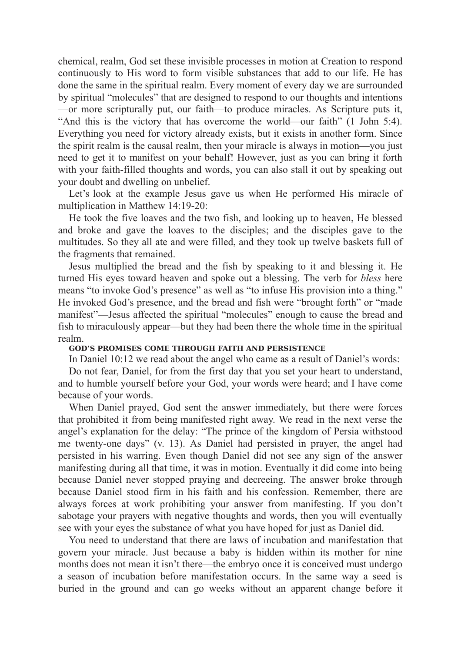chemical, realm, God set these invisible processes in motion at Creation to respond continuously to His word to form visible substances that add to our life. He has done the same in the spiritual realm. Every moment of every day we are surrounded by spiritual "molecules" that are designed to respond to our thoughts and intentions —or more scripturally put, our faith—to produce miracles. As Scripture puts it, "And this is the victory that has overcome the world—our faith" (1 John 5:4). Everything you need for victory already exists, but it exists in another form. Since the spirit realm is the causal realm, then your miracle is always in motion—you just need to get it to manifest on your behalf! However, just as you can bring it forth with your faith-filled thoughts and words, you can also stall it out by speaking out your doubt and dwelling on unbelief.

Let's look at the example Jesus gave us when He performed His miracle of multiplication in Matthew 14:19-20:

He took the five loaves and the two fish, and looking up to heaven, He blessed and broke and gave the loaves to the disciples; and the disciples gave to the multitudes. So they all ate and were filled, and they took up twelve baskets full of the fragments that remained.

Jesus multiplied the bread and the fish by speaking to it and blessing it. He turned His eyes toward heaven and spoke out a blessing. The verb for *bless* here means "to invoke God's presence" as well as "to infuse His provision into a thing." He invoked God's presence, and the bread and fish were "brought forth" or "made manifest"—Jesus affected the spiritual "molecules" enough to cause the bread and fish to miraculously appear—but they had been there the whole time in the spiritual realm.

### **GOD'S PROMISES COME THROUGH FAITH AND PERSISTENCE**

In Daniel 10:12 we read about the angel who came as a result of Daniel's words:

Do not fear, Daniel, for from the first day that you set your heart to understand, and to humble yourself before your God, your words were heard; and I have come because of your words.

When Daniel prayed, God sent the answer immediately, but there were forces that prohibited it from being manifested right away. We read in the next verse the angel's explanation for the delay: "The prince of the kingdom of Persia withstood me twenty-one days" (v. 13). As Daniel had persisted in prayer, the angel had persisted in his warring. Even though Daniel did not see any sign of the answer manifesting during all that time, it was in motion. Eventually it did come into being because Daniel never stopped praying and decreeing. The answer broke through because Daniel stood firm in his faith and his confession. Remember, there are always forces at work prohibiting your answer from manifesting. If you don't sabotage your prayers with negative thoughts and words, then you will eventually see with your eyes the substance of what you have hoped for just as Daniel did.

You need to understand that there are laws of incubation and manifestation that govern your miracle. Just because a baby is hidden within its mother for nine months does not mean it isn't there—the embryo once it is conceived must undergo a season of incubation before manifestation occurs. In the same way a seed is buried in the ground and can go weeks without an apparent change before it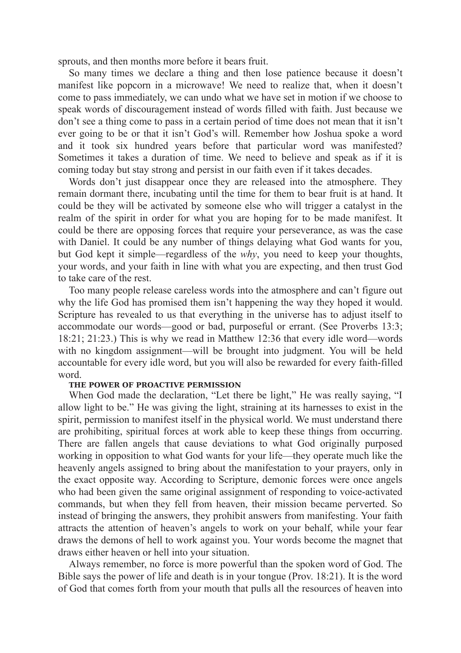sprouts, and then months more before it bears fruit.

So many times we declare a thing and then lose patience because it doesn't manifest like popcorn in a microwave! We need to realize that, when it doesn't come to pass immediately, we can undo what we have set in motion if we choose to speak words of discouragement instead of words filled with faith. Just because we don't see a thing come to pass in a certain period of time does not mean that it isn't ever going to be or that it isn't God's will. Remember how Joshua spoke a word and it took six hundred years before that particular word was manifested? Sometimes it takes a duration of time. We need to believe and speak as if it is coming today but stay strong and persist in our faith even if it takes decades.

Words don't just disappear once they are released into the atmosphere. They remain dormant there, incubating until the time for them to bear fruit is at hand. It could be they will be activated by someone else who will trigger a catalyst in the realm of the spirit in order for what you are hoping for to be made manifest. It could be there are opposing forces that require your perseverance, as was the case with Daniel. It could be any number of things delaying what God wants for you, but God kept it simple—regardless of the *why*, you need to keep your thoughts, your words, and your faith in line with what you are expecting, and then trust God to take care of the rest.

Too many people release careless words into the atmosphere and can't figure out why the life God has promised them isn't happening the way they hoped it would. Scripture has revealed to us that everything in the universe has to adjust itself to accommodate our words—good or bad, purposeful or errant. (See Proverbs 13:3; 18:21; 21:23.) This is why we read in Matthew 12:36 that every idle word—words with no kingdom assignment—will be brought into judgment. You will be held accountable for every idle word, but you will also be rewarded for every faith-filled word.

# **THE POWER OF PROACTIVE PERMISSION**

When God made the declaration, "Let there be light," He was really saying, "I allow light to be." He was giving the light, straining at its harnesses to exist in the spirit, permission to manifest itself in the physical world. We must understand there are prohibiting, spiritual forces at work able to keep these things from occurring. There are fallen angels that cause deviations to what God originally purposed working in opposition to what God wants for your life—they operate much like the heavenly angels assigned to bring about the manifestation to your prayers, only in the exact opposite way. According to Scripture, demonic forces were once angels who had been given the same original assignment of responding to voice-activated commands, but when they fell from heaven, their mission became perverted. So instead of bringing the answers, they prohibit answers from manifesting. Your faith attracts the attention of heaven's angels to work on your behalf, while your fear draws the demons of hell to work against you. Your words become the magnet that draws either heaven or hell into your situation.

Always remember, no force is more powerful than the spoken word of God. The Bible says the power of life and death is in your tongue (Prov. 18:21). It is the word of God that comes forth from your mouth that pulls all the resources of heaven into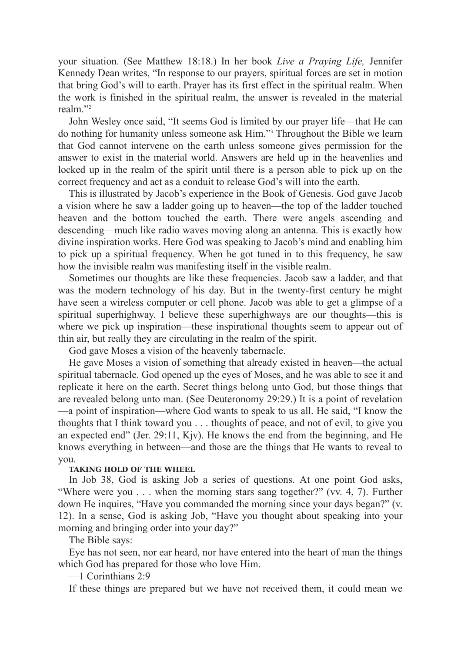your situation. (See Matthew 18:18.) In her book *Live a Praying Life,* Jennifer Kennedy Dean writes, "In response to our prayers, spiritual forces are set in motion that bring God's will to earth. Prayer has its first effect in the spiritual realm. When the work is finished in the spiritual realm, the answer is revealed in the material realm." 2

John Wesley once said, "It seems God is limited by our prayer life—that He can do nothing for humanity unless someone ask Him." <sup>3</sup> Throughout the Bible we learn that God cannot intervene on the earth unless someone gives permission for the answer to exist in the material world. Answers are held up in the heavenlies and locked up in the realm of the spirit until there is a person able to pick up on the correct frequency and act as a conduit to release God's will into the earth.

This is illustrated by Jacob's experience in the Book of Genesis. God gave Jacob a vision where he saw a ladder going up to heaven—the top of the ladder touched heaven and the bottom touched the earth. There were angels ascending and descending—much like radio waves moving along an antenna. This is exactly how divine inspiration works. Here God was speaking to Jacob's mind and enabling him to pick up a spiritual frequency. When he got tuned in to this frequency, he saw how the invisible realm was manifesting itself in the visible realm.

Sometimes our thoughts are like these frequencies. Jacob saw a ladder, and that was the modern technology of his day. But in the twenty-first century he might have seen a wireless computer or cell phone. Jacob was able to get a glimpse of a spiritual superhighway. I believe these superhighways are our thoughts—this is where we pick up inspiration—these inspirational thoughts seem to appear out of thin air, but really they are circulating in the realm of the spirit.

God gave Moses a vision of the heavenly tabernacle.

He gave Moses a vision of something that already existed in heaven—the actual spiritual tabernacle. God opened up the eyes of Moses, and he was able to see it and replicate it here on the earth. Secret things belong unto God, but those things that are revealed belong unto man. (See Deuteronomy 29:29.) It is a point of revelation —a point of inspiration—where God wants to speak to us all. He said, "I know the thoughts that I think toward you . . . thoughts of peace, and not of evil, to give you an expected end" (Jer. 29:11, Kjv). He knows the end from the beginning, and He knows everything in between—and those are the things that He wants to reveal to you.

### **TAKING HOLD OF THE WHEEL**

In Job 38, God is asking Job a series of questions. At one point God asks, "Where were you . . . when the morning stars sang together?" (vv. 4, 7). Further down He inquires, "Have you commanded the morning since your days began?" (v. 12). In a sense, God is asking Job, "Have you thought about speaking into your morning and bringing order into your day?"

The Bible says:

Eye has not seen, nor ear heard, nor have entered into the heart of man the things which God has prepared for those who love Him.

—1 Corinthians 2:9

If these things are prepared but we have not received them, it could mean we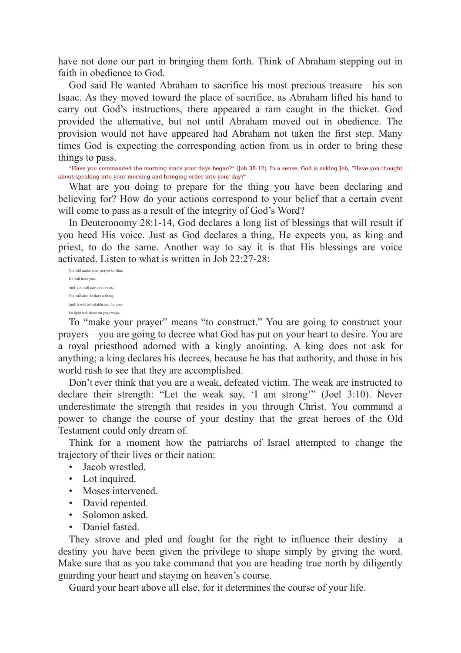have not done our part in bringing them forth. Think of Abraham stepping out in faith in obedience to God.

God said He wanted Abraham to sacrifice his most precious treasure—his son Isaac. As they moved toward the place of sacrifice, as Abraham lifted his hand to carry out God's instructions, there appeared a ram caught in the thicket. God provided the alternative, but not until Abraham moved out in obedience. The provision would not have appeared had Abraham not taken the first step. Many times God is expecting the corresponding action from us in order to bring these things to pass.

"Have you commanded the morning since your days began?" (Job 38:12). In a sense, God is asking Job, "Have you thought about speaking into your morning and bringing order into your day?"

What are you doing to prepare for the thing you have been declaring and believing for? How do your actions correspond to your belief that a certain event will come to pass as a result of the integrity of God's Word?

In Deuteronomy 28:1-14, God declares a long list of blessings that will result if you heed His voice. Just as God declares a thing, He expects you, as king and priest, to do the same. Another way to say it is that His blessings are voice activated. Listen to what is written in Job 22:27-28:

You will make your prayer to Him, He will hear you, And you will pay your vows. You will also declare a thing, And it will be established for you; So light will shine on your ways.

To "make your prayer" means "to construct." You are going to construct your prayers—you are going to decree what God has put on your heart to desire. You are a royal priesthood adorned with a kingly anointing. A king does not ask for anything; a king declares his decrees, because he has that authority, and those in his world rush to see that they are accomplished.

Don't ever think that you are a weak, defeated victim. The weak are instructed to declare their strength: "Let the weak say, 'I am strong'" (Joel 3:10). Never underestimate the strength that resides in you through Christ. You command a power to change the course of your destiny that the great heroes of the Old Testament could only dream of.

Think for a moment how the patriarchs of Israel attempted to change the trajectory of their lives or their nation:

- Jacob wrestled.
- Lot inquired.
- Moses intervened.
- David repented.
- Solomon asked.
- Daniel fasted.

They strove and pled and fought for the right to influence their destiny—a destiny you have been given the privilege to shape simply by giving the word. Make sure that as you take command that you are heading true north by diligently guarding your heart and staying on heaven's course.

Guard your heart above all else, for it determines the course of your life.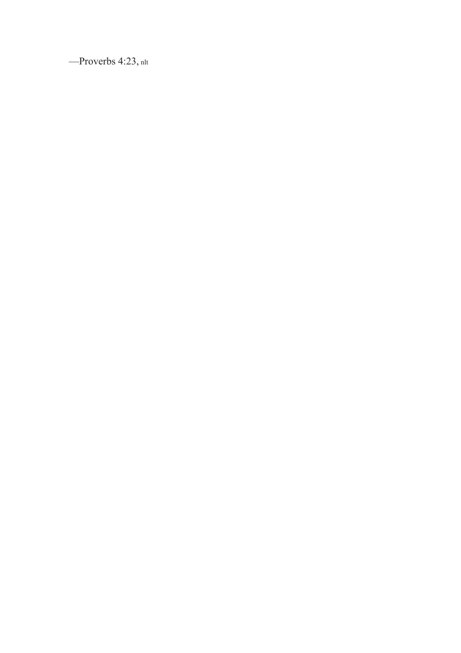—Proverbs 4:23, nlt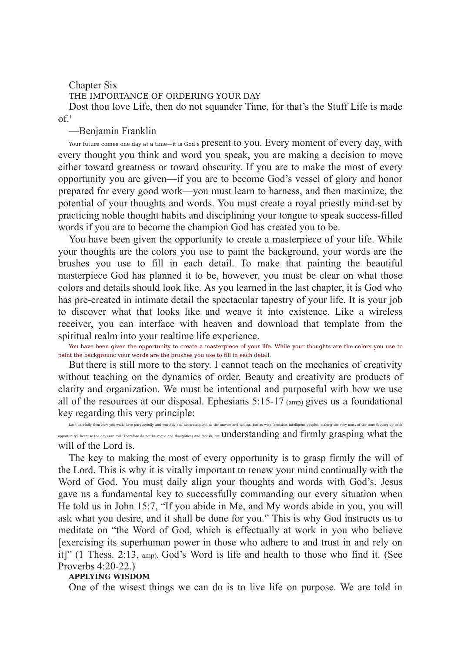# Chapter Six THE IMPORTANCE OF ORDERING YOUR DAY

Dost thou love Life, then do not squander Time, for that's the Stuff Life is made  $of.^1$ 

# —Benjamin Franklin

Your future comes one day at a time—it is God's present to you. Every moment of every day, with every thought you think and word you speak, you are making a decision to move either toward greatness or toward obscurity. If you are to make the most of every opportunity you are given—if you are to become God's vessel of glory and honor prepared for every good work—you must learn to harness, and then maximize, the potential of your thoughts and words. You must create a royal priestly mind-set by practicing noble thought habits and disciplining your tongue to speak success-filled words if you are to become the champion God has created you to be.

You have been given the opportunity to create a masterpiece of your life. While your thoughts are the colors you use to paint the background, your words are the brushes you use to fill in each detail. To make that painting the beautiful masterpiece God has planned it to be, however, you must be clear on what those colors and details should look like. As you learned in the last chapter, it is God who has pre-created in intimate detail the spectacular tapestry of your life. It is your job to discover what that looks like and weave it into existence. Like a wireless receiver, you can interface with heaven and download that template from the spiritual realm into your realtime life experience.

You have been given the opportunity to create a masterpiece of your life. While your thoughts are the colors you use to paint the backgrounc your words are the brushes you use to fill in each detail.

But there is still more to the story. I cannot teach on the mechanics of creativity without teaching on the dynamics of order. Beauty and creativity are products of clarity and organization. We must be intentional and purposeful with how we use all of the resources at our disposal. Ephesians 5:15-17 (amp) gives us a foundational key regarding this very principle:

Look carefully then how you walk! Live purposefully and worthily and accurately, not as the unwise and witless, but as wise (sensible, intelligent people), making the very most of the time [buying up each opportunity], because the days are evil. Therefore do not be vague and thoughtless and foolish, but  $understanding$  and  $firmly$   $grasping$  what the will of the Lord is.

The key to making the most of every opportunity is to grasp firmly the will of the Lord. This is why it is vitally important to renew your mind continually with the Word of God. You must daily align your thoughts and words with God's. Jesus gave us a fundamental key to successfully commanding our every situation when He told us in John 15:7, "If you abide in Me, and My words abide in you, you will ask what you desire, and it shall be done for you." This is why God instructs us to meditate on "the Word of God, which is effectually at work in you who believe [exercising its superhuman power in those who adhere to and trust in and rely on it]" (1 Thess. 2:13, amp). God's Word is life and health to those who find it. (See Proverbs 4:20-22.)

### **APPLYING WISDOM**

One of the wisest things we can do is to live life on purpose. We are told in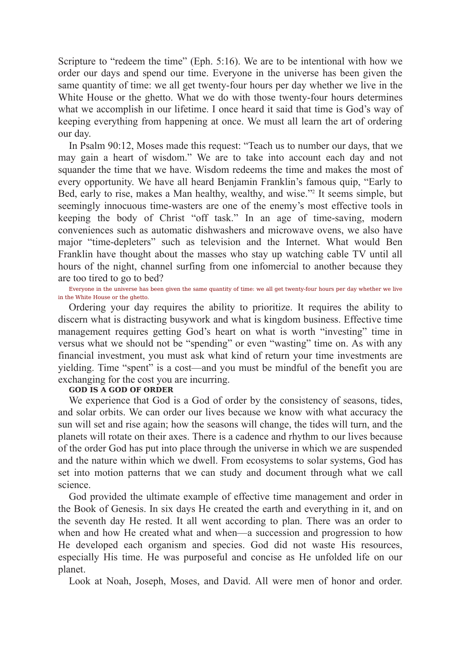Scripture to "redeem the time" (Eph. 5:16). We are to be intentional with how we order our days and spend our time. Everyone in the universe has been given the same quantity of time: we all get twenty-four hours per day whether we live in the White House or the ghetto. What we do with those twenty-four hours determines what we accomplish in our lifetime. I once heard it said that time is God's way of keeping everything from happening at once. We must all learn the art of ordering our day.

In Psalm 90:12, Moses made this request: "Teach us to number our days, that we may gain a heart of wisdom." We are to take into account each day and not squander the time that we have. Wisdom redeems the time and makes the most of every opportunity. We have all heard Benjamin Franklin's famous quip, "Early to Bed, early to rise, makes a Man healthy, wealthy, and wise." <sup>2</sup> It seems simple, but seemingly innocuous time-wasters are one of the enemy's most effective tools in keeping the body of Christ "off task." In an age of time-saving, modern conveniences such as automatic dishwashers and microwave ovens, we also have major "time-depleters" such as television and the Internet. What would Ben Franklin have thought about the masses who stay up watching cable TV until all hours of the night, channel surfing from one infomercial to another because they are too tired to go to bed?

Everyone in the universe has been given the same quantity of time: we all get twenty-four hours per day whether we live in the White House or the ghetto.

Ordering your day requires the ability to prioritize. It requires the ability to discern what is distracting busywork and what is kingdom business. Effective time management requires getting God's heart on what is worth "investing" time in versus what we should not be "spending" or even "wasting" time on. As with any financial investment, you must ask what kind of return your time investments are yielding. Time "spent" is a cost—and you must be mindful of the benefit you are exchanging for the cost you are incurring.

### **GOD IS A GOD OF ORDER**

We experience that God is a God of order by the consistency of seasons, tides, and solar orbits. We can order our lives because we know with what accuracy the sun will set and rise again; how the seasons will change, the tides will turn, and the planets will rotate on their axes. There is a cadence and rhythm to our lives because of the order God has put into place through the universe in which we are suspended and the nature within which we dwell. From ecosystems to solar systems, God has set into motion patterns that we can study and document through what we call science.

God provided the ultimate example of effective time management and order in the Book of Genesis. In six days He created the earth and everything in it, and on the seventh day He rested. It all went according to plan. There was an order to when and how He created what and when—a succession and progression to how He developed each organism and species. God did not waste His resources, especially His time. He was purposeful and concise as He unfolded life on our planet.

Look at Noah, Joseph, Moses, and David. All were men of honor and order.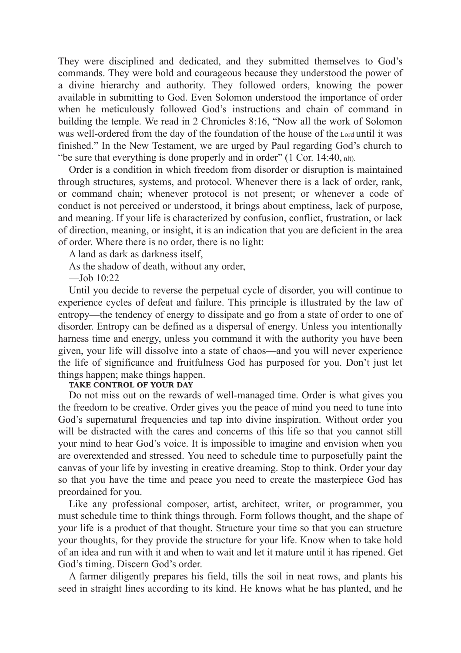They were disciplined and dedicated, and they submitted themselves to God's commands. They were bold and courageous because they understood the power of a divine hierarchy and authority. They followed orders, knowing the power available in submitting to God. Even Solomon understood the importance of order when he meticulously followed God's instructions and chain of command in building the temple. We read in 2 Chronicles 8:16, "Now all the work of Solomon was well-ordered from the day of the foundation of the house of the Lord until it was finished." In the New Testament, we are urged by Paul regarding God's church to "be sure that everything is done properly and in order" (1 Cor. 14:40, nlt).

Order is a condition in which freedom from disorder or disruption is maintained through structures, systems, and protocol. Whenever there is a lack of order, rank, or command chain; whenever protocol is not present; or whenever a code of conduct is not perceived or understood, it brings about emptiness, lack of purpose, and meaning. If your life is characterized by confusion, conflict, frustration, or lack of direction, meaning, or insight, it is an indication that you are deficient in the area of order. Where there is no order, there is no light:

A land as dark as darkness itself,

As the shadow of death, without any order,

 $-$ Job  $10:22$ 

Until you decide to reverse the perpetual cycle of disorder, you will continue to experience cycles of defeat and failure. This principle is illustrated by the law of entropy—the tendency of energy to dissipate and go from a state of order to one of disorder. Entropy can be defined as a dispersal of energy. Unless you intentionally harness time and energy, unless you command it with the authority you have been given, your life will dissolve into a state of chaos—and you will never experience the life of significance and fruitfulness God has purposed for you. Don't just let things happen; make things happen.

# **TAKE CONTROL OF YOUR DAY**

Do not miss out on the rewards of well-managed time. Order is what gives you the freedom to be creative. Order gives you the peace of mind you need to tune into God's supernatural frequencies and tap into divine inspiration. Without order you will be distracted with the cares and concerns of this life so that you cannot still your mind to hear God's voice. It is impossible to imagine and envision when you are overextended and stressed. You need to schedule time to purposefully paint the canvas of your life by investing in creative dreaming. Stop to think. Order your day so that you have the time and peace you need to create the masterpiece God has preordained for you.

Like any professional composer, artist, architect, writer, or programmer, you must schedule time to think things through. Form follows thought, and the shape of your life is a product of that thought. Structure your time so that you can structure your thoughts, for they provide the structure for your life. Know when to take hold of an idea and run with it and when to wait and let it mature until it has ripened. Get God's timing. Discern God's order.

A farmer diligently prepares his field, tills the soil in neat rows, and plants his seed in straight lines according to its kind. He knows what he has planted, and he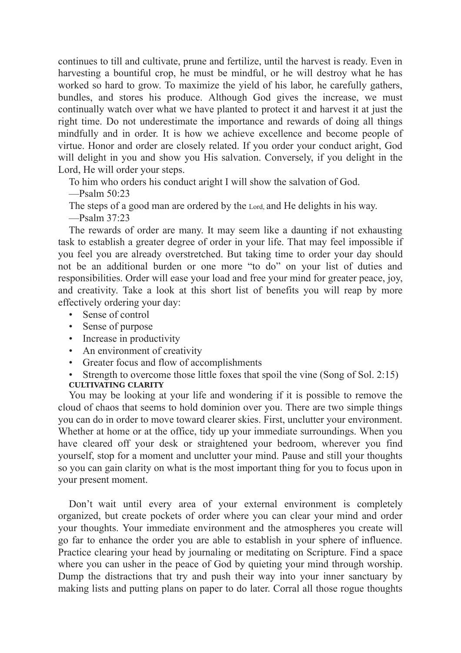continues to till and cultivate, prune and fertilize, until the harvest is ready. Even in harvesting a bountiful crop, he must be mindful, or he will destroy what he has worked so hard to grow. To maximize the yield of his labor, he carefully gathers, bundles, and stores his produce. Although God gives the increase, we must continually watch over what we have planted to protect it and harvest it at just the right time. Do not underestimate the importance and rewards of doing all things mindfully and in order. It is how we achieve excellence and become people of virtue. Honor and order are closely related. If you order your conduct aright, God will delight in you and show you His salvation. Conversely, if you delight in the Lord, He will order your steps.

To him who orders his conduct aright I will show the salvation of God.

 $-$ Psalm 50:23

The steps of a good man are ordered by the Lord, and He delights in his way.

—Psalm 37:23

The rewards of order are many. It may seem like a daunting if not exhausting task to establish a greater degree of order in your life. That may feel impossible if you feel you are already overstretched. But taking time to order your day should not be an additional burden or one more "to do" on your list of duties and responsibilities. Order will ease your load and free your mind for greater peace, joy, and creativity. Take a look at this short list of benefits you will reap by more effectively ordering your day:

- Sense of control
- Sense of purpose
- Increase in productivity
- An environment of creativity
- Greater focus and flow of accomplishments
- Strength to overcome those little foxes that spoil the vine (Song of Sol. 2:15) **CULTIVATING CLARITY**

You may be looking at your life and wondering if it is possible to remove the cloud of chaos that seems to hold dominion over you. There are two simple things you can do in order to move toward clearer skies. First, unclutter your environment. Whether at home or at the office, tidy up your immediate surroundings. When you have cleared off your desk or straightened your bedroom, wherever you find yourself, stop for a moment and unclutter your mind. Pause and still your thoughts so you can gain clarity on what is the most important thing for you to focus upon in your present moment.

Don't wait until every area of your external environment is completely organized, but create pockets of order where you can clear your mind and order your thoughts. Your immediate environment and the atmospheres you create will go far to enhance the order you are able to establish in your sphere of influence. Practice clearing your head by journaling or meditating on Scripture. Find a space where you can usher in the peace of God by quieting your mind through worship. Dump the distractions that try and push their way into your inner sanctuary by making lists and putting plans on paper to do later. Corral all those rogue thoughts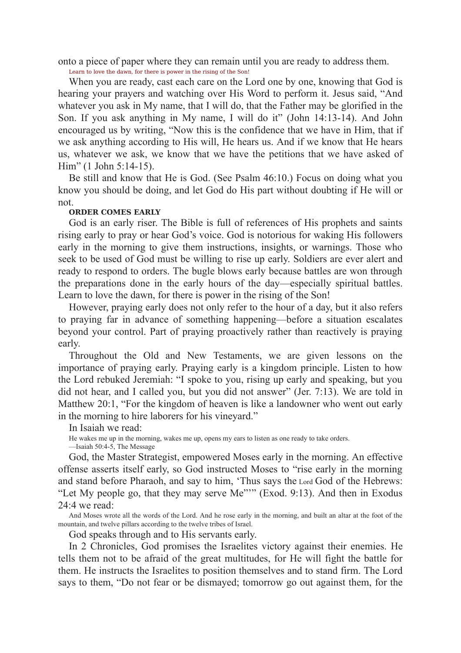onto a piece of paper where they can remain until you are ready to address them.

Learn to love the dawn, for there is power in the rising of the Son!

When you are ready, cast each care on the Lord one by one, knowing that God is hearing your prayers and watching over His Word to perform it. Jesus said, "And whatever you ask in My name, that I will do, that the Father may be glorified in the Son. If you ask anything in My name, I will do it" (John 14:13-14). And John encouraged us by writing, "Now this is the confidence that we have in Him, that if we ask anything according to His will, He hears us. And if we know that He hears us, whatever we ask, we know that we have the petitions that we have asked of Him" (1 John 5:14-15).

Be still and know that He is God. (See Psalm 46:10.) Focus on doing what you know you should be doing, and let God do His part without doubting if He will or not.

### **ORDER COMES EARLY**

God is an early riser. The Bible is full of references of His prophets and saints rising early to pray or hear God's voice. God is notorious for waking His followers early in the morning to give them instructions, insights, or warnings. Those who seek to be used of God must be willing to rise up early. Soldiers are ever alert and ready to respond to orders. The bugle blows early because battles are won through the preparations done in the early hours of the day—especially spiritual battles. Learn to love the dawn, for there is power in the rising of the Son!

However, praying early does not only refer to the hour of a day, but it also refers to praying far in advance of something happening—before a situation escalates beyond your control. Part of praying proactively rather than reactively is praying early.

Throughout the Old and New Testaments, we are given lessons on the importance of praying early. Praying early is a kingdom principle. Listen to how the Lord rebuked Jeremiah: "I spoke to you, rising up early and speaking, but you did not hear, and I called you, but you did not answer" (Jer. 7:13). We are told in Matthew 20:1, "For the kingdom of heaven is like a landowner who went out early in the morning to hire laborers for his vineyard."

In Isaiah we read:

He wakes me up in the morning, wakes me up, opens my ears to listen as one ready to take orders. —Isaiah 50:4-5, The Message

God, the Master Strategist, empowered Moses early in the morning. An effective offense asserts itself early, so God instructed Moses to "rise early in the morning and stand before Pharaoh, and say to him, 'Thus says the Lord God of the Hebrews: "Let My people go, that they may serve Me"'" (Exod. 9:13). And then in Exodus 24:4 we read:

And Moses wrote all the words of the Lord. And he rose early in the morning, and built an altar at the foot of the mountain, and twelve pillars according to the twelve tribes of Israel.

God speaks through and to His servants early.

In 2 Chronicles, God promises the Israelites victory against their enemies. He tells them not to be afraid of the great multitudes, for He will fight the battle for them. He instructs the Israelites to position themselves and to stand firm. The Lord says to them, "Do not fear or be dismayed; tomorrow go out against them, for the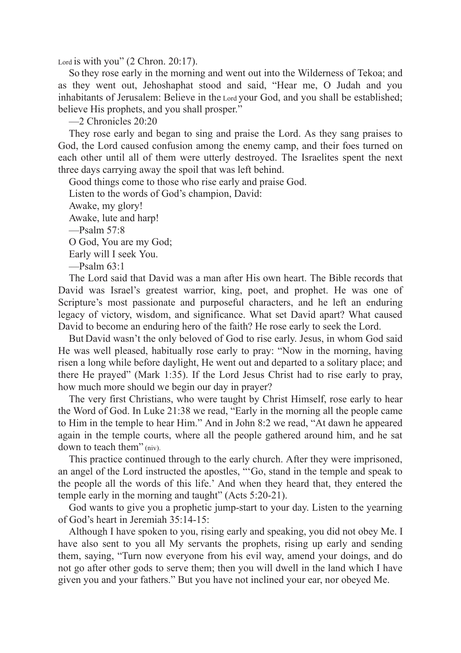Lord is with you"  $(2 \text{ Chron. } 20:17)$ .

So they rose early in the morning and went out into the Wilderness of Tekoa; and as they went out, Jehoshaphat stood and said, "Hear me, O Judah and you inhabitants of Jerusalem: Believe in the Lord your God, and you shall be established; believe His prophets, and you shall prosper."

—2 Chronicles 20:20

They rose early and began to sing and praise the Lord. As they sang praises to God, the Lord caused confusion among the enemy camp, and their foes turned on each other until all of them were utterly destroyed. The Israelites spent the next three days carrying away the spoil that was left behind.

Good things come to those who rise early and praise God.

Listen to the words of God's champion, David:

Awake, my glory!

Awake, lute and harp!

 $-$ Psalm 57:8

O God, You are my God;

Early will I seek You.

 $-$ Psalm 63:1

The Lord said that David was a man after His own heart. The Bible records that David was Israel's greatest warrior, king, poet, and prophet. He was one of Scripture's most passionate and purposeful characters, and he left an enduring legacy of victory, wisdom, and significance. What set David apart? What caused David to become an enduring hero of the faith? He rose early to seek the Lord.

But David wasn't the only beloved of God to rise early. Jesus, in whom God said He was well pleased, habitually rose early to pray: "Now in the morning, having risen a long while before daylight, He went out and departed to a solitary place; and there He prayed" (Mark 1:35). If the Lord Jesus Christ had to rise early to pray, how much more should we begin our day in prayer?

The very first Christians, who were taught by Christ Himself, rose early to hear the Word of God. In Luke 21:38 we read, "Early in the morning all the people came to Him in the temple to hear Him." And in John 8:2 we read, "At dawn he appeared again in the temple courts, where all the people gathered around him, and he sat down to teach them" (niv).

This practice continued through to the early church. After they were imprisoned, an angel of the Lord instructed the apostles, "'Go, stand in the temple and speak to the people all the words of this life.' And when they heard that, they entered the temple early in the morning and taught" (Acts 5:20-21).

God wants to give you a prophetic jump-start to your day. Listen to the yearning of God's heart in Jeremiah 35:14-15:

Although I have spoken to you, rising early and speaking, you did not obey Me. I have also sent to you all My servants the prophets, rising up early and sending them, saying, "Turn now everyone from his evil way, amend your doings, and do not go after other gods to serve them; then you will dwell in the land which I have given you and your fathers." But you have not inclined your ear, nor obeyed Me.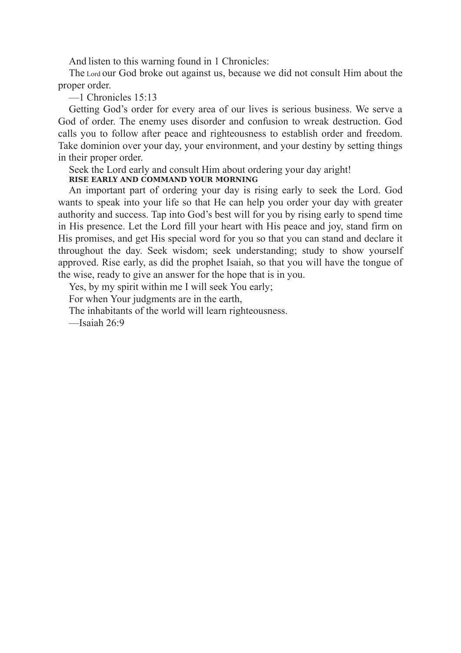And listen to this warning found in 1 Chronicles:

The Lord our God broke out against us, because we did not consult Him about the proper order.

—1 Chronicles 15:13

Getting God's order for every area of our lives is serious business. We serve a God of order. The enemy uses disorder and confusion to wreak destruction. God calls you to follow after peace and righteousness to establish order and freedom. Take dominion over your day, your environment, and your destiny by setting things in their proper order.

Seek the Lord early and consult Him about ordering your day aright!

# **RISE EARLY AND COMMAND YOUR MORNING**

An important part of ordering your day is rising early to seek the Lord. God wants to speak into your life so that He can help you order your day with greater authority and success. Tap into God's best will for you by rising early to spend time in His presence. Let the Lord fill your heart with His peace and joy, stand firm on His promises, and get His special word for you so that you can stand and declare it throughout the day. Seek wisdom; seek understanding; study to show yourself approved. Rise early, as did the prophet Isaiah, so that you will have the tongue of the wise, ready to give an answer for the hope that is in you.

Yes, by my spirit within me I will seek You early;

For when Your judgments are in the earth,

The inhabitants of the world will learn righteousness.

 $-$ Isaiah 26:9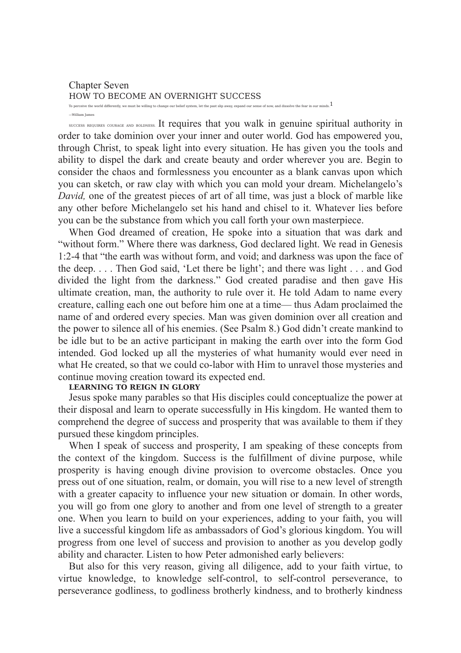# Chapter Seven HOW TO BECOME AN OVERNIGHT SUCCESS To perceive the world differently, we must be willing to change our belief system, let the past slip away, expand our sense of now, and dissolve the fear in our minds.  $1$

SUCCESS REQUIRES COURAGE AND BOLDNESS. It requires that you walk in genuine spiritual authority in order to take dominion over your inner and outer world. God has empowered you, through Christ, to speak light into every situation. He has given you the tools and ability to dispel the dark and create beauty and order wherever you are. Begin to consider the chaos and formlessness you encounter as a blank canvas upon which you can sketch, or raw clay with which you can mold your dream. Michelangelo's *David*, one of the greatest pieces of art of all time, was just a block of marble like any other before Michelangelo set his hand and chisel to it. Whatever lies before you can be the substance from which you call forth your own masterpiece.

When God dreamed of creation, He spoke into a situation that was dark and "without form." Where there was darkness, God declared light. We read in Genesis 1:2-4 that "the earth was without form, and void; and darkness was upon the face of the deep. . . . Then God said, 'Let there be light'; and there was light . . . and God divided the light from the darkness." God created paradise and then gave His ultimate creation, man, the authority to rule over it. He told Adam to name every creature, calling each one out before him one at a time— thus Adam proclaimed the name of and ordered every species. Man was given dominion over all creation and the power to silence all of his enemies. (See Psalm 8.) God didn't create mankind to be idle but to be an active participant in making the earth over into the form God intended. God locked up all the mysteries of what humanity would ever need in what He created, so that we could co-labor with Him to unravel those mysteries and continue moving creation toward its expected end.

### **LEARNING TO REIGN IN GLORY**

—William James

Jesus spoke many parables so that His disciples could conceptualize the power at their disposal and learn to operate successfully in His kingdom. He wanted them to comprehend the degree of success and prosperity that was available to them if they pursued these kingdom principles.

When I speak of success and prosperity, I am speaking of these concepts from the context of the kingdom. Success is the fulfillment of divine purpose, while prosperity is having enough divine provision to overcome obstacles. Once you press out of one situation, realm, or domain, you will rise to a new level of strength with a greater capacity to influence your new situation or domain. In other words, you will go from one glory to another and from one level of strength to a greater one. When you learn to build on your experiences, adding to your faith, you will live a successful kingdom life as ambassadors of God's glorious kingdom. You will progress from one level of success and provision to another as you develop godly ability and character. Listen to how Peter admonished early believers:

But also for this very reason, giving all diligence, add to your faith virtue, to virtue knowledge, to knowledge self-control, to self-control perseverance, to perseverance godliness, to godliness brotherly kindness, and to brotherly kindness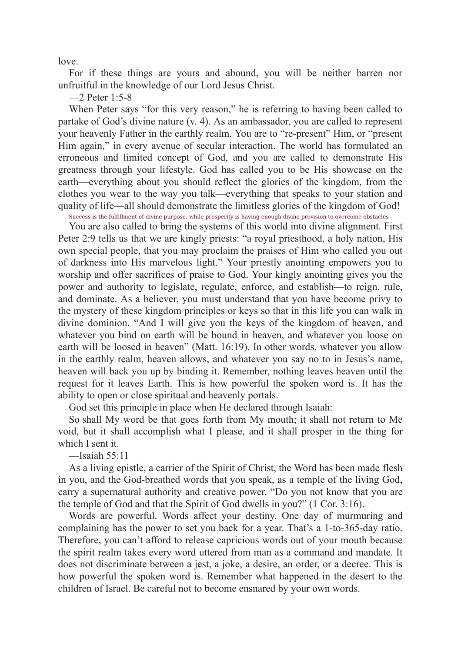love.

For if these things are yours and abound, you will be neither barren nor unfruitful in the knowledge of our Lord Jesus Christ.

—2 Peter 1:5-8

When Peter says "for this very reason," he is referring to having been called to partake of God's divine nature (v. 4). As an ambassador, you are called to represent your heavenly Father in the earthly realm. You are to "re-present" Him, or "present Him again," in every avenue of secular interaction. The world has formulated an erroneous and limited concept of God, and you are called to demonstrate His greatness through your lifestyle. God has called you to be His showcase on the earth—everything about you should reflect the glories of the kingdom, from the clothes you wear to the way you talk—everything that speaks to your station and quality of life—all should demonstrate the limitless glories of the kingdom of God! Success is the fulfillment of divine purpose, while prosperity is having enough divine provision to overcome obstacles

You are also called to bring the systems of this world into divine alignment. First Peter 2:9 tells us that we are kingly priests: "a royal priesthood, a holy nation, His own special people, that you may proclaim the praises of Him who called you out of darkness into His marvelous light." Your priestly anointing empowers you to worship and offer sacrifices of praise to God. Your kingly anointing gives you the power and authority to legislate, regulate, enforce, and establish—to reign, rule, and dominate. As a believer, you must understand that you have become privy to the mystery of these kingdom principles or keys so that in this life you can walk in divine dominion. "And I will give you the keys of the kingdom of heaven, and whatever you bind on earth will be bound in heaven, and whatever you loose on earth will be loosed in heaven" (Matt. 16:19). In other words, whatever you allow in the earthly realm, heaven allows, and whatever you say no to in Jesus's name, heaven will back you up by binding it. Remember, nothing leaves heaven until the request for it leaves Earth. This is how powerful the spoken word is. It has the ability to open or close spiritual and heavenly portals.

God set this principle in place when He declared through Isaiah:

So shall My word be that goes forth from My mouth; it shall not return to Me void, but it shall accomplish what I please, and it shall prosper in the thing for which I sent it.

 $-$ Isaiah 55:11

As a living epistle, a carrier of the Spirit of Christ, the Word has been made flesh in you, and the God-breathed words that you speak, as a temple of the living God, carry a supernatural authority and creative power. "Do you not know that you are the temple of God and that the Spirit of God dwells in you?" (1 Cor. 3:16).

Words are powerful. Words affect your destiny. One day of murmuring and complaining has the power to set you back for a year. That's a 1-to-365-day ratio. Therefore, you can't afford to release capricious words out of your mouth because the spirit realm takes every word uttered from man as a command and mandate. It does not discriminate between a jest, a joke, a desire, an order, or a decree. This is how powerful the spoken word is. Remember what happened in the desert to the children of Israel. Be careful not to become ensnared by your own words.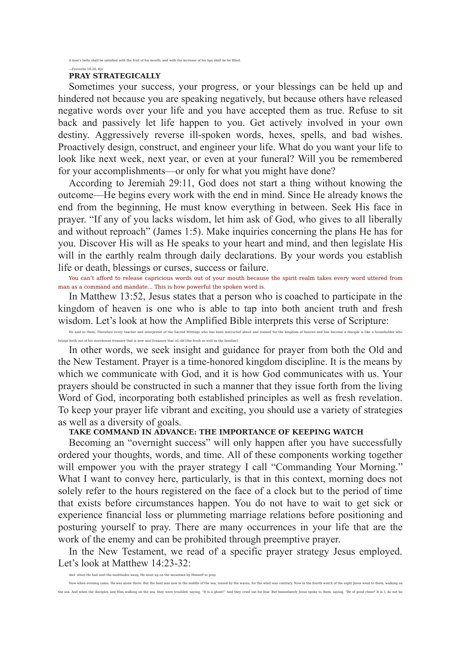#### **PRAY STRATEGICALLY**

—Proverbs 18:20, Kjv

Sometimes your success, your progress, or your blessings can be held up and hindered not because you are speaking negatively, but because others have released negative words over your life and you have accepted them as true. Refuse to sit back and passively let life happen to you. Get actively involved in your own destiny. Aggressively reverse ill-spoken words, hexes, spells, and bad wishes. Proactively design, construct, and engineer your life. What do you want your life to look like next week, next year, or even at your funeral? Will you be remembered for your accomplishments—or only for what you might have done?

According to Jeremiah 29:11, God does not start a thing without knowing the outcome—He begins every work with the end in mind. Since He already knows the end from the beginning, He must know everything in between. Seek His face in prayer. "If any of you lacks wisdom, let him ask of God, who gives to all liberally and without reproach" (James 1:5). Make inquiries concerning the plans He has for you. Discover His will as He speaks to your heart and mind, and then legislate His will in the earthly realm through daily declarations. By your words you establish life or death, blessings or curses, success or failure.

You can't afford to release capricious words out of your mouth because the spirit realm takes every word uttered from man as a command and mandate... This is how powerful the spoken word is.

In Matthew 13:52, Jesus states that a person who is coached to participate in the kingdom of heaven is one who is able to tap into both ancient truth and fresh wisdom. Let's look at how the Amplified Bible interprets this verse of Scripture:

He said to them, Therefore every teacher and interpreter of the Sacred Writings who has been instructed about and trained for the kingdom of heaven and has become a disciple is like a householder who

brings forth out of his storehouse treasure that is new and [treasure that is] old [the fresh as well as the familiar].

In other words, we seek insight and guidance for prayer from both the Old and the New Testament. Prayer is a time-honored kingdom discipline. It is the means by which we communicate with God, and it is how God communicates with us. Your prayers should be constructed in such a manner that they issue forth from the living Word of God, incorporating both established principles as well as fresh revelation. To keep your prayer life vibrant and exciting, you should use a variety of strategies as well as a diversity of goals.

# **TAKE COMMAND IN ADVANCE: THE IMPORTANCE OF KEEPING WATCH**

Becoming an "overnight success" will only happen after you have successfully ordered your thoughts, words, and time. All of these components working together will empower you with the prayer strategy I call "Commanding Your Morning." What I want to convey here, particularly, is that in this context, morning does not solely refer to the hours registered on the face of a clock but to the period of time that exists before circumstances happen. You do not have to wait to get sick or experience financial loss or plummeting marriage relations before positioning and posturing yourself to pray. There are many occurrences in your life that are the work of the enemy and can be prohibited through preemptive prayer.

In the New Testament, we read of a specific prayer strategy Jesus employed. Let's look at Matthew 14:23-32:

And when He had sent the multitudes away, He went up on the mountain by Himself to pray.

Now when evening came. He was alone there. But the boat was now in the middle of the sea, tossed by the waves, for the wind was co the sea. And when the disciples saw Him walking on the sea, they were troubled, saying, "It is a ghost!" And they cried out for fear. But immediately Jesus spoke to them, saying, "Be of good cheer! It is I; do not be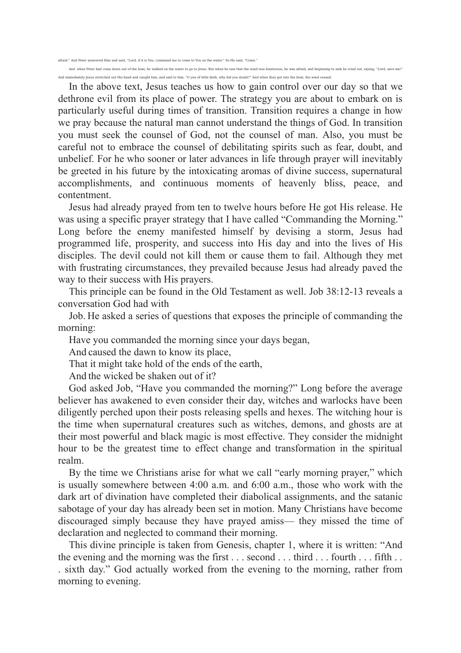afraid." And Peter answered Him and said, "Lord, if it is You, command me to come to You on the water." So He said, "Come."

And when Peter had come down out of the boat, he walked on the water to go to Jesus. But when he saw that the wind was boisterous, he was afraid; and beginning to sink he cried out, saying, "Lord, save n And immediately Jesus stretched out His hand and caught him, and said to him, "O you of little faith, why did you doubt?" And when they got into the boat, the wind ceased.

In the above text, Jesus teaches us how to gain control over our day so that we dethrone evil from its place of power. The strategy you are about to embark on is particularly useful during times of transition. Transition requires a change in how we pray because the natural man cannot understand the things of God. In transition you must seek the counsel of God, not the counsel of man. Also, you must be careful not to embrace the counsel of debilitating spirits such as fear, doubt, and unbelief. For he who sooner or later advances in life through prayer will inevitably be greeted in his future by the intoxicating aromas of divine success, supernatural accomplishments, and continuous moments of heavenly bliss, peace, and contentment.

Jesus had already prayed from ten to twelve hours before He got His release. He was using a specific prayer strategy that I have called "Commanding the Morning." Long before the enemy manifested himself by devising a storm, Jesus had programmed life, prosperity, and success into His day and into the lives of His disciples. The devil could not kill them or cause them to fail. Although they met with frustrating circumstances, they prevailed because Jesus had already paved the way to their success with His prayers.

This principle can be found in the Old Testament as well. Job 38:12-13 reveals a conversation God had with

Job. He asked a series of questions that exposes the principle of commanding the morning:

Have you commanded the morning since your days began,

And caused the dawn to know its place,

That it might take hold of the ends of the earth,

And the wicked be shaken out of it?

God asked Job, "Have you commanded the morning?" Long before the average believer has awakened to even consider their day, witches and warlocks have been diligently perched upon their posts releasing spells and hexes. The witching hour is the time when supernatural creatures such as witches, demons, and ghosts are at their most powerful and black magic is most effective. They consider the midnight hour to be the greatest time to effect change and transformation in the spiritual realm.

By the time we Christians arise for what we call "early morning prayer," which is usually somewhere between 4:00 a.m. and 6:00 a.m., those who work with the dark art of divination have completed their diabolical assignments, and the satanic sabotage of your day has already been set in motion. Many Christians have become discouraged simply because they have prayed amiss— they missed the time of declaration and neglected to command their morning.

This divine principle is taken from Genesis, chapter 1, where it is written: "And the evening and the morning was the first . . . second . . . third . . . fourth . . . fifth . . . sixth day." God actually worked from the evening to the morning, rather from morning to evening.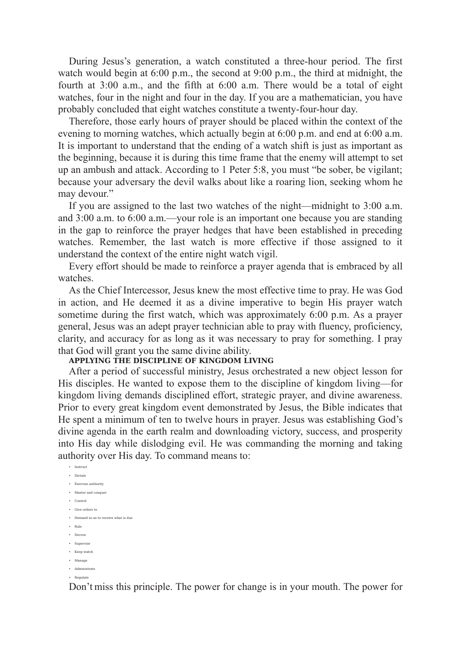During Jesus's generation, a watch constituted a three-hour period. The first watch would begin at 6:00 p.m., the second at 9:00 p.m., the third at midnight, the fourth at 3:00 a.m., and the fifth at 6:00 a.m. There would be a total of eight watches, four in the night and four in the day. If you are a mathematician, you have probably concluded that eight watches constitute a twenty-four-hour day.

Therefore, those early hours of prayer should be placed within the context of the evening to morning watches, which actually begin at 6:00 p.m. and end at 6:00 a.m. It is important to understand that the ending of a watch shift is just as important as the beginning, because it is during this time frame that the enemy will attempt to set up an ambush and attack. According to 1 Peter 5:8, you must "be sober, be vigilant; because your adversary the devil walks about like a roaring lion, seeking whom he may devour."

If you are assigned to the last two watches of the night—midnight to 3:00 a.m. and 3:00 a.m. to 6:00 a.m.—your role is an important one because you are standing in the gap to reinforce the prayer hedges that have been established in preceding watches. Remember, the last watch is more effective if those assigned to it understand the context of the entire night watch vigil.

Every effort should be made to reinforce a prayer agenda that is embraced by all watches.

As the Chief Intercessor, Jesus knew the most effective time to pray. He was God in action, and He deemed it as a divine imperative to begin His prayer watch sometime during the first watch, which was approximately 6:00 p.m. As a prayer general, Jesus was an adept prayer technician able to pray with fluency, proficiency, clarity, and accuracy for as long as it was necessary to pray for something. I pray that God will grant you the same divine ability.

#### **APPLYING THE DISCIPLINE OF KINGDOM LIVING**

After a period of successful ministry, Jesus orchestrated a new object lesson for His disciples. He wanted to expose them to the discipline of kingdom living—for kingdom living demands disciplined effort, strategic prayer, and divine awareness. Prior to every great kingdom event demonstrated by Jesus, the Bible indicates that He spent a minimum of ten to twelve hours in prayer. Jesus was establishing God's divine agenda in the earth realm and downloading victory, success, and prosperity into His day while dislodging evil. He was commanding the morning and taking authority over His day. To command means to:

```
• Instruct
• Dictate
• Exercise authority
• Master and conquer
• Control
• Give orders to
• Demand so as to receive what is due
• Rule
• Decree
• Supervise
• Keep watch
• Manage
• Administrate
• Regulate
```
Don't miss this principle. The power for change is in your mouth. The power for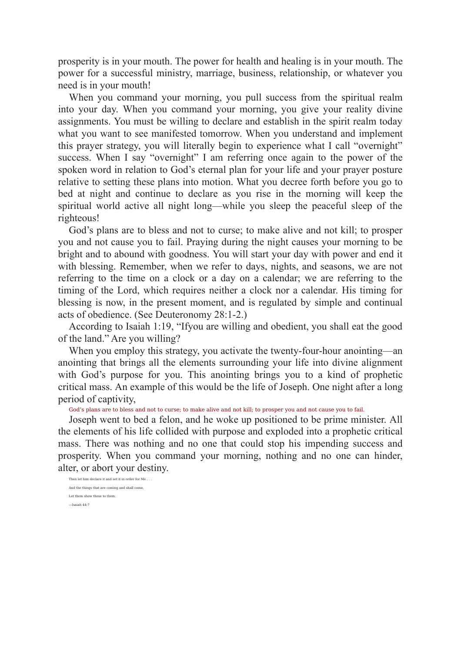prosperity is in your mouth. The power for health and healing is in your mouth. The power for a successful ministry, marriage, business, relationship, or whatever you need is in your mouth!

When you command your morning, you pull success from the spiritual realm into your day. When you command your morning, you give your reality divine assignments. You must be willing to declare and establish in the spirit realm today what you want to see manifested tomorrow. When you understand and implement this prayer strategy, you will literally begin to experience what I call "overnight" success. When I say "overnight" I am referring once again to the power of the spoken word in relation to God's eternal plan for your life and your prayer posture relative to setting these plans into motion. What you decree forth before you go to bed at night and continue to declare as you rise in the morning will keep the spiritual world active all night long—while you sleep the peaceful sleep of the righteous!

God's plans are to bless and not to curse; to make alive and not kill; to prosper you and not cause you to fail. Praying during the night causes your morning to be bright and to abound with goodness. You will start your day with power and end it with blessing. Remember, when we refer to days, nights, and seasons, we are not referring to the time on a clock or a day on a calendar; we are referring to the timing of the Lord, which requires neither a clock nor a calendar. His timing for blessing is now, in the present moment, and is regulated by simple and continual acts of obedience. (See Deuteronomy 28:1-2.)

According to Isaiah 1:19, "Ifyou are willing and obedient, you shall eat the good of the land." Are you willing?

When you employ this strategy, you activate the twenty-four-hour anointing—an anointing that brings all the elements surrounding your life into divine alignment with God's purpose for you. This anointing brings you to a kind of prophetic critical mass. An example of this would be the life of Joseph. One night after a long period of captivity,

God's plans are to bless and not to curse; to make alive and not kill; to prosper you and not cause you to fail.

Joseph went to bed a felon, and he woke up positioned to be prime minister. All the elements of his life collided with purpose and exploded into a prophetic critical mass. There was nothing and no one that could stop his impending success and prosperity. When you command your morning, nothing and no one can hinder, alter, or abort your destiny.

Then let him declare it and set it in order for Me . . . And the things that are coming and shall com Let them show these to them. —Isaiah 44:7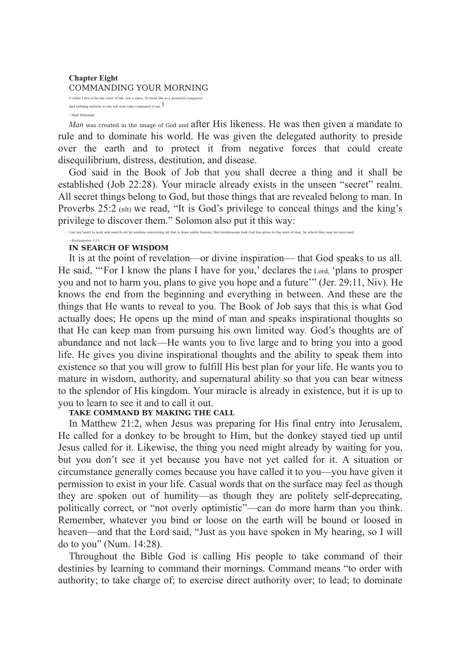#### **Chapter Eight** COMMANDING YOUR MORNING O while I live to be the ruler of life, not a slave, To meet life as a powerful conqueror . . .

And nothing exterior to me will ever take command of  $\mathrm{m}\mathrm{e}.\mathbf{1}$ —Walt Whitman

*Man* was created in the image of God and after His likeness. He was then given a mandate to rule and to dominate his world. He was given the delegated authority to preside over the earth and to protect it from negative forces that could create disequilibrium, distress, destitution, and disease.

God said in the Book of Job that you shall decree a thing and it shall be established (Job 22:28). Your miracle already exists in the unseen "secret" realm. All secret things belong to God, but those things that are revealed belong to man. In Proverbs 25:2 (nlt) we read, "It is God's privilege to conceal things and the king's privilege to discover them." Solomon also put it this way:

I set my heart to seek and search out by wisdom concerning all that is done under heaven; this burdensome task God has given to the sons of man, by which they may be exercised.

# **IN SEARCH OF WISDOM**

—Ecclesiastes 1:13

It is at the point of revelation—or divine inspiration— that God speaks to us all. He said, "'For I know the plans I have for you,' declares the Lord, 'plans to prosper you and not to harm you, plans to give you hope and a future'" (Jer. 29:11, Niv). He knows the end from the beginning and everything in between. And these are the things that He wants to reveal to you. The Book of Job says that this is what God actually does; He opens up the mind of man and speaks inspirational thoughts so that He can keep man from pursuing his own limited way. God's thoughts are of abundance and not lack—He wants you to live large and to bring you into a good life. He gives you divine inspirational thoughts and the ability to speak them into existence so that you will grow to fulfill His best plan for your life. He wants you to mature in wisdom, authority, and supernatural ability so that you can bear witness to the splendor of His kingdom. Your miracle is already in existence, but it is up to you to learn to see it and to call it out.

### **TAKE COMMAND BY MAKING THE CALL**

In Matthew 21:2, when Jesus was preparing for His final entry into Jerusalem, He called for a donkey to be brought to Him, but the donkey stayed tied up until Jesus called for it. Likewise, the thing you need might already by waiting for you, but you don't see it yet because you have not yet called for it. A situation or circumstance generally comes because you have called it to you—you have given it permission to exist in your life. Casual words that on the surface may feel as though they are spoken out of humility—as though they are politely self-deprecating, politically correct, or "not overly optimistic"—can do more harm than you think. Remember, whatever you bind or loose on the earth will be bound or loosed in heaven—and that the Lord said, "Just as you have spoken in My hearing, so I will do to you" (Num. 14:28).

Throughout the Bible God is calling His people to take command of their destinies by learning to command their mornings. Command means "to order with authority; to take charge of; to exercise direct authority over; to lead; to dominate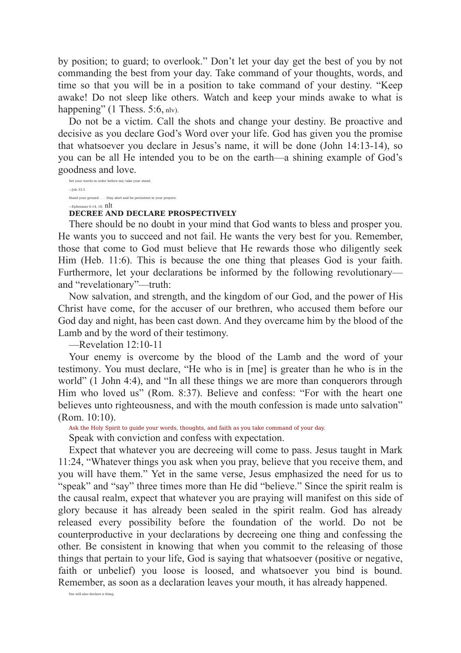by position; to guard; to overlook." Don't let your day get the best of you by not commanding the best from your day. Take command of your thoughts, words, and time so that you will be in a position to take command of your destiny. "Keep awake! Do not sleep like others. Watch and keep your minds awake to what is happening" (1 Thess. 5:6, nlv).

Do not be a victim. Call the shots and change your destiny. Be proactive and decisive as you declare God's Word over your life. God has given you the promise that whatsoever you declare in Jesus's name, it will be done (John 14:13-14), so you can be all He intended you to be on the earth—a shining example of God's goodness and love.

Set your words in order before me; take your stand. —Job 33:5 Stand your ground. . . . Stay alert and be persistent in your prayers.  $-$ Ephesians 6:14, 18, nlt

#### **DECREE AND DECLARE PROSPECTIVELY**

There should be no doubt in your mind that God wants to bless and prosper you. He wants you to succeed and not fail. He wants the very best for you. Remember, those that come to God must believe that He rewards those who diligently seek Him (Heb. 11:6). This is because the one thing that pleases God is your faith. Furthermore, let your declarations be informed by the following revolutionary and "revelationary"—truth:

Now salvation, and strength, and the kingdom of our God, and the power of His Christ have come, for the accuser of our brethren, who accused them before our God day and night, has been cast down. And they overcame him by the blood of the Lamb and by the word of their testimony.

—Revelation 12:10-11

Your enemy is overcome by the blood of the Lamb and the word of your testimony. You must declare, "He who is in [me] is greater than he who is in the world" (1 John 4:4), and "In all these things we are more than conquerors through Him who loved us" (Rom. 8:37). Believe and confess: "For with the heart one believes unto righteousness, and with the mouth confession is made unto salvation" (Rom. 10:10).

Ask the Holy Spirit to guide your words, thoughts, and faith as you take command of your day. Speak with conviction and confess with expectation.

Expect that whatever you are decreeing will come to pass. Jesus taught in Mark 11:24, "Whatever things you ask when you pray, believe that you receive them, and you will have them." Yet in the same verse, Jesus emphasized the need for us to "speak" and "say" three times more than He did "believe." Since the spirit realm is the causal realm, expect that whatever you are praying will manifest on this side of glory because it has already been sealed in the spirit realm. God has already released every possibility before the foundation of the world. Do not be counterproductive in your declarations by decreeing one thing and confessing the other. Be consistent in knowing that when you commit to the releasing of those things that pertain to your life, God is saying that whatsoever (positive or negative, faith or unbelief) you loose is loosed, and whatsoever you bind is bound. Remember, as soon as a declaration leaves your mouth, it has already happened.

You will also declare a thing,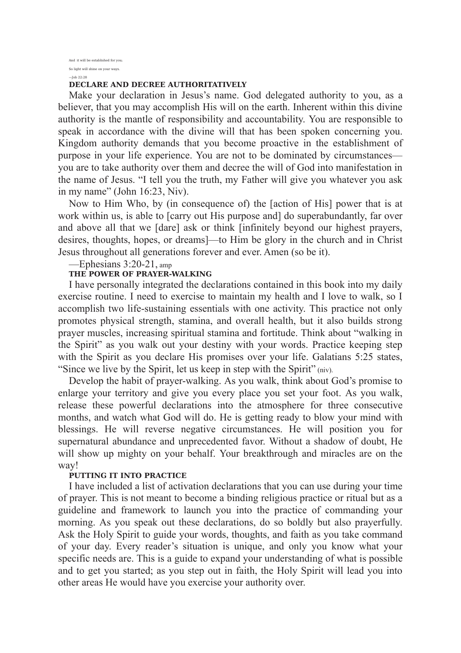And it will be established for you So light will shine on your ways.

—Job 22:28

### **DECLARE AND DECREE AUTHORITATIVELY**

Make your declaration in Jesus's name. God delegated authority to you, as a believer, that you may accomplish His will on the earth. Inherent within this divine authority is the mantle of responsibility and accountability. You are responsible to speak in accordance with the divine will that has been spoken concerning you. Kingdom authority demands that you become proactive in the establishment of purpose in your life experience. You are not to be dominated by circumstances you are to take authority over them and decree the will of God into manifestation in the name of Jesus. "I tell you the truth, my Father will give you whatever you ask in my name" (John 16:23, Niv).

Now to Him Who, by (in consequence of) the [action of His] power that is at work within us, is able to [carry out His purpose and] do superabundantly, far over and above all that we [dare] ask or think [infinitely beyond our highest prayers, desires, thoughts, hopes, or dreams]—to Him be glory in the church and in Christ Jesus throughout all generations forever and ever. Amen (so be it).

### —Ephesians 3:20-21, amp

# **THE POWER OF PRAYER-WALKING**

I have personally integrated the declarations contained in this book into my daily exercise routine. I need to exercise to maintain my health and I love to walk, so I accomplish two life-sustaining essentials with one activity. This practice not only promotes physical strength, stamina, and overall health, but it also builds strong prayer muscles, increasing spiritual stamina and fortitude. Think about "walking in the Spirit" as you walk out your destiny with your words. Practice keeping step with the Spirit as you declare His promises over your life. Galatians 5:25 states, "Since we live by the Spirit, let us keep in step with the Spirit" (niv).

Develop the habit of prayer-walking. As you walk, think about God's promise to enlarge your territory and give you every place you set your foot. As you walk, release these powerful declarations into the atmosphere for three consecutive months, and watch what God will do. He is getting ready to blow your mind with blessings. He will reverse negative circumstances. He will position you for supernatural abundance and unprecedented favor. Without a shadow of doubt, He will show up mighty on your behalf. Your breakthrough and miracles are on the way!

### **PUTTING IT INTO PRACTICE**

I have included a list of activation declarations that you can use during your time of prayer. This is not meant to become a binding religious practice or ritual but as a guideline and framework to launch you into the practice of commanding your morning. As you speak out these declarations, do so boldly but also prayerfully. Ask the Holy Spirit to guide your words, thoughts, and faith as you take command of your day. Every reader's situation is unique, and only you know what your specific needs are. This is a guide to expand your understanding of what is possible and to get you started; as you step out in faith, the Holy Spirit will lead you into other areas He would have you exercise your authority over.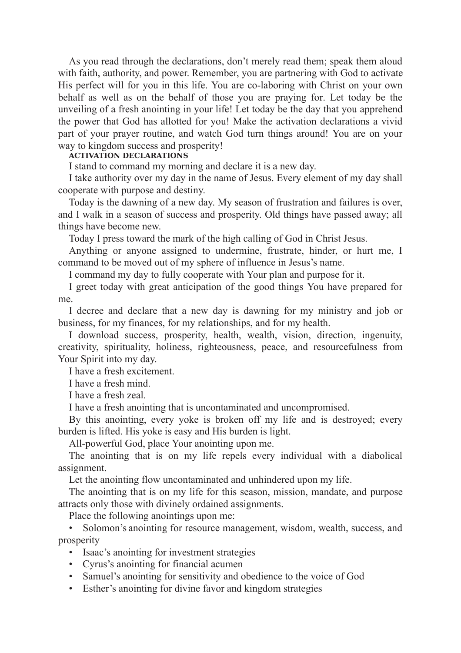As you read through the declarations, don't merely read them; speak them aloud with faith, authority, and power. Remember, you are partnering with God to activate His perfect will for you in this life. You are co-laboring with Christ on your own behalf as well as on the behalf of those you are praying for. Let today be the unveiling of a fresh anointing in your life! Let today be the day that you apprehend the power that God has allotted for you! Make the activation declarations a vivid part of your prayer routine, and watch God turn things around! You are on your way to kingdom success and prosperity!

### **ACTIVATION DECLARATIONS**

I stand to command my morning and declare it is a new day.

I take authority over my day in the name of Jesus. Every element of my day shall cooperate with purpose and destiny.

Today is the dawning of a new day. My season of frustration and failures is over, and I walk in a season of success and prosperity. Old things have passed away; all things have become new.

Today I press toward the mark of the high calling of God in Christ Jesus.

Anything or anyone assigned to undermine, frustrate, hinder, or hurt me, I command to be moved out of my sphere of influence in Jesus's name.

I command my day to fully cooperate with Your plan and purpose for it.

I greet today with great anticipation of the good things You have prepared for me.

I decree and declare that a new day is dawning for my ministry and job or business, for my finances, for my relationships, and for my health.

I download success, prosperity, health, wealth, vision, direction, ingenuity, creativity, spirituality, holiness, righteousness, peace, and resourcefulness from Your Spirit into my day.

I have a fresh excitement.

I have a fresh mind.

I have a fresh zeal.

I have a fresh anointing that is uncontaminated and uncompromised.

By this anointing, every yoke is broken off my life and is destroyed; every burden is lifted. His yoke is easy and His burden is light.

All-powerful God, place Your anointing upon me.

The anointing that is on my life repels every individual with a diabolical assignment.

Let the anointing flow uncontaminated and unhindered upon my life.

The anointing that is on my life for this season, mission, mandate, and purpose attracts only those with divinely ordained assignments.

Place the following anointings upon me:

• Solomon's anointing for resource management, wisdom, wealth, success, and prosperity

- Isaac's anointing for investment strategies
- Cyrus's anointing for financial acumen
- Samuel's anointing for sensitivity and obedience to the voice of God
- Esther's anointing for divine favor and kingdom strategies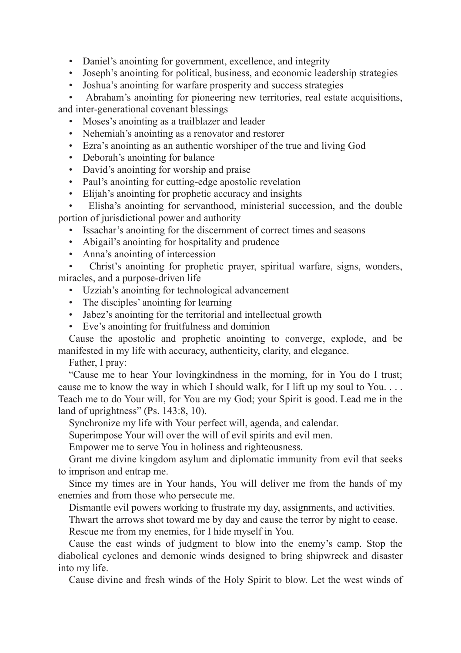- Daniel's anointing for government, excellence, and integrity
- Joseph's anointing for political, business, and economic leadership strategies
- Joshua's anointing for warfare prosperity and success strategies

• Abraham's anointing for pioneering new territories, real estate acquisitions, and inter-generational covenant blessings

- Moses's anointing as a trailblazer and leader
- Nehemiah's anointing as a renovator and restorer
- Ezra's anointing as an authentic worshiper of the true and living God
- Deborah's anointing for balance
- David's anointing for worship and praise
- Paul's anointing for cutting-edge apostolic revelation
- Elijah's anointing for prophetic accuracy and insights

Elisha's anointing for servanthood, ministerial succession, and the double portion of jurisdictional power and authority

- Issachar's anointing for the discernment of correct times and seasons
- Abigail's anointing for hospitality and prudence
- Anna's anointing of intercession

• Christ's anointing for prophetic prayer, spiritual warfare, signs, wonders, miracles, and a purpose-driven life

- Uzziah's anointing for technological advancement
- The disciples' anointing for learning
- Jabez's anointing for the territorial and intellectual growth
- Eve's anointing for fruitfulness and dominion

Cause the apostolic and prophetic anointing to converge, explode, and be manifested in my life with accuracy, authenticity, clarity, and elegance.

Father, I pray:

"Cause me to hear Your lovingkindness in the morning, for in You do I trust; cause me to know the way in which I should walk, for I lift up my soul to You. . . . Teach me to do Your will, for You are my God; your Spirit is good. Lead me in the land of uprightness" (Ps. 143:8, 10).

Synchronize my life with Your perfect will, agenda, and calendar.

Superimpose Your will over the will of evil spirits and evil men.

Empower me to serve You in holiness and righteousness.

Grant me divine kingdom asylum and diplomatic immunity from evil that seeks to imprison and entrap me.

Since my times are in Your hands, You will deliver me from the hands of my enemies and from those who persecute me.

Dismantle evil powers working to frustrate my day, assignments, and activities.

Thwart the arrows shot toward me by day and cause the terror by night to cease.

Rescue me from my enemies, for I hide myself in You.

Cause the east winds of judgment to blow into the enemy's camp. Stop the diabolical cyclones and demonic winds designed to bring shipwreck and disaster into my life.

Cause divine and fresh winds of the Holy Spirit to blow. Let the west winds of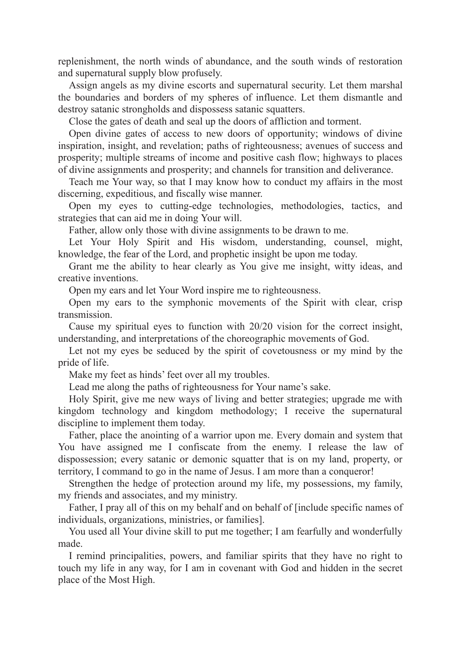replenishment, the north winds of abundance, and the south winds of restoration and supernatural supply blow profusely.

Assign angels as my divine escorts and supernatural security. Let them marshal the boundaries and borders of my spheres of influence. Let them dismantle and destroy satanic strongholds and dispossess satanic squatters.

Close the gates of death and seal up the doors of affliction and torment.

Open divine gates of access to new doors of opportunity; windows of divine inspiration, insight, and revelation; paths of righteousness; avenues of success and prosperity; multiple streams of income and positive cash flow; highways to places of divine assignments and prosperity; and channels for transition and deliverance.

Teach me Your way, so that I may know how to conduct my affairs in the most discerning, expeditious, and fiscally wise manner.

Open my eyes to cutting-edge technologies, methodologies, tactics, and strategies that can aid me in doing Your will.

Father, allow only those with divine assignments to be drawn to me.

Let Your Holy Spirit and His wisdom, understanding, counsel, might, knowledge, the fear of the Lord, and prophetic insight be upon me today.

Grant me the ability to hear clearly as You give me insight, witty ideas, and creative inventions.

Open my ears and let Your Word inspire me to righteousness.

Open my ears to the symphonic movements of the Spirit with clear, crisp transmission.

Cause my spiritual eyes to function with 20/20 vision for the correct insight, understanding, and interpretations of the choreographic movements of God.

Let not my eyes be seduced by the spirit of covetousness or my mind by the pride of life.

Make my feet as hinds' feet over all my troubles.

Lead me along the paths of righteousness for Your name's sake.

Holy Spirit, give me new ways of living and better strategies; upgrade me with kingdom technology and kingdom methodology; I receive the supernatural discipline to implement them today.

Father, place the anointing of a warrior upon me. Every domain and system that You have assigned me I confiscate from the enemy. I release the law of dispossession; every satanic or demonic squatter that is on my land, property, or territory, I command to go in the name of Jesus. I am more than a conqueror!

Strengthen the hedge of protection around my life, my possessions, my family, my friends and associates, and my ministry.

Father, I pray all of this on my behalf and on behalf of [include specific names of individuals, organizations, ministries, or families].

You used all Your divine skill to put me together; I am fearfully and wonderfully made.

I remind principalities, powers, and familiar spirits that they have no right to touch my life in any way, for I am in covenant with God and hidden in the secret place of the Most High.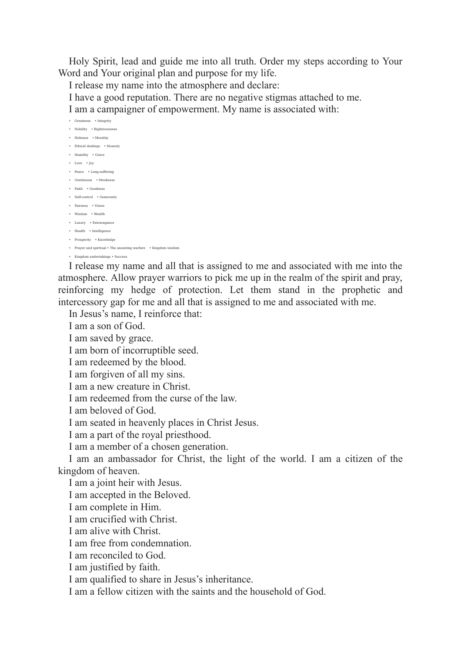Holy Spirit, lead and guide me into all truth. Order my steps according to Your Word and Your original plan and purpose for my life.

I release my name into the atmosphere and declare:

I have a good reputation. There are no negative stigmas attached to me.

I am a campaigner of empowerment. My name is associated with:

- Greatness Integrity • Nobility • Righteousness • Holiness • Morality • Ethical dealings • Honesty • Humility • Grace • Love • Joy • Peace • Long-suffering • Gentleness • Meekness • Faith • Goodness • Self-control • Generosity • Fairness • Vision • Wisdom • Wealth • Luxury • Extravagance • Health • Intelligence • Prosperity • Knowledge
- Prayer and spiritual The anointing warfare Kingdom wisdom

• Kingdom undertakings • Success

I release my name and all that is assigned to me and associated with me into the atmosphere. Allow prayer warriors to pick me up in the realm of the spirit and pray, reinforcing my hedge of protection. Let them stand in the prophetic and intercessory gap for me and all that is assigned to me and associated with me.

In Jesus's name, I reinforce that:

I am a son of God.

I am saved by grace.

I am born of incorruptible seed.

I am redeemed by the blood.

I am forgiven of all my sins.

I am a new creature in Christ.

I am redeemed from the curse of the law.

I am beloved of God.

I am seated in heavenly places in Christ Jesus.

I am a part of the royal priesthood.

I am a member of a chosen generation.

I am an ambassador for Christ, the light of the world. I am a citizen of the kingdom of heaven.

I am a joint heir with Jesus.

I am accepted in the Beloved.

I am complete in Him.

I am crucified with Christ.

I am alive with Christ.

I am free from condemnation.

I am reconciled to God.

I am justified by faith.

I am qualified to share in Jesus's inheritance.

I am a fellow citizen with the saints and the household of God.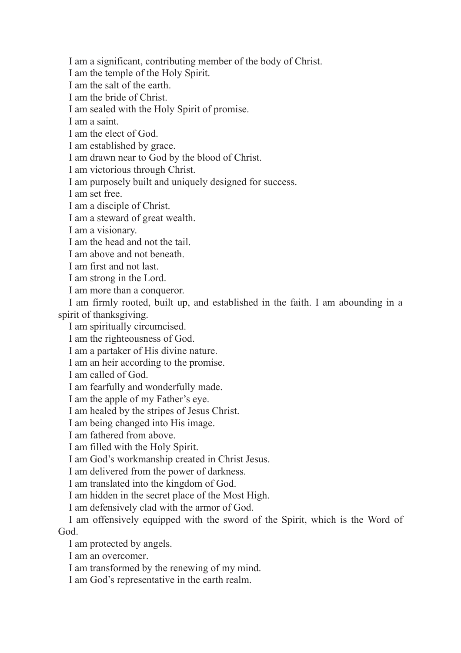I am a significant, contributing member of the body of Christ.

I am the temple of the Holy Spirit.

I am the salt of the earth.

I am the bride of Christ.

I am sealed with the Holy Spirit of promise.

I am a saint.

I am the elect of God.

I am established by grace.

I am drawn near to God by the blood of Christ.

I am victorious through Christ.

I am purposely built and uniquely designed for success.

I am set free.

I am a disciple of Christ.

I am a steward of great wealth.

I am a visionary.

I am the head and not the tail.

I am above and not beneath.

I am first and not last.

I am strong in the Lord.

I am more than a conqueror.

I am firmly rooted, built up, and established in the faith. I am abounding in a spirit of thanksgiving.

I am spiritually circumcised.

I am the righteousness of God.

I am a partaker of His divine nature.

I am an heir according to the promise.

I am called of God.

I am fearfully and wonderfully made.

I am the apple of my Father's eye.

I am healed by the stripes of Jesus Christ.

I am being changed into His image.

I am fathered from above.

I am filled with the Holy Spirit.

I am God's workmanship created in Christ Jesus.

I am delivered from the power of darkness.

I am translated into the kingdom of God.

I am hidden in the secret place of the Most High.

I am defensively clad with the armor of God.

I am offensively equipped with the sword of the Spirit, which is the Word of God.

I am protected by angels.

I am an overcomer.

I am transformed by the renewing of my mind.

I am God's representative in the earth realm.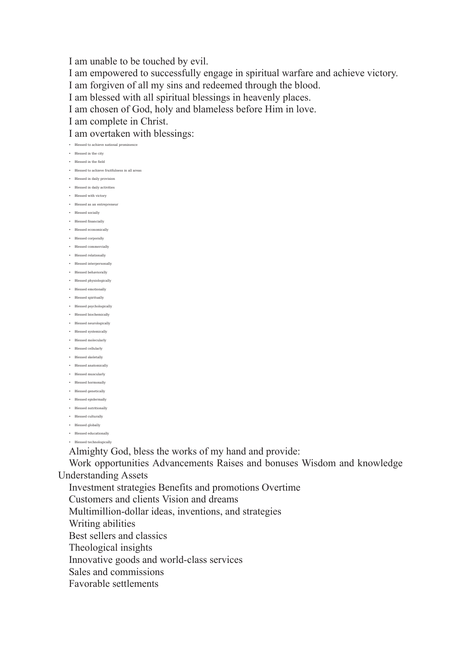I am unable to be touched by evil.

I am empowered to successfully engage in spiritual warfare and achieve victory.

I am forgiven of all my sins and redeemed through the blood.

I am blessed with all spiritual blessings in heavenly places.

I am chosen of God, holy and blameless before Him in love.

I am complete in Christ.

I am overtaken with blessings:

| ۰                    | Blessed to achieve national prominence       |
|----------------------|----------------------------------------------|
| ۰                    | Blessed in the city                          |
| ۰                    | Blessed in the field                         |
| ٠                    | Blessed to achieve fruitfulness in all areas |
| ٠                    | Blessed in daily provision                   |
| ٠                    | Blessed in daily activities                  |
| ٠                    | Blessed with victory                         |
| $\ddot{\phantom{a}}$ | Blessed as an entrepreneur                   |
| ٠                    | Blessed socially                             |
|                      | • Blessed financially                        |
|                      | • Blessed economically                       |
| ٠                    | Blessed corporally                           |
| ٠                    | Blessed commercially                         |
| ٠                    | Blessed relationally                         |
| ٠                    | Blessed interpersonally                      |
| ٠                    | <b>Blessed</b> behaviorally                  |
| ٠                    | Blessed physiologically                      |
| ۰                    | Blessed emotionally                          |
| ۰                    | Blessed spiritually                          |
| ٠                    | <b>Blessed</b> psychologically               |
|                      | Blessed biochemically                        |
| ٠                    | Blessed neurologically                       |
|                      | Blessed systemically                         |
| ٠                    | Blessed molecularly                          |
| ٠                    | Blessed cellularly                           |
|                      | * Blessed skeletally                         |
|                      | • Blessed anatomically                       |
|                      | • Blessed muscularly                         |
| ٠                    | Blessed hormonally                           |
| ٠                    | <b>Blessed</b> genetically                   |
| ٠                    | <b>Blessed</b> epidermally                   |
| ٠                    | Blessed nutritionally                        |
| ٠                    | Blessed culturally                           |
| ۰                    | Blessed globally                             |
| ۰                    | Blessed educationally                        |
|                      | Blessed technologically                      |

Almighty God, bless the works of my hand and provide:

Work opportunities Advancements Raises and bonuses Wisdom and knowledge Understanding Assets

Investment strategies Benefits and promotions Overtime Customers and clients Vision and dreams Multimillion-dollar ideas, inventions, and strategies Writing abilities Best sellers and classics Theological insights Innovative goods and world-class services Sales and commissions Favorable settlements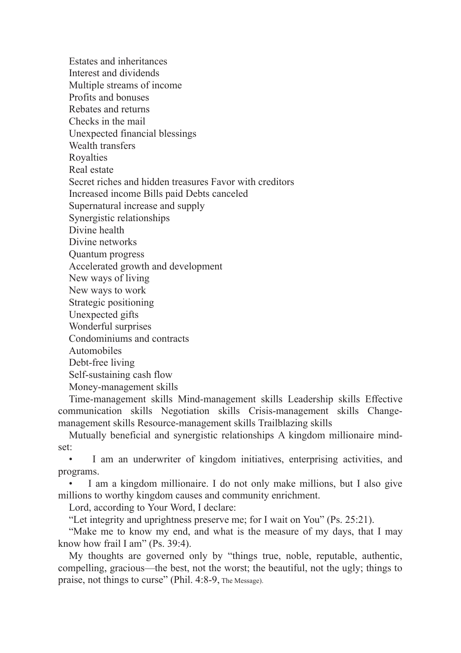Estates and inheritances Interest and dividends Multiple streams of income Profits and bonuses Rebates and returns Checks in the mail Unexpected financial blessings Wealth transfers Royalties Real estate Secret riches and hidden treasures Favor with creditors Increased income Bills paid Debts canceled Supernatural increase and supply Synergistic relationships Divine health Divine networks Quantum progress Accelerated growth and development New ways of living New ways to work Strategic positioning Unexpected gifts Wonderful surprises Condominiums and contracts Automobiles Debt-free living Self-sustaining cash flow Money-management skills

Time-management skills Mind-management skills Leadership skills Effective communication skills Negotiation skills Crisis-management skills Changemanagement skills Resource-management skills Trailblazing skills

Mutually beneficial and synergistic relationships A kingdom millionaire mindset:

• I am an underwriter of kingdom initiatives, enterprising activities, and programs.

I am a kingdom millionaire. I do not only make millions, but I also give millions to worthy kingdom causes and community enrichment.

Lord, according to Your Word, I declare:

"Let integrity and uprightness preserve me; for I wait on You" (Ps. 25:21).

"Make me to know my end, and what is the measure of my days, that I may know how frail I am" (Ps. 39:4).

My thoughts are governed only by "things true, noble, reputable, authentic, compelling, gracious—the best, not the worst; the beautiful, not the ugly; things to praise, not things to curse" (Phil. 4:8-9, The Message).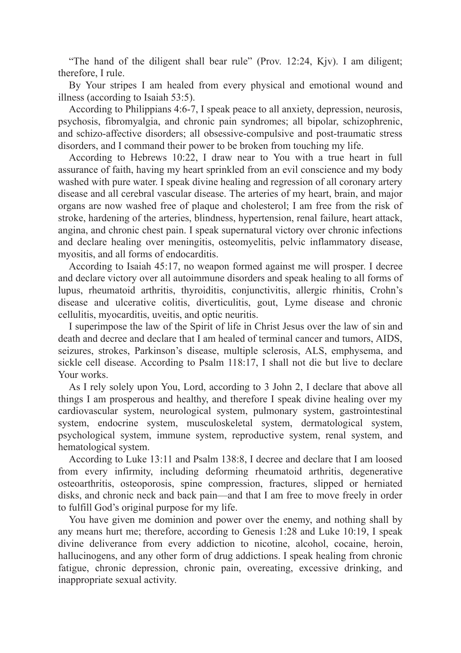"The hand of the diligent shall bear rule" (Prov. 12:24, Kjv). I am diligent; therefore, I rule.

By Your stripes I am healed from every physical and emotional wound and illness (according to Isaiah 53:5).

According to Philippians 4:6-7, I speak peace to all anxiety, depression, neurosis, psychosis, fibromyalgia, and chronic pain syndromes; all bipolar, schizophrenic, and schizo-affective disorders; all obsessive-compulsive and post-traumatic stress disorders, and I command their power to be broken from touching my life.

According to Hebrews 10:22, I draw near to You with a true heart in full assurance of faith, having my heart sprinkled from an evil conscience and my body washed with pure water. I speak divine healing and regression of all coronary artery disease and all cerebral vascular disease. The arteries of my heart, brain, and major organs are now washed free of plaque and cholesterol; I am free from the risk of stroke, hardening of the arteries, blindness, hypertension, renal failure, heart attack, angina, and chronic chest pain. I speak supernatural victory over chronic infections and declare healing over meningitis, osteomyelitis, pelvic inflammatory disease, myositis, and all forms of endocarditis.

According to Isaiah 45:17, no weapon formed against me will prosper. I decree and declare victory over all autoimmune disorders and speak healing to all forms of lupus, rheumatoid arthritis, thyroiditis, conjunctivitis, allergic rhinitis, Crohn's disease and ulcerative colitis, diverticulitis, gout, Lyme disease and chronic cellulitis, myocarditis, uveitis, and optic neuritis.

I superimpose the law of the Spirit of life in Christ Jesus over the law of sin and death and decree and declare that I am healed of terminal cancer and tumors, AIDS, seizures, strokes, Parkinson's disease, multiple sclerosis, ALS, emphysema, and sickle cell disease. According to Psalm 118:17, I shall not die but live to declare Your works.

As I rely solely upon You, Lord, according to 3 John 2, I declare that above all things I am prosperous and healthy, and therefore I speak divine healing over my cardiovascular system, neurological system, pulmonary system, gastrointestinal system, endocrine system, musculoskeletal system, dermatological system, psychological system, immune system, reproductive system, renal system, and hematological system.

According to Luke 13:11 and Psalm 138:8, I decree and declare that I am loosed from every infirmity, including deforming rheumatoid arthritis, degenerative osteoarthritis, osteoporosis, spine compression, fractures, slipped or herniated disks, and chronic neck and back pain—and that I am free to move freely in order to fulfill God's original purpose for my life.

You have given me dominion and power over the enemy, and nothing shall by any means hurt me; therefore, according to Genesis 1:28 and Luke 10:19, I speak divine deliverance from every addiction to nicotine, alcohol, cocaine, heroin, hallucinogens, and any other form of drug addictions. I speak healing from chronic fatigue, chronic depression, chronic pain, overeating, excessive drinking, and inappropriate sexual activity.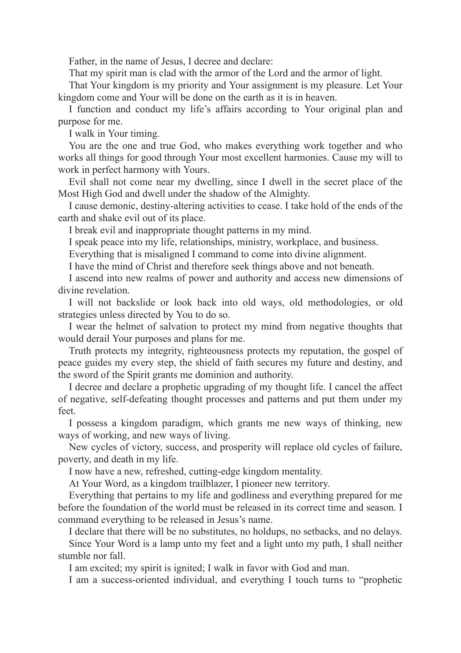Father, in the name of Jesus, I decree and declare:

That my spirit man is clad with the armor of the Lord and the armor of light.

That Your kingdom is my priority and Your assignment is my pleasure. Let Your kingdom come and Your will be done on the earth as it is in heaven.

I function and conduct my life's affairs according to Your original plan and purpose for me.

I walk in Your timing.

You are the one and true God, who makes everything work together and who works all things for good through Your most excellent harmonies. Cause my will to work in perfect harmony with Yours.

Evil shall not come near my dwelling, since I dwell in the secret place of the Most High God and dwell under the shadow of the Almighty.

I cause demonic, destiny-altering activities to cease. I take hold of the ends of the earth and shake evil out of its place.

I break evil and inappropriate thought patterns in my mind.

I speak peace into my life, relationships, ministry, workplace, and business.

Everything that is misaligned I command to come into divine alignment.

I have the mind of Christ and therefore seek things above and not beneath.

I ascend into new realms of power and authority and access new dimensions of divine revelation.

I will not backslide or look back into old ways, old methodologies, or old strategies unless directed by You to do so.

I wear the helmet of salvation to protect my mind from negative thoughts that would derail Your purposes and plans for me.

Truth protects my integrity, righteousness protects my reputation, the gospel of peace guides my every step, the shield of faith secures my future and destiny, and the sword of the Spirit grants me dominion and authority.

I decree and declare a prophetic upgrading of my thought life. I cancel the affect of negative, self-defeating thought processes and patterns and put them under my feet.

I possess a kingdom paradigm, which grants me new ways of thinking, new ways of working, and new ways of living.

New cycles of victory, success, and prosperity will replace old cycles of failure, poverty, and death in my life.

I now have a new, refreshed, cutting-edge kingdom mentality.

At Your Word, as a kingdom trailblazer, I pioneer new territory.

Everything that pertains to my life and godliness and everything prepared for me before the foundation of the world must be released in its correct time and season. I command everything to be released in Jesus's name.

I declare that there will be no substitutes, no holdups, no setbacks, and no delays.

Since Your Word is a lamp unto my feet and a light unto my path, I shall neither stumble nor fall.

I am excited; my spirit is ignited; I walk in favor with God and man.

I am a success-oriented individual, and everything I touch turns to "prophetic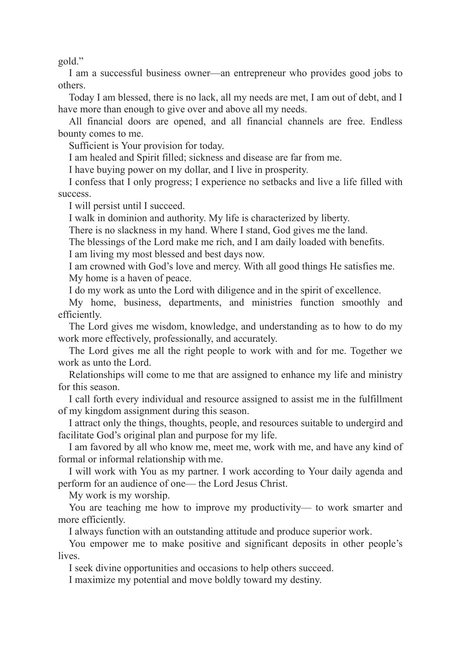gold."

I am a successful business owner—an entrepreneur who provides good jobs to others.

Today I am blessed, there is no lack, all my needs are met, I am out of debt, and I have more than enough to give over and above all my needs.

All financial doors are opened, and all financial channels are free. Endless bounty comes to me.

Sufficient is Your provision for today.

I am healed and Spirit filled; sickness and disease are far from me.

I have buying power on my dollar, and I live in prosperity.

I confess that I only progress; I experience no setbacks and live a life filled with success.

I will persist until I succeed.

I walk in dominion and authority. My life is characterized by liberty.

There is no slackness in my hand. Where I stand, God gives me the land.

The blessings of the Lord make me rich, and I am daily loaded with benefits.

I am living my most blessed and best days now.

I am crowned with God's love and mercy. With all good things He satisfies me. My home is a haven of peace.

I do my work as unto the Lord with diligence and in the spirit of excellence.

My home, business, departments, and ministries function smoothly and efficiently.

The Lord gives me wisdom, knowledge, and understanding as to how to do my work more effectively, professionally, and accurately.

The Lord gives me all the right people to work with and for me. Together we work as unto the Lord.

Relationships will come to me that are assigned to enhance my life and ministry for this season.

I call forth every individual and resource assigned to assist me in the fulfillment of my kingdom assignment during this season.

I attract only the things, thoughts, people, and resources suitable to undergird and facilitate God's original plan and purpose for my life.

I am favored by all who know me, meet me, work with me, and have any kind of formal or informal relationship with me.

I will work with You as my partner. I work according to Your daily agenda and perform for an audience of one— the Lord Jesus Christ.

My work is my worship.

You are teaching me how to improve my productivity— to work smarter and more efficiently.

I always function with an outstanding attitude and produce superior work.

You empower me to make positive and significant deposits in other people's lives.

I seek divine opportunities and occasions to help others succeed.

I maximize my potential and move boldly toward my destiny.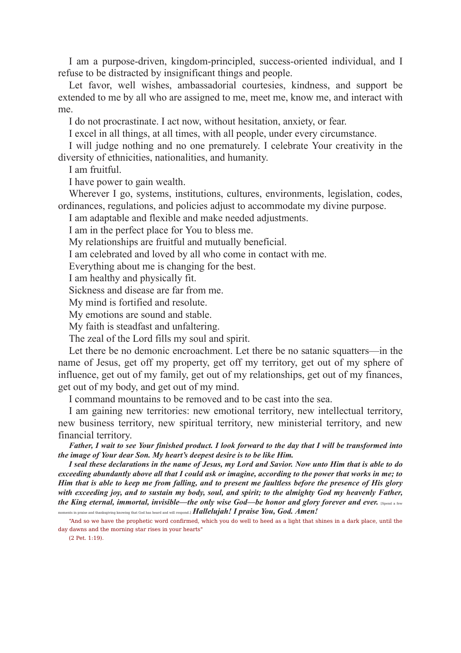I am a purpose-driven, kingdom-principled, success-oriented individual, and I refuse to be distracted by insignificant things and people.

Let favor, well wishes, ambassadorial courtesies, kindness, and support be extended to me by all who are assigned to me, meet me, know me, and interact with me.

I do not procrastinate. I act now, without hesitation, anxiety, or fear.

I excel in all things, at all times, with all people, under every circumstance.

I will judge nothing and no one prematurely. I celebrate Your creativity in the diversity of ethnicities, nationalities, and humanity.

I am fruitful.

I have power to gain wealth.

Wherever I go, systems, institutions, cultures, environments, legislation, codes, ordinances, regulations, and policies adjust to accommodate my divine purpose.

I am adaptable and flexible and make needed adjustments.

I am in the perfect place for You to bless me.

My relationships are fruitful and mutually beneficial.

I am celebrated and loved by all who come in contact with me.

Everything about me is changing for the best.

I am healthy and physically fit.

Sickness and disease are far from me.

My mind is fortified and resolute.

My emotions are sound and stable.

My faith is steadfast and unfaltering.

The zeal of the Lord fills my soul and spirit.

Let there be no demonic encroachment. Let there be no satanic squatters—in the name of Jesus, get off my property, get off my territory, get out of my sphere of influence, get out of my family, get out of my relationships, get out of my finances, get out of my body, and get out of my mind.

I command mountains to be removed and to be cast into the sea.

I am gaining new territories: new emotional territory, new intellectual territory, new business territory, new spiritual territory, new ministerial territory, and new financial territory.

Father, I wait to see Your finished product. I look forward to the day that I will be transformed into *the image of Your dear Son. My heart's deepest desire is to be like Him.*

I seal these declarations in the name of Jesus, my Lord and Savior. Now unto Him that is able to do exceeding abundantly above all that I could ask or imagine, according to the power that works in me; to Him that is able to keep me from falling, and to present me faultless before the presence of His glory with exceeding joy, and to sustain my body, soul, and spirit; to the almighty God my heavenly Father, *the King eternal, immortal, invisible—the only wise God—be honor and glory forever and ever.* [Spend <sup>a</sup> few moments in praise and thanksgiving knowing that God has heard and will respond.] *Hallelujah! I praise You, God. Amen!*

(2 Pet. 1:19).

<sup>&</sup>quot;And so we have the prophetic word confirmed, which you do well to heed as a light that shines in a dark place, until the day dawns and the morning star rises in your hearts"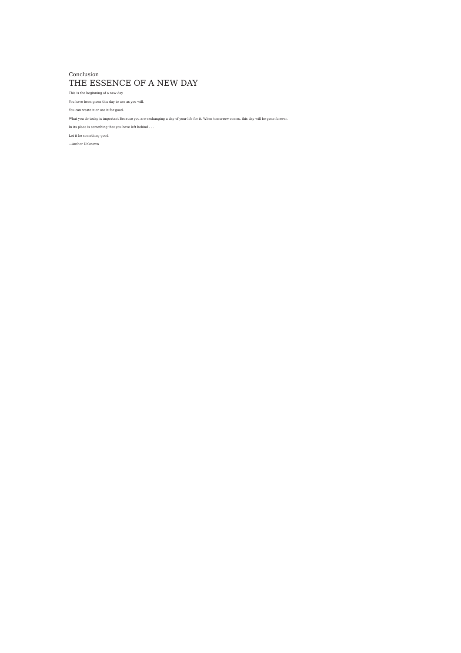#### Conclusion THE ESSENCE OF A NEW DAY

This is the beginning of a new day

You have been given this day to use as you will.

You can waste it or use it for good.

What you do today is important Because you are exchanging a day of your life for it. When tomorrow comes, this day will be gone forever.

In its place is something that you have left behind . . .

Let it be something good.

—Author Unknown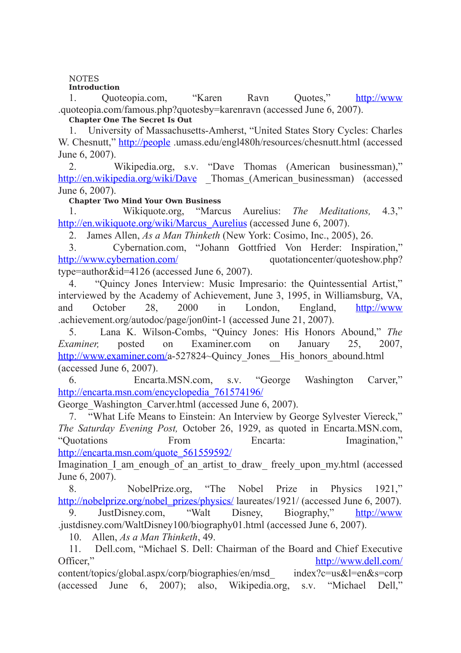# **NOTES**

# **Introduction**

1. Quoteopia.com, "Karen Ravn Quotes," http://www .quoteopia.com/famous.php?quotesby=karenravn (accessed June 6, 2007).

**Chapter One The Secret Is Out**

1. University of Massachusetts-Amherst, "United States Story Cycles: Charles W. Chesnutt," http://people .umass.edu/engl480h/resources/chesnutt.html (accessed June 6, 2007).

2. Wikipedia.org, s.v. "Dave Thomas (American businessman)," http://en.wikipedia.org/wiki/Dave Thomas (American businessman) (accessed June 6, 2007).

**Chapter Two Mind Your Own Business**

1. Wikiquote.org, "Marcus Aurelius: *The Meditations,* 4.3," http://en.wikiquote.org/wiki/Marcus\_Aurelius (accessed June 6, 2007).

2. James Allen, *As a Man Thinketh* (New York: Cosimo, Inc., 2005), 26.

3. Cybernation.com, "Johann Gottfried Von Herder: Inspiration," http://www.cybernation.com/ quotationcenter/quoteshow.php? type=author&id=4126 (accessed June 6, 2007).

4. "Quincy Jones Interview: Music Impresario: the Quintessential Artist," interviewed by the Academy of Achievement, June 3, 1995, in Williamsburg, VA, and October 28, 2000 in London, England, http://www .achievement.org/autodoc/page/jon0int-1 (accessed June 21, 2007).

5. Lana K. Wilson-Combs, "Quincy Jones: His Honors Abound," *The Examiner,* posted on Examiner.com on January 25, 2007, http://www.examiner.com/a-527824~Quincy Jones His honors abound.html (accessed June 6, 2007).

6. Encarta.MSN.com, s.v. "George Washington Carver," http://encarta.msn.com/encyclopedia\_761574196/

George Washington Carver.html (accessed June 6, 2007).

7. "What Life Means to Einstein: An Interview by George Sylvester Viereck," *The Saturday Evening Post,* October 26, 1929, as quoted in Encarta.MSN.com, "Quotations From Encarta: Imagination," http://encarta.msn.com/quote\_561559592/

Imagination I am enough of an artist to draw freely upon my.html (accessed June 6, 2007).

8. NobelPrize.org, "The Nobel Prize in Physics 1921," http://nobelprize.org/nobel\_prizes/physics/ laureates/1921/ (accessed June 6, 2007). 9. JustDisney.com, "Walt Disney, Biography," http://www

.justdisney.com/WaltDisney100/biography01.html (accessed June 6, 2007).

10. Allen, *As a Man Thinketh*, 49.

11. Dell.com, "Michael S. Dell: Chairman of the Board and Chief Executive Officer," http://www.dell.com/ content/topics/global.aspx/corp/biographies/en/msd\_ index?c=us&l=en&s=corp (accessed June 6, 2007); also, Wikipedia.org, s.v. "Michael Dell,"